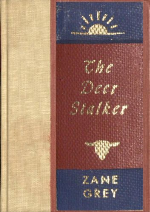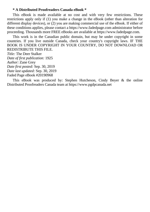#### **\* A Distributed Proofreaders Canada eBook \***

This eBook is made available at no cost and with very few restrictions. These restrictions apply only if (1) you make a change in the eBook (other than alteration for different display devices), or (2) you are making commercial use of the eBook. If either of these conditions applies, please contact a https://www.fadedpage.com administrator before proceeding. Thousands more FREE eBooks are available at https://www.fadedpage.com.

This work is in the Canadian public domain, but may be under copyright in some countries. If you live outside Canada, check your country's copyright laws. IF THE BOOK IS UNDER COPYRIGHT IN YOUR COUNTRY, DO NOT DOWNLOAD OR REDISTRIBUTE THIS FILE. *Title:* The Deer Stalker *Date of first publication:* 1925 *Author:* Zane Grey *Date first posted:* Sep. 30, 2019 *Date last updated:* Sep. 30, 2019

Faded Page eBook #20190968

This eBook was produced by: Stephen Hutcheson, Cindy Beyer & the online Distributed Proofreaders Canada team at https://www.pgdpcanada.net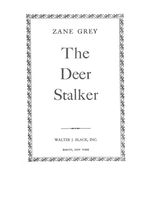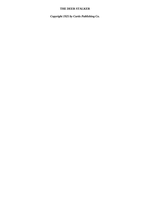#### **THE DEER STALKER**

*Copyright 1925 by Curtis Publishing Co.*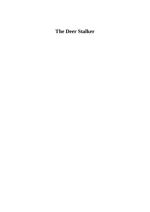**The Deer Stalker**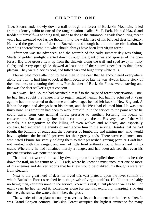## **C H A P T E R O N E**

THAD EBURNE rode slowly down a trail through the forest of Buckskin Mountain. It led from his lonely cabin to one of the ranger stations called V. T. Park. He had blazed and trodden it himself—a winding trail, made to dodge the automobile roads that during recent years had extended too far, he thought, into the wilderness of his beloved deer sanctuary. He loved the great herd of deer on Buckskin, and though he did not hate civilization, he feared its encroachment into what should always have been kept virgin forest.

Afternoon was far advanced, and the warmth of the early summer day was fading. Shafts of golden sunlight slanted down through the giant pines and spruces of the open forest. Big blue grouse flew up from the thickets along the trail and sped away in noisy flight; and every open glade showed at least one of the squirrels peculiar to that forest plateau. They were black as coal, had tufted ears and huge furry white tails.

Eburne paid more attention to these than to the deer that he encountered everywhere along the trail. It hurt him to look at them because of late he was always taking stock of their leanness or counting their ribs. For the deer of Buckskin Forest were starving and that was the deer stalker's great concern.

In a way, Thad Eburne had sacrified himself to the cause of forest conservation. True, he had first sought the ranger life to regain rugged health, but having achieved it years ago, he had not returned to the home and advantages he had left back in New England. A life in the open had always been his dream, and the West had claimed him. He was past thirty now. His ambition had been to work himself up in the service to the point where he could travel from one national forest preserve to another, fostering his ideals of conservation. But that long since had become only a dream. His very love of the wild animals, his antagonism to the killing of even wolves and wildcats, and especially cougars, had incurred the enmity of men above him in the service. Besides that he had fought the building of roads and the overtures of lumbering and mining men who would have exploited the beautiful preserve for their greedy ends. There were cattlemen, too, who hated Eburne for sternly holding them to their prescribed grazing permits. Graft had not worked with this ranger, and men of little brief authority found him a hard nut to crack. Wherefore he had remained merely a ranger, and had been advised that even his present situation was none too secure.

Thad had not worried himself by dwelling upon this implied threat; still, as he rode down the trail, on his return to V. T. Park, where he knew he must encounter one or more of his enemies and deliver reports that he knew would be disliked, his thoughts were far from pleasant.

Next to the great herd of deer, he loved this vast plateau, upon the level summit of which Buckskin Forest stretched its dark growth of virgin conifers. He felt that probably no living man, certainly none in the service, knew this vast, silent place so well as he. For eight years he had ranged it, sometimes alone for months, exploring, mapping, studying the deer, the snow, the water, the timber, the grass.

The wonder of that plateau country never lost its enchantment for the deer stalker. It was Grand Canyon country. Buckskin Forest occupied the highest eminence for many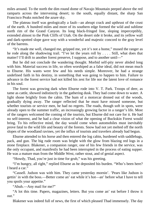miles around. To the north the dim round dome of Navajo Mountain peeped above the red ramparts across the intervening desert; to the south, equally distant, the sharp San Francisco Peaks notched the azure sky.

The plateau itself was geologically a fault—an abrupt crack and upthrust of the crust of the earth. A hundred miles and more of its southern edge formed the wild and sublime north rim of the Grand Canyon. Its long black-fringed line, sloping imperceptibly, extended almost to the Pink Cliffs of Utah. On the desert side it broke, and its yellow wall and dark-spotted slope gave way with a wonderful and majestic concord to the gray level of the barrens.

"It's made me well, changed me, gripped me, yet it's not a home," mused the ranger as he rode along the shadowing trail. "I've let the years roll by . . . . Still, what does that matter? I'll drift to another forest preserve, I suppose, and to another until—"

But he did not conclude the wandering thought. Morbid self-pity never abided long with him. Material success in life, so often worshiped as a false ideal, did not mean much to Eburne. His wants were few and his needs simple. Moreover, he had a strange undefined faith in his destiny, in something that was going to happen to him. Failure to advance in the forest service had not killed his zest for life nor the latent love of romance in his soul.

The forest was growing dark when Eburne rode into V. T. Park. Troops of deer, as tame as cattle, showed indistinctly in the gathering dusk. They had come down to water. A light shone brightly from the cabin. The hum of a motorcar droned out of the woods, gradually dying away. The ranger reflected that he must have missed someone, but whether tourists or service men, he had no regrets. The roads, though soft in spots, were already open to the summer traffic, an increasingly growing factor in a ranger's life. Most of the rangers welcomed the coming of the tourists, but Eburne did not care for it. He had no self-interest, and he had a clear vision of what the opening of Buckskin Forest would bring. To his reflective mind, the day would come when automobiles must inevitably prove fatal to the wild life and beauty of the forests. Snow had not yet melted off the north slopes of the woodland ravines, yet the influx of tourists and travelers already had begun.

Eburne attended to his horse and then entered the log cabin, burdened with saddlebags, pack, and gun. The big rude room was bright with the glow from blazing red logs in a stone fireplace. Blakener, a companion ranger, one of his few friends in the service, was the only occupant, and manifestly he had been interrupted in the process of eating supper. He was a mature man from the Middle West, rather stout, and of genial aspect.

"Howdy, Thad, you're just in time for grub," was his greeting.

"I'm hungry, all right," replied Eburne as he deposited his burden. "Who's been here? I heard a car."

"Cassell. Judson was with him. They came yesterday mornin'. 'Pears like Judson is gettin' in with the boss.—Better come an' eat while it's hot—an' before what I have to tell you spoils your appetite."

"Ahuh.—Any mail for me?"

"A lot this time. Papers, magazines, letters. But you come an' eat before I throw it out."

Blakener was indeed full of news, the first of which pleased Thad immensely. The day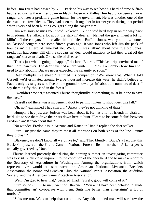before, Jim Evers had passed by V. T. Park on his way to see how his herd of tame buffalo had fared during the winter down in black Houserock Valley. Jim had once been a Texas ranger and later a predatory game hunter for the government. He was another one of the deer stalker's few friends. They had been much together in former years during that period when Evers had been hunting cougars along the canyon rim.

"Jim was sorry to miss you," said Blakener. "But he said he'd stop in on the way back to Fredonia. He talked a lot about the starvin' deer an' blamed the government a lot for killin' off the cougars. Jim recalled his old friend Buffalo Jones, who you know hunted an' lassoed cougars here some fifteen years ago. It was Jones who left Jim the pack of hounds an' the herd of tame buffalo. Well, Jim was talkin' about how true old Jones' prediction had come. Kill off the cougars an' deer would multiply so fast they'd eat off the range an' starve to death. Or else die of disease."

"That's just what's going to happen," declared Eburne. "This last trip convinced me of that more than ever. The deer have had a hard winter. . . . Yes, I remember how Jim and I used to talk about it. But we never expected the calamity so soon."

"Deer multiply like sheep," returned his companion. "We know that. When I told Cassell we'd estimated around twelve thousand increase this year, he didn't believe it. Fact is only us rangers who live on the ground know anythin' about the numbers of deer. I say there's fifty-thousand in the forest."

"I wouldn't wonder," assented Eburne thoughtfully. "Something must be done to save the herd."

"Cassell said there was a movement afoot to permit hunters to shoot deer this fall."

"Oh, no!" exclaimed Thad sharply. "Surely they're not thinking of that?"

"Humph. They just are. Judson was keen about it. He has a lot of friends in Utah an' he'd like to see them drive their cars down here to hunt. 'Pears to be some feelin' between Fredonia an' Kanab about this."

"No wonder. Fredonia is in Arizona and Kanab in Utah," replied the deer stalker.

"Sure. But just the same they're most all Mormons on both sides of the line. Funny they'd clash."

"Blakener, we don't know all we'd like to," said Thad bluntly. "But it's a fact that this Buckskin preserve—the Grand Canyon National Forest—lies in northern Arizona yet is actually governed by Utah."

Eburne learned presently that during the coming summer an investigating committee was to visit Buckskin to inquire into the condition of the deer herd and to make a report to the Secretary of Agriculture in Washington. Among the organizations from which representatives would be sent were the American National Livestock Breeders Association, the Boone and Crockett Club, the National Parks Association, the Audubon Society, and the American Game Protective Association.

"Well, I'm glad to hear that," declared Thad. "Surely, good will come of it."

"Sure sounds O. K. to me," went on Blakener. "You an' I have been detailed to guide that committee an' co-operate with them. Suits me better than entertainin' a lot of tourists<sup>"</sup>

"Suits me too. We can help that committee. Any fair-minded man will see how the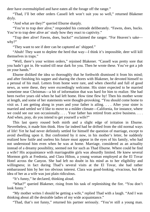deer have overmultiplied and have eaten all the forage off the range."

"Thad, I'll bet other orders Cassell left won't suit you so well," returned Blakener dryly.

"And what are they?" queried Eburne sharply.

"You're to trap deer alive," responded his comrade deliberately. "Fawns, does, bucks. You're to trap deer alive an' study how they react to captivity."

"Trap deer alive! Fawns, does, bucks!" exclaimed the ranger. "For Heaven's sake why?"

"They want to see if deer can be captured an' shipped."

"Ahuh! They want to deplete the herd that way—I think it's impossible, deer will kill themselves in traps."

"Well, there's your written orders," rejoined Blakener. "Cassell was pretty sore that you hadn't got in. He waited till near dark for you. Then he wrote these. You've got a job on your hands."

Eburne disliked the idea so thoroughly that he forthwith dismissed it from his mind; and after finishing his supper and sharing the chores with Blakener, he devoted himself to a perusal of his mail. Letters from home were rare, and when cheerful and full of good news, as were these, they were exceedingly welcome. His sister expected to be married sometime near Christmas—a bit of information that was hard for him to realize. She had been twelve years old when he had left home. How time flew by! Then his mother wrote at length, and some of her statements were thought-provoking. "You should come home to visit us. I am getting along in years and your father is ailing. . . . After your sister is married and settled we'd like to move to a milder climate—California, for instance, where we could see our son occasionally. . . . Your father has retired from active business. . . . And when, pray, do you intend to get yourself a wife?"

This last query roused both mirth and a slight edge of irritation in Eburne. Nevertheless, it made him think. How far indeed had he drifted from the old normal ways of life! Yet he had never definitely settled for himself the question of marriage, except to avoid dwelling upon it. But confronted by it now, in his mother's letter, he suddenly realized how futile and useless his future must appear in the eyes of his family, who had not understood him even when he was at home. Marriage, considered as an actuality instead of a dreamy possibility, seemed not for such as Thad Eburne. Where could he find a wife? His acquaintance with marriageable girls was absurdly limited. He knew several Mormon girls at Fredonia, and Clara Hilton, a young woman employed at the El Tovar Hotel across the Canyon. She had left no doubt in his mind as to her eligibility and willingness; in fact during Thad's several visits at the El Tovar, she had rather embarrassed him by her too obvious interest. Clara was good-looking, vivacious, but the idea of her as a wife was just plain ridiculous.

"It's funny," he declared, thinking aloud.

"What?" queried Blakener, rising from his task of replenishing the fire. "You don't look funny."

"My mother writes I should be getting a wife," replied Thad with a laugh. "And I was thinking about all the desirable ladies of my wide acquaintance."

"Thad, that's not funny," returned his partner seriously. "You're still a young man.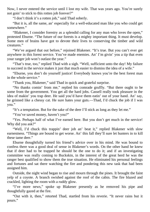Now, I never entered the service until I lost my wife. That was years ago. You're surely not goin' to stick to this rotten job forever?"

"I don't think it's a rotten job," said Thad soberly.

"But it is, all the same, an' especially for a well-educated man like you who could get somewhere."

"Blakener, I consider forestry as a splendid calling for any man who loves the open," protested Eburne. "The future of our forests is a mighty important thing. It must develop. Some men of brains have got to devote their lives to conserving the timber and wild creatures."

"We've argued that out before," rejoined Blakener. "It's true. But you can't ever get anywhere in this forest service. You've made enemies. An' I'm givin' you a tip that even your ranger job won't outlast the year."

"That's true, too," replied Thad with a sigh. "Well, sufficient unto the day! My failure to succeed in the service makes it just that much easier to dismiss the idea of a wife."

"Eburne, you don't do yourself justice! Everybody knows you're the best forest man in the whole service."

"Thank you, Blakener," said Thad in quick and grateful surprise.

"No thanks comin' from me," replied his comrade gruffly. "But there ought to be some from the government. You get all the hard jobs. Cassell really took pleasure in the idea of makin' you trap deer. He said you'd have them eatin' out of your hand. An' say, he grinned like a chessy cat. He sure hates your guts.—Thad, I'd chuck the job if I was you."

"It's a temptation. But for the sake of the deer I'll stick as long as they let me."

"You've saved money, haven't you?"

"Yes. Perhaps half of what I've earned here. But you don't get much in the service! Why did you ask?"

"Well, I'd chuck this trappin' deer job an' beat it," replied Blakener with slow earnestness. "Things are bound to get worse. An' this fall they'll sure let hunters in to kill these tame deer."

Eburne thoughtfully turned his friend's advice over in his mind. He was bound to confess there was a good deal of sense in Blakener's words. On the other hand he knew that if deer had to be trapped he should be the one to do it; and if an investigating committee was really coming to Buckskin, in the interest of the great herd he was the ranger best qualified to show them the true situation. He eliminated his personal feelings and fortunes and sat there watching the fire and pondering this new task that had been assigned him.

Outside, the night wind began to rise and mourn through the pines. It brought the faint yelp of a coyote. A branch swished against the roof of the cabin. The fire blazed and crackled, lighting the room with a ruddy glow.

"I've more news," spoke up Blakener presently as he removed his pipe and thoughtfully gazed at the fire.

"Out with it, then," retorted Thad, startled from his reverie. "It never rains but it pours."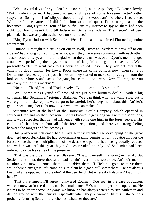"Well, several days after you left I rode over to Quakin' Asp," began Blakener slowly. "But I didn't ride in. I happened to get a glimpse of some horsemen actin' rather suspicious. So I got off an' slipped ahead through the woods an' hid where I could see. Well, sir, I'll be darned if I didn't fall into somethin' queer. I'd been right about the horsemen—Bing Dyott an' four of his outfit—an' my instinct to spy on them had been right, too. For it wasn't long till Judson an' Settlemire rode in. The meetin' had been planned. That was as plain as the nose on your face."

"Bing Dyott! Judson with Settlemire! Well, I'll be a—" exclaimed Eburne in genuine amazement.

"Humph! I thought it'd strike you queer. Well, Dyott an' Settlemire drew off to one side an' had a long confab. It was serious, an' they were sure acquainted with each other. Judson acted uneasy, as if he'd be glad when the council was over. Dyott's men lounged around whisperin' together mysterious like an' laughin' among themselves. . . . Well, presently Settlemire went back to his horse an' called Judson. They rode off toward the valley, no doubt makin' for Lower Pools where his cattle outfit is now. Then some of Dyotts men fetched up their pack-horses an' they started to make camp. Judgin' from the look of their horses an' packs, the gang had come a long way. Now, Eburne, can you make anythin' of this meetin'?"

"No, not offhand," replied Thad gravely. "But it doesn't look straight."

"Well, some things you'd call crooked are just plain business dealin'—with a big cattleman like Settlemire," rejoined Blakener. "We can think what we want, sure, but if we're goin' to make reports we've got to be careful. Let's keep mum about this. An' let's get our heads together right now to see what we can make of it."

Settlemire was at the head of the Houserock Cattle Company, which operated in southern Utah and northern Arizona. He was known to get along well with the Mormons, and it was suspected that he had influence with some one high in the forest service. His cattle outfit had broken about all of the forest regulations, and there was strong feeling between the rangers and his cowboys.

This prosperous cattleman had always bitterly resented the developing of the great deer herd upon Buckskin. He had government grazing permits to run his cattle all over the forest. Since the over-multiplication of the deer, these permits had been gradually reduced and withdrawn until this year they had been revoked entirely and Settlemire had been ordered to drive his cattle off the preserve.

"That was the order," declared Blakener. "I saw it myself this spring in Kanab. But Settlemire still has three thousand head runnin' over on the west side. An' he's makin' absolutely no move to round them up an' drive them off. He's not goin' to move them while there's any grass left. Now it's sure plain he's got a pull somewhere. An' we always knew why he opposed the spreadin' of the deer herd. But where do Judson an' Dyott fit in here?"

"That's a stumper, I'll agree," answered Eburne. "You see, in the case of Judson, we're somewhat in the dark as to his actual status. He's not a ranger or a supervisor. He claims to be an inspector. Anyway, we know he has always catered to rich cattlemen and dallied around with the tourists, especially when they're women. In this instance he's probably favoring Settlemire's schemes, whatever they are."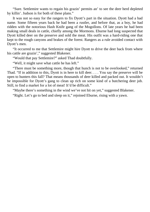"Sure. Settlemire wants to regain his grazin' permits an' to see the deer herd depleted by killin'. Judson is for both of these plans."

It was not so easy for the rangers to fix Dyott's part in the situation. Dyott had a bad name. Some fifteen years back he had been a rustler, and before that, as a boy, he had ridden with the notorious Hash Knife gang of the Mogollons. Of late years he had been making small deals in cattle, chiefly among the Mormons. Eburne had long suspected that Dyott killed deer on the preserve and sold the meat. His outfit was a hard-riding one that kept to the rough canyons and brakes of the forest. Rangers as a rule avoided contact with Dyott's men.

"It occurred to me that Settlemire might hire Dyott to drive the deer back from where his cattle are grazin'," suggested Blakener.

"Would that pay Settlemire?" asked Thad doubtfully.

"Well, it might save what cattle he has left."

"There must be something more, though that hunch is not to be overlooked," returned Thad. "If in addition to this, Dyott is in here to kill deer. . . . You say the preserve will be open to hunters this fall? That means thousands of deer killed and packed out. It wouldn't be impossible for Dyott's gang to clean up rich on some kind of a butchering deer job. Still, to find a market for a lot of meat! It'd be difficult."

"Maybe there's something in the wind we've not hit on yet," suggested Blakener.

"Right. Let's go to bed and sleep on it," rejoined Eburne, rising with a yawn.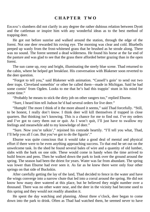## **C H A P T E R T W O**

EBURNE'S slumbers did not clarify in any degree the rather dubious relation between Dyott and the cattleman or inspire him with any wonderful ideas as to the best method of trapping deer.

He got out before sunrise and walked around the station, through the edge of the forest. Not one deer rewarded his roving eye. The morning was clear and cold. Bluebells peeped up wanly from the frost-whitened grass that he brushed as he strode along. There was no sound. The forest seemed a dead wilderness. He found his horse at the far end of the pasture and was glad to see that the grass there afforded better grazing than in the open forest.

The sun came up, rosy and bright, illuminating the steely blue scene. Thad returned to the cabin, where he helped get breakfast. His conversation with Blakener soon reverted to the deer question.

"Forgot to tell you," said Blakener with animation. "Cassell's goin' to send out two deer traps. Cleveland somethin' or other he called them—made in Michigan. Said he had some comin' from Ogden. Looks to me that he's had this trappin' stunt in his mind for some time."

"Probably he means to stick the dirty job on other rangers too," replied Eburne.

"Sure, I heard him tell Judson he'd had several orders for live deer."

"Humph! The more I think of it the more absurd it seems," said Thad forcefully. "Still, to be honest, I really don't *know*. I think deer will kill themselves if trapped in close quarters. But thinking isn't knowing. This is a chance for me to find out. I've my orders and I've got to carry them out or quit. As I won't quit, I'll just have to swallow my feelings and meanwhile add to my knowledge of deer."

"Sure. Now you're talkin'," rejoined his comrade heartily. "I'll tell you what, Thad, I'll help you all I can. But you've got to do the figurin'."

Eburne was quite conscious that it would take a good deal of mental and physical effort if there were to be even anything approaching success. To that end he set out on the unwelcome task. In the shed he found several bales of wire and a quantity of old lumber, slabs with the bark on one side. These would come in handy when the time arrived to build fences and pens. Then he walked down the park to look over the ground around the spring. The season had been the driest for years. Water was far from abundant. The spring was lower than Eburne had ever seen it. As far as he knew there were only four other springs on that side of Buckskin.

After carefully getting the lay of the land, Thad decided to fence in the water and have the wings converge into a narrow chute that led into a corral around the spring. He did not know how many deer watered at this place, but he believed they might number over a thousand. There was no other water near, and the deer in the vicinity had become used to this spring and they would not readily abandon it.

He spent the day watching and planning. About three o'clock, deer began to come down into the park to drink. Often as Thad had watched them, he seemed never to have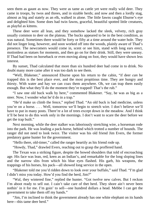seen them as gaunt as now. They were as tame as cattle yet were really wild deer. They came in troops, by twos and threes, and in sizable herds; and now and then a lordly stag, almost as big and stately as an elk, walked in alone. The little fawns caught Eburne's eye and delighted him. Some does had twin fawns, graceful, beautiful spotted little creatures, as playful as kittens.

These deer were all lean, and they somehow lacked the sleek, velvety, rich gray usually common to deer on the plateau. The bucks appeared to be in the best condition, as was natural. Sometimes there would be forty or fifty at a time around the water hole. They did not linger long, however, and soon worked off into the woods, plainly aware of Thad's presence. The newcomers would come in, scent or see him, stand with long ears erect, motionless as statues for moments, and then go on for their drink. Still, they were uneasy. If Thad had been on horseback or even moving along on foot, they would have shown less interest.

By sunset, Thad calculated that more than six hundred deer had come in to drink. No doubt many more came after it was too dark to see them.

"Well, Blakener," announced Eburne upon his return to the cabin, "if deer *can* be trapped this is the best place ever, and the most propitious time. They are hungry and thirsty. With water and hay we can coax them anywhere. Oh, we can trap them easily enough. But what they'll do the moment they're trapped! That's the rub."

"I saw one old buck walk by here," commented Blakener. "Say, he was as big as a steer. Now, I wonder what he'd do in a trap."

"He'd make us climb the fence," replied Thad. "An old buck is bad medicine, unless you're on a horse. . . . Well, tomorrow we'll begin to stretch wire. I don't believe we'll have to put in many posts. There're a lot of trees except down in the meadow. And I think it'll be best to do this work only in the mornings. I don't want to scare the deer before we get the trap built."

Next morning, while the deer stalker was laboriously stretching wire, a horseman rode into the park. He was leading a pack-horse, behind which trotted a number of hounds. The ranger did not need to look twice. The visitor was his old friend Jim Evers, the former predatory game hunter for the government.

"Hello there, old-timer," called the ranger heartily as his friend rode up.

"Howdy, Thad," drawled Evers, reaching out to grasp the proffered hand.

The Texan was a striking figure, despite the bowed shoulders that told of encroaching age. His face was lean, red, keen as an Indian's, and remarkable for the long sloping lines and the narrow slits from which his blue eyes flashed. His garb, his weapons, the trappings of his horses, his pack—all showed long service in the open.

"Blakener told me you'd ridden down to look over your buffalo," said Thad. "I'm glad I didn't miss you today. How'd you find the herd, Jim?"

"Wal, they wintered fine," replied the hunter. "Got twelve new calves. But I reckon I'm aboot ready to sell out. I cain't take care of thet herd. They shore ain't never been nothin' in it for me. I'm goin' to sell—one hundred dollars a head. Mebbe I can get the government to take them off my hands."

"Jim, I'm inclined to think the government already has one white elephant on its hands here—this tame deer herd."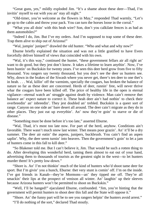"Great guns, yes," mildly exploded Jim. "It's a shame aboot these deer—Thad, I'm invitin' myself to eat with you an' stay all night."

"Old-timer, you're welcome as the flowers in May," responded Thad warmly, "Let's go up to the cabin and throw your pack. You can turn the horses loose in the corral."

"What you all doin' with this heah wire? Son, don't you calkilate fences is as bad as them automobiles?"

"Indeed I do, Jim. But I've my orders. And I'm supposed to trap some of these deer. Trap them alive to ship out of Arizona!"

"Wal, jumpin' juniper!" drawled the old hunter. "Who and what and why now?"

Eburne briefly explained the situation and was not a little gratified to have Evers forcefully deliver himself of views that coincided with his own.

"Wal, it's this way," continued the hunter, "these government fellars air all right an' want to do good, but they jest don't know. It takes a lifetime to learn anythin'. Now, I've been huntin' on Buckskin for twenty years. I've seen this deer herd grow from five to fifty thousand. You rangers say twenty thousand, but you don't see the deer us hunters see. Why, down in the brakes of the Siwash where you never get, there's ten deer to one thet's in heah. . . . Wal, killin' off the varmints, specially the cougars, has broken the balance of nature so far as these deer are concerned. Herds of deer, runnin' free, will never thrive whar the cougars have been killed off. The price of healthy life in the open is eternal vigilance—eternal watch an' struggle against death by violence. Man cain't remove thet balance an' expect nature to correct it. These heah deer ain't had nothin' to check their overbreedin' an' inbreedin'. They jest doubled an' trebled. Buckskin is a queer sort of range. Canyon on one side an' bare desert all around. The deer cain't migrate as they do in other places. They just eat up everythin'. An' now they're goin' to starve or die of disease."

"Something must be done before it's too late," asserted Eburne.

"Wal, Thad, it's most too late now. For part of the herd, anyhow. Conditions ain't favorable. There wasn't much snow last winter. Thet means poor grazin'. An' it'll be a dry summer. The deer air eatin' the aspens, junipers, buckbrush. You cain't find an aspen saplin'. Why, the deer seem turnin' into beavers. Then the government's goin' to let a jam of hunters come in this fall to kill deer."

"So Blakener told me. But I can't believe it, Jim. That would be such a rotten thing to do. After developing this wonderful herd, taming them almost to eat out of your hand, advertising them to thousands of tourists as the greatest sight in the west—to let hunters murder them! It's pretty low-down."

"Shore is. An' I'm not thinkin' much of the kind of hunters who'd shoot tame deer for sport. But I'm givin' you a hunch, Eburne: thet very stunt is comin' off. I'm on the inside. I've got friends in Kanab—they're Mormons—an' they tipped me off. They're all smackin' their lips at the prospect of venison all winter. An' laughin' up their sleeves because Arizona hunters won't be permitted to shoot on Buckskin."

"Well, I'll be hanged!" ejaculated Eburne, confounded. "Jim, you're hinting that the government will permit hunters to shoot deer this fall and the State will oppose it."

"Shore. An' the funny part will be to see you rangers helpin' the hunters avoid arrest." "I'll do nothing of the sort," declared Thad stoutly.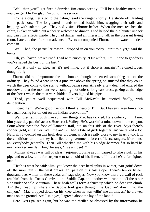"Wal, then you'll get fired," drawled Jim complacently. "It'll be a healthy mess, an' you can gamble I'm glad I'm out of the service."

"Come along. Let's go to the cabin," said the ranger shortly. He strode off, leading Jim's pack-horse. The long-eared hounds trotted beside him, wagging their tails and begging with solemn eyes. They had visited Eburne before. When the men reached the cabin, Blakener called out a cheery welcome to dinner. Thad helped the old hunter unpack and carry his effects inside. They had dinner, and an interesting talk in the pleasant living room. Later, as the afternoon advanced, Evers accompanied Eburne out to watch the deer come in.

"Wal, Thad, the particular reason I dropped in on you today I ain't told yet," said the hunter.

"Oh, you haven't?" returned Thad with curiosity. "Out with it, Jim. I hope to goodness you've saved the best for the last."

"Wal, it's only an idee, an' it's not mine, but it shore is amazin'," rejoined Evers thoughtfully.

Eburne did not importune the old hunter, though he sensed something out of the ordinary. They found a seat under a pine tree above the spring, so situated that they could watch the deer come to the spring without being seen. Already a few deer had entered the meadow and at the moment were standing motionless, long ears erect, gazing at the edge of the forest where the men were hidden. Evers lighted his pipe.

"Thad, you're well acquainted with Bill McKay?" he queried finally, with deliberation.

"Indeed I am. We're good friends. I think a heap of Bill. But I haven't seen him since he began boring for oil out on the Indian reservation."

"Wal, thet fell through like so many things Mac has tackled. He's onlucky. . . . I met him yesterday packin' across Houserock Valley. He's workin' a mine down in the canyon. Somewhere near the foot of Tanner's trail, but on this side of the river. Says there's copper, gold, an' silver. Wal, me an' Bill had a bite of grub together, an' we talked a lot. Naturally I touched on this heah deer problem, which is really close to my heart. I told Bill the conditions an' how they had riled up government, forest officers, rangers, Mormons, an' everybody generally. Then Bill whacked me with his sledge-hammer fist so hard he near knocked me flat. 'Jim,' he says, 'I've an idee!' "

"McKay always was full of ideas," rejoined Eburne as Jim paused to take a puff on his pipe and to allow time for suspense to take hold of his listener. "In fact he's a far-sighted man"

"Heah is what he said: 'Jim, you know the deer herd splits in winter, part goin' down off the mountain in the west brakes, an' part on this east slope. There's ten or fifteen thousand deer winter on these cedar an' sage slopes. Now you know there's a wall of rock reachin' from the Cocks Combs to the Saddle Gap, an' another wall runnin' off the other side under Saddle Mountain. These heah walls form a fence up which no deer can climb. An' they head up where the Saddle trail goes through the Gap an' down into the canyon.'—Mac dropped down on his knee when he was tellin' me all this, an' he drawed maps on the ground. An' I said yes, I agreed aboot the lay of the land."

Here Evers paused again, but he was too thrilled or obsessed by the information he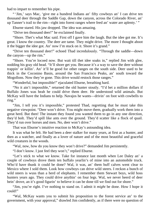had to impart to remember his pipe.

" 'Jim,' says Mac, 'give me a hundred Indians an' fifty cowboys an' I can drive ten thousand deer through the Saddle Gap, down the canyon, across the Colorado River, an' up Tanner's trail to the rim—right into forest ranges where feed an' water are aplenty.' "

Eburne stared. His jaw dropped. The idea was amazing.

"Drive ten thousand deer!" he exclaimed finally.

"Shore. Thet's what Mac said. First off I gave him the laugh. But the idee got me. It's great. I know the country. The deer are tame. They might drive. The more I thought aboot it the bigger the idee got. An' now I'm stuck on it. Shore it's grand."

"Drive ten thousand deer!" echoed Thad incredulously. "Through the saddle—down the canyon—up the rim."

"Shore. You're locoed now. But wait till thet idee soaks in," replied Jim with glee, nodding his gray old head. "It'll shore get you. Because it's a way to save the deer without trappin' or killin'. An' it'll be good for other ranges on the south side. Deer used to be thick in the Coconino Basin, around the San Francisco Peaks, an' south toward the Mogollons. Now they're gone. This drive would restock those ranges."

"Wonderful, but impossible!" ejaculated Eburne, breathing hard.

"No it ain't impossible," returned the old hunter stoutly. "I'd bet a million dollars if Buffalo Jones was heah he could drive them deer. He understood wild animals. But McKay will have the Indians to help. Navajos he wants—drivin' on foot with cowbells to ring."

"Jim, I tell you it's impossible," protested Thad, regretting that he must take this negative viewpoint. "Deer won't drive. You might move them, gradually work them into a great herd. But then! The instant they found you wanted them to go in any one direction, they'd bolt. They'd spill like ants over the ground. They'd scatter like a flock of quail. They'd run over horses and men. No, deer won't drive."

That was Eburne's intuitive reaction to McKay's astounding idea.

It was what he felt. He had been a deer stalker for many years, at first as a hunter, and then as a watcher, and finally as a lover of nature and of the most beautiful and graceful wild creatures in the woods.

"Wal, now, how do you know they won't drive?" demanded Jim persistently.

"I don't know. I just feel they won't," replied Eburne.

"Let's stick to what we know. Take for instance last month when Lee Daley an' a couple of cowboys drove them ten buffalo yearlin's of mine into an automobile truck. Who'd have thunk it could be done? Wal, it was, an' them buff calves went clear to Mexico where I sold them. Look how cowboys can drive wild steers. I reckon a bunch of wild steers is wuss than a herd of elephants. I remember them Stewart boys, wild hoss hunters years ago. They could drive anythin' on four legs. Wal, we never heerd of deer bein' drove, an it's good figurin' to believe it can be done till we find out for shore."

"Jim, you're right. I've nothing to stand on. I admit it *might* be done. How I hope it could!"

"Wal, McKay wants you to submit his proposition to the forest service an' to the government, with your approval," drawled Jim confidently, as if there were no question of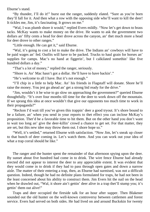Eburne's stand.

"By thunder, I'll do it!" burst out the ranger, suddenly elated. "Sure as you're born they'll fall for it. And then what a row with the opposing side who'll want to kill the deer! It tickles me, Jim, it's fascinating. It grows on me."

"Wal, I was plumb shore it would," replied Evers mildly. "Now let's get down to brass tacks. McKay wants to make money on the drive. He wants to ask the government two dollars an' fifty cents a head for deer drove across the canyon, an' thet much more a head for deer drove to other ranges."

"Little enough. He can get it," said Eburne.

"Wal, it's going to cost a lot to make the drive. The Indians an' cowboys will have to be paid wages an' fed. Outfits will have to be packed. Trucks to haul grain for horses an' supplies for camps. Mac's no hand at figgerin', but I calkilated somethin' like five hundred dollars a day."

"That's a lot of money," replied the ranger, seriously.

"Shore is. An' Mac hasn't got a dollar. He'll have to have backin'."

"He's welcome to all I have. But it's not enough."

"I'll chip in a little to help Mac. An' his friends in Flagstaff will donate. Shore he'll raise the money. You jest go ahead an' get a strong bid ready for the drive."

"Jim, wouldn't it be wise to go slow on approaching the government?" queried Eburne thoughtfully. "It's over four months till time for the deer to work down off the mountain. If we sprang this idea at once wouldn't that give our opponents too much time to work in their propaganda?"

"Reckon I'd wait till you've given this trappin' deer a good tryout. It's shore bound to be a failure, an' when you send in your reports to thet effect you can inclose McKay's proposition. Thet'd be a favorable time to hit them. But on the other hand you don't want to wait too long an' give the deer-killin' crowd a chance to get set. For that matter, they are set, but this new idee may throw them out. I shore hope so."

"Well, it's settled," returned Eburne with satisfaction. "Now Jim, let's sneak up closer to that bunch of deer coming in. Let's watch them. And you can work out your idea of what a trap corral should be like."

The ranger and the hunter spent the remainder of that afternoon spying upon the deer. By sunset about five hundred had come in to drink. The wire fence Eburne had already erected did not appear to interest the deer to any appreciable extent. It was evident that they would come in to drink if they had to pass through open gates and down a narrow aisle. The matter of their entering a trap, then, as Eburne had surmised, was not a difficult question. Indeed, though he had no definite plans formulated for traps, he had not been in the least concerned about his ability to construct them. Jim Evers hit the nail on the head when he drawled out, "Wal, it shore ain't gettin' deer alive in a trap thet'll stump you; it's gettin' them out alive!"

Traps and deer occupied the fireside talk for an hour after supper. Then Blakener sounded out the old hunter on the well-known controversy between cattlemen and forest service. Evers had served on both sides. He had lived on and around Buckskin for twenty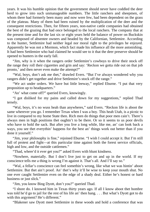years. It was his humble opinion that the government should never have coddled the deer herd to grow into such unmanageable numbers. The little ranchers and sheepmen, of whom there had formerly been many and now were few, had been dependent on the grass of the plateau. Many of them had been ruined by the multiplication of the deer and the consequent restrictions. Then, for fifteen years, non-native cattle companies had obtained the best of the grazing that had once belonged to the local ranchers. The company that at the present time and for the last six or eight years held the balance of power on Buckskin was composed of absentee owners and headed by the Californian, Settlemire. According to the hunter, Settlemire had neither legal nor moral right to the privileges he enjoyed. Apparently he was not a Mormon, which fact made his influence all the more astonishing. It had been Settlemire who had claimed he would see to it that the deer preserve should be opened to hunters in the early fall.

"Jim, why is it when the rangers order Settlemire's cowboys to drive their stock off the range they roll their cigarettes and grin and say: 'Reckon we gotta ride out on that job pronto,' and then never even make the attempt?"

"Wal, boys, don't ask me thet," drawled Evers. "But I've always wondered why you rangers didn't get together and drive Settlemire's stock off the range."

"We act under orders. We have but little leeway," replied Eburne. "I put that very proposition up to headquarters."

"An' what come off?" queried Evers, knowingly.

"I got disliked for my pains and called down for my suggestions," replied Thad tersely.

"Wal, boys, it's no wuss heah than anywheres," said Evers. "Reckon life is aboot the same wherever you go. I remember Texas when I was a boy. This heah Utah, is a picnic to live in compared to my home State then. Rich men do things that poor men cain't. There's always men in high positions thet oughtn't to be there. Or so it seems to us poor devils who have to hold the sack. But after you live a long while, like me, an' can look back a ways, you see thet everythin' happens for the best an' things work out better than if you done it yourself."

"Jim, your philosophy is fine," rejoined Eburne. "I wish I could accept it. But I'm still full of protest and fight—at this particular time against both the forest service officials, high and low, and the outside cattlemen."

"Thad, where'd it ever get you?" asked Evers with blunt kindness.

"Nowhere, materially. But I don't live just to get on and up in the world. If my conscience tells me a thing is wrong I'm against it. That's all. And I'll say so."

"Wal, a fellar's conscience can feel somethin's wrong, like what we was hintin' aboot Settlemire. But thet ain't proof. An' thet's why it'll be wise to keep your mouth shut. No one ever caught Settlemire even on the edge of a shady deal. Either he's honest or hard business or just slick."

"Jim, you know Bing Dyott, don't you?" queried Thad.

"I shore do. I knowed him in Texas thirty years ago. If all I know aboot thet hombre was told he'd go to jail for the rest of his life an' then hang. . . . But what's Dyott got to do with this argyment? He's different."

"Blakener saw Dyott meet Settlemire in these woods and hold a conference that was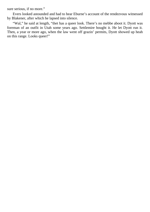sure serious, if no more."

Evers looked astounded and had to hear Eburne's account of the rendezvous witnessed by Blakener, after which he lapsed into silence.

"Wal," he said at length, "thet has a queer look. There's no mebbe aboot it. Dyott was foreman of an outfit in Utah some years ago. Settlemire bought it. He let Dyott run it. Then, a year or more ago, when the law went off grazin' permits, Dyott showed up heah on this range. Looks queer!"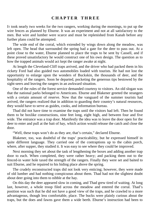# **C H A P T E R T H R E E**

IT took nearly two weeks for the two rangers, working during the mornings, to put up the wire fences as planned by Eburne. It was an experiment and not at all satisfactory to the men. But wire and lumber were scarce and must be replenished from Kanab before any further plans could be attempted.

The wide end of the corral, which extended by wings down along the meadow, was left open. The head that surrounded the spring had a gate for the deer to pass out. At a point close to the water, Eburne planned to place the traps to be sent by Cassell, and if these proved unsatisfactory he would construct one of his own design. The question as to how the trapped animals would act kept the ranger awake at night.

At length the Cleveland-Cliff traps arrived, and the driver who had packed them in his rickety Ford had also guided two automobiles loaded with tourists. He had not lost the opportunity to enlarge upon the wonders of Buckskin, the thousands of deer, and the hospitality of the rangers. Soon he departed, pocketing the generous tips bestowed by the sight-seers and leaving the rangers in an awkward situation.

One of the rules of the forest service demanded courtesy to visitors. An old slogan was that the national parks belonged to Americans. Eburne and Blakener greeted the strangers with a certain amount of reserve. Now that the vanguard of the summer tourists had arrived, the rangers realized that in addition to guarding their country's natural resources, they would have to serve as guides, cooks, and information bureau.

Thad did not have time to examine the traps until the visitors had left. Then he found them to be boxlike constructions, nine feet long, eight high, and between four and five wide. The entrance was a trap door. Manifestly the idea was to leave the door open for the deer to enter and pull at the bait of hay, which action would release the catch and close the door.

"Well, these traps won't do as they are, that's certain," declared Eburne.

Blakener, too, was doubtful of the traps' practicability, but he expressed himself in quite different language. They carried one of the contraptions up to the cabin porch, where, after supper, they studied it. It was easy to see where they could be improved.

Next morning they set about the task of lengthening the boxes and adding another trap door to each. When completed, they were rather heavy; and packing them out to the fenced-in water hole taxed the strength of the rangers. Finally they were set and baited to suit Eburne, and he repaired to his hiding place above the spring.

The crudely reconstructed traps did not look very enticing; however, they were made of old lumber and had nothing conspicuous about them. Thad had not the slightest doubt about deer going into them to nibble at the hay.

On this day the deer appeared slow in coming, and Thad grew tired of waiting. At long last, however, a whole troop filed across the meadow and entered the corral. Thad's position was such that he did not have a good view of the traps, and he crawled to a more advantageous, though less comfortable, place. The bucks were plainly curious about the traps, but the does and fawns gave them a wide berth. Eburne's instruction had been to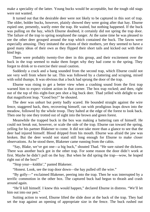make a speciality of the latter. Young bucks would be acceptable, but the tough old stags were not wanted.

It turned out that the desirable deer were not likely to be captured in this sort of trap. The older, bolder bucks, however, plainly showed they were going after that hay. Eburne espied one, presently, warily enter the trap. He waited, but nothing happened. If the buck was pulling on the hay, which Eburne doubted, it certainly did not spring the trap door. The failure of the trap to spring nonplused the ranger. At the same time he was pleased to see the other deer grouped around the trap which contained the buck. The fawns were especially amusing. They imitated the actions of their mothers, yet they seemed to have a good many ideas of their own as they flipped their short tails and kicked out with their hind legs.

There were probably twenty-five deer in this group, and their excitement over the buck in the trap seemed to make them forget why they had come to the spring. They forgot to drink or to exercise their usual caution.

Suddenly a crack and a bang sounded from the second trap, which Eburne could not see very well from where he sat. This was followed by a clattering and scraping, mixed with solid thumps. It was obvious that a buck had sprung the door of the trap.

Eburne was rising to get a better view when a crashing sound from the first trap warned him to expect violent action in that corner. The box trap rocked; and then, right out of the top of this eight-foot pen shot a big buck deer. Thad yelled with delight to see that magnificent leap. "Good boy!" he shouted.

The deer was unhurt but pretty badly scared. He bounded straight against the wire fence, staggered back, then, recovering himself, ran with prodigious leaps down into the meadow, followed by the whole troop. They halted at the edge of the forest to look back. Then one by one they trotted out of sight into the brown and green forest.

Meanwhile the trapped buck in the box was making a battering ram of himself. He could not break out, however, or scale the side of the trap. Eburne ran toward the spring, yelling for his partner Blakener to come. It did not take more than a glance to see that the deer had injured himself. Blood dripped from his mouth. Eburne was afraid the jaw was broken. But the deer would not stand still long enough for Eburne to make closer observations. As he stood there, Blakener came running from the cabin.

"Say, Blake, we've got one—a big buck," shouted Thad. "He sure raised the dickens. There was another buck got in the other trap. For some reason the door didn't work at first. Maybe he didn't pull on the hay. But when he did spring the trap—wow, he leaped right out of the box!"

"Stop your—kiddin'," panted Blakener.

"Honest. Look, see the trap door down—the hay pulled off the wire."

"By golly—" exclaimed Blakener, peering into the trap. Then he was interrupted by a terrific commotion in the other box. The captured buck had begun to thrash and crash around again.

"He'll kill himself. I knew this would happen," declared Eburne in distress. "We'll let him out into our pen."

Suiting action to word, Eburne lifted the slide door at the back of the trap. They had set the trap against an opening of appropriate size in the fence. The buck rushed out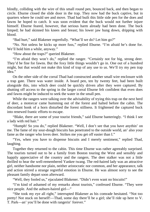blindly, colliding with the wire of this small round pen, bounced back, and then began to circle. Eburne closed the slide door in the trap. They now had the buck captive, but in quarters where he could see and move. Thad had built this little side pen for the does and fawns he hoped to catch. It was soon evident that the buck would not further injure himself. Eburne feared, however, that serious harm already had been done. The buck limped; he had skinned his knees and breast; his lower jaw hung down, dripping with blood.

"Bad hurt," said Blakener regretfully. "What'll we do? Let him go?"

"No. Not unless he kicks up more fuss," replied Eburne. "I'm afraid he's done for. We'll hold him a while, anyway."

"How about the traps?" queried Blakener.

"I'm afraid they won't do," replied the ranger. "Certainly not for big, strong deer. They'd be fine for fawns. But the foxy little things wouldn't go in. One out of a hundred might, but that would not make this kind of trap of any use to us. We'll try my pen trap idea."

On the other side of the corral Thad had constructed another small wire enclosure with a trap gate. There was water inside. A board pen, ten by twenty feet, had been built alongside this, into which deer could be quickly driven after they were captured. By shutting off access to the spring in the larger corral Eburne felt confident that even does and fawns might be induced to seek the water in the small pen.

While the rangers were talking over the advisability of trying this trap on the next herd of deer, a motorcar came humming out of the forest and halted before the cabin. The discordant honk of a horn disturbed the forest stillness. It frightened the captured buck into renewed frantic efforts to escape.

"Blake, there are some of your tourist friends," said Eburne banteringly. "I think I see a lady with red hair."

"Humph! So you do," replied Blakener. "Well, I don't see that you have anythin' on me. The fame of my sour-dough biscuits has penetrated to the outside world, an' also your fame as the ranger who loves deer. Strikes me you get off easier than I."

"Yes, when you have to dispense biscuits and I merely sentiment," replied Thad, laughing.

Together they returned to the cabin. This time Eburne was rather agreeably surprised. The tourists turned out to be a family from Boston touring the West and sensibly and happily appreciative of the country and the rangers. The deer stalker was not a little thrilled to hear the well-remembered Yankee twang. The red-haired lady was an attractive girl, neither handsome nor plain, neither aristocratic nor common, and her appearance, talk and action stirred a strange regretful emotion in Eburne. He was almost sorry to see the pleasant family depart soon afterward.

"Well, they fooled us," ejaculated Blakener. "Didn't even want no biscuits!"

"I'm kind of ashamed of my remarks about tourists," confessed Eburne. "They were nice people. And the auburn-haired girl—"

"She took my eye all right," interrupted Blakener as his comrade hesitated. "Not too pretty! Not stuck on herself!—Thad, some day there'll be a girl; she'll ride up here to V. T. Park—an' you'll be done with rangerin' forever."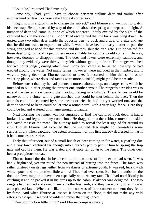"Could be," rejoined Thad musingly.

"Some day, Thad, you'll have to choose between stalkin' deer and trailin' after another kind of dear. For your sake I hope it comes soon."

"Right now is a good time to change the subject," said Eburne and went out to watch his deer trap. He approached by way of the knoll above the spring and kept out of sight. A number of deer had come in, none of which appeared unduly excited by the sight of the captured buck in the side corral. Soon Thad ascertained that the buck was lying down. He espied also two other deer inside the opposite pen—a buck and a doe, of a size and age that he did not want to experiment with. It would have been an easy matter to pull the string arranged at hand for this purpose and thereby shut the trap gate. But he waited for these deer to go out and hoped others more suitable for capture would come in. He was, however, doomed to disappointment. The does and fawns were extremely cautious, and though they evidently were thirsty, they left without getting a drink. The ranger watched for two hours longer, during which time many deer came as far as the new trap he had erected around the water. Not many fawns, however, were included in the number; and it was the young deer that Eburne wanted to take. It occurred to him that some other watering place, where does and fawns were more plentiful, might yield better results.

Before sunset that day he had planned a more elaborate trap, on a large scale, which he intended to build after giving the present one another tryout. The ranger's new idea was to extend the fences clear beyond the meadow, taking in a hillside. These fences would be narrowed into a chute, with a gate attached that could be shut behind the deer. Then the animals could be separated by some means or trick he had not yet worked out, and the deer he wanted to keep could be let into a round corral with a very high fence. Here they could be fed and watered until tame enough to handle.

Next morning the ranger was not surprised to find the captured buck dead. It had a broken jaw and leg and many contusions. He dragged it to the cabin, removed the skin, and saved most of the meat. The autopsy failed to reveal the least sign of fat around its ribs. Though Eburne had expected that the matured deer might do themselves some serious injury when captured, the actual realization of this first tragedy depressed him as if it had come as a surprise.

Early that afternoon, out of a small bunch of deer coming in for water, a yearling doe and a tiny fawn ventured far enough into Eburne's pen to permit him to spring the trap gate and capture them. He was elated and at once ran down to the fence. The other deer beat a precipitous retreat.

Eburne found the doe in better condition than most of the deer he had seen. It was badly frightened, yet ran round the pen instead of butting into the fence. The fawn was rather unsteady on its legs, either from weakness or extreme youth. It was red, fuzzy, with white spots, and the prettiest little animal Thad had ever seen. But for the antics of the doe, the fawn might not have been especially wild. At any rate, Thad had no difficulty in catching it and he packed it in his arms up to the cabin. Blakener was delighted. The two rangers had rescued and saved many a motherless lamb, and they were pretty sure this was an orphaned fawn. Whether it liked milk or not was of little concern to them; they fed it by force. And when Eburne at last set it down on the floor, it did not make any wild efforts to escape. It seemed bewildered rather than frightened.

"You poor forlorn little thing," said Eburne compassionately.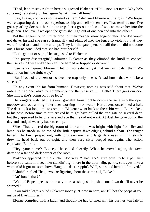"Thad, let him stay right in here," suggested Blakener. "He'll soon get tame. Why he's so young he's shaky on his legs— What'll we call him?"

"Say, Blake, you're as softhearted as I am," declared Eburne with a grin. "We forget we're capturing deer for our superiors to ship and sell somewhere. That reminds me, I've got a yearling doe out there in the trap. Let's go out and see if we can move her into the large pen. I believe if we open the gates she'll go out of one pen and into the other."

But the rangers found further proof of their meager knowledge of deer. The doe would not drive. Instead she ran so frantically and plunged into the fence so violently that they were forced to abandon the attempt. They left the gate open, but still the doe did not come out. Eburne concluded that she had hurt herself.

"Let's get out of sight," he suggested to Blakener.

"It's pretty discouragin'," admitted Blakener as they climbed the knoll to conceal themselves. "These wild deer can't be herded or trapped or driven."

"Seems so," agreed Eburne. "But I'm not satisfied yet that we can't catch them. We may hit on just the right way."

"But if out of a dozen or so deer we trap only one isn't bad hurt—that won't be a success."

"In any event it's far from humane. However, nothing was said about that. We've orders to trap deer alive for shipment out of the preserve. . . . Hello! There goes our doe. She limps, she's going on three legs."

The rangers watched the sleek, graceful form hobble down the aisle into the open meadow and out among other deer working in for water. Her advent occasioned a halt. The deer took a long time to come in. Blakener went back to the cabin while Eburne kept to his post. Before time to quit arrived he might have pulled the trap gate on several deer, but they appeared to be of a size and age that he did not want. At dusk he gave up for the day and trudged wearily back to camp.

When Thad entered the big room of the cabin, it was bright with light from fire and lamp. As he strode in, he espied the little captive fawn edging behind a chair. The ranger halted. The fawn peeped out, with long ears erect and large dark eyes shining, slowly drew its head back out of sight, and then very slyly peeped out again. The action captivated Eburne.

"Hey, your name's Bopeep," he called cheerily. When he moved again, the fawn darted to a far and dark corner of the room.

Blakener appeared in the kitchen doorway. "Thad, she's sure goin' to be a pet. Just before you came in I seen her standin' right here in the door. Big, gentle, soft eyes, like a woman's! It got me somehow. Hang this deer trappin'. Well, she stood here till I moved."

"Ahuh!" replied Thad, "you're figuring about the same as I, Blake."

"An' how's that?"

"Well, if Bopeep peeps at me any more as she just did, she's one fawn that'll never be shipped."

"You said a lot," replied Blakener soberly. "Come in here, an' I'll bet she peeps at you inside of five minutes."

Eburne complied with a laugh and thought he had divined why his partner was late in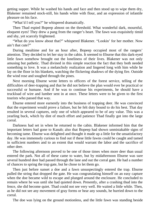getting supper. While he washed his hands and face and then stood up to wipe them dry, Blakener remained stock-still, his hands white with flour, and an expression of infantile pleasure on his face.

"What'd I tell you?" he whispered dramatically.

Then Thad espied Bopeep almost on the threshold. What wonderful dark, mournful, eloquent eyes! They drew a pang from the ranger's heart. The fawn was exquisitely timid and shy, yet scarcely frightened.

"What do you know about that?" whispered Blakener. "Lookin' for her mother. Now ain't that cute?"

During mealtime and for an hour after, Bopeep occupied most of the rangers' attention. They decided to let her stay in the cabin. It seemed to Eburne that this dark-eyed little fawn somehow brought out the loneliness of their lives. Blakener was not only amusing but pathetic. Thad divined in this simple reaction the fact that they both needed something to love. It was a melancholy realization and lingered long with him while he lay on the floor in his blankets, watching the flickering shadows of the dying fire. Outside the wind rose and soughed through the pines.

Next morning Eburne wrote letters to officers of the forest service, telling of the difficulties of deer-trapping and that he did not believe the plan would ever be practical or successful or humane. And if he was to continue his experiments, he should have a truckload of wire and lumber sent in at once. These letters were to be given to the first tourists who passed that way.

Eburne entered more earnestly into the business of trapping deer. He was convinced that the experiment would prove a failure, but he felt duty bound to do his best. That day resulted in several captures, only one of which appeared to be of any value. This was a yearling buck, which by dint of much effort and patience Thad finally got into the large corral.

Darkness had set in when he returned to the cabin. Blakener informed him that the important letters had gone to Kanab; also that Bopeep had shown unmistakable signs of becoming tame. Eburne was delighted and thought it made up a little for the unsatisfactory day. He was immensely curious to find out if these little fawns could be caught and tamed in sufficient numbers and to an extent that would warrant the labor and the sacrifice of other deer.

The following afternoon proved to be one of those times when more deer than usual entered the park. Not all of these came to water, but by midafternoon Eburne was sure several hundred deer had passed through the lane and out the corral gate. He had a number of chances to spring the trap gate, but he chose to let them go.

Then just before sunset a doe and a fawn unsuspectingly entered the trap. Eburne pulled the string that dropped the gate. He was congratulating himself on an easy capture when the doe became wild to escape and plunged around the enclosure. He concluded to remain where he was until she had quieted down. Presently, after a crashing thud into the fence, she did become quiet. Thad could not see very well. He waited a little while. Then, as he did not see any movement of gray forms or hear any sounds, he hurried down to the corral.

The doe was lying on the ground motionless, and the little fawn was standing beside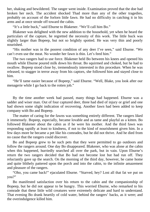her, shaking and bewildered. The ranger went inside. Examination proved that the doe had broken her neck. The accident shocked Thad more than any of the other tragedies, probably on account of the forlorn little fawn. He had no difficulty in catching it in his arms and at once strode off toward the cabin.

"It's a little buck," said Eburne to Blakener. "We'll call him Bo."

Blakener was delighted with the new addition to the household, yet when he heard the particulars of the capture, he regretted the necessity of this work. The little buck was slightly larger than Bopeep, but not so brightly spotted. He was very thin and poorly nourished.

"His mother was in the poorest condition of any deer I've seen," said Eburne. "We can't even use the meat. No wonder her fawn is thin. Let's feed him."

The two rangers had to use force. Blakener held Bo between his knees and opened his mouth while Eburne poured milk down his throat. Bo squirmed and choked, but he had to swallow. Bopeep stood close by, tremendously interested in this procedure. When he was released, to stagger in terror away from his captors, she followed him and stayed close to him.

"He'll tame easier because of Bopeep," said Eburne. "Well, Blake, you look after our menagerie while I go back to the rotten job."

By the time another week had passed, many things had happened. Eburne was a sadder and wiser man. Out of four captured deer, three had died of injury or grief and one had shown some slight indication of recovering. Another fawn had been added to keep company with Bo and Bopeep.

The matter of caring for the fawns was something entirely different. The rangers liked it immensely. Bopeep, especially, became lovable and as tame and playful as a kitten. Bo followed Blakener about the cabin as if he were his mother. And the third fawn was responding rapidly at least to kindness, if not to the kind of nourishment given him. In a few days more he became a pet like his comrades, but he did not thrive. And he died from no cause that the rangers could discover.

Bo and Bopeep grew to be such pets that they were permitted to go outdoors and follow the rangers around. One day Bo disappeared. Blakener, who was alone at the cabin when this happened, hurriedly searched all over the park, but in vain. Upon Eburne's return the two rangers decided that Bo had not become lost but had run off. They reluctantly gave up the search. On the morning of the third day, however, he came home and quite blithely pattered upon the porch and into the cabin, to the infinite amazement and pleasure of the rangers.

"Oho, you came back!" ejaculated Eburne. "Starved, hey? Lost all that fat we put on you?"

Bo manifested satisfaction over his return to the cabin and the companionship of Bopeep, but he did not appear to be hungry. This worried Eburne, who remarked to his comrade that these little wild creatures were extremely delicate and hard to understand. That evening Bo drank heartily of cold water, behind the rangers' backs, as it were; and the overindulgence killed him.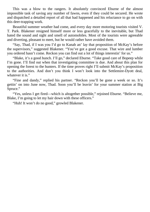This was a blow to the rangers. It absolutely convinced Eburne of the almost impossible task of saving any number of fawns, even if they could be secured. He wrote and dispatched a detailed report of all that had happened and his reluctance to go on with this deer-trapping work.

Beautiful summer weather had come, and every day more motoring tourists visited V. T. Park. Blakener resigned himself more or less gracefully to the inevitable, but Thad hated the sound and sight and smell of automobiles. Most of the tourists were agreeable and diverting, pleasant to meet, but he would rather have avoided them.

"Say, Thad, if I was you I'd go to Kanab an' lay that proposition of McKay's before the supervisors," suggested Blakener. "You've got a good excuse. That wire and lumber you ordered hasn't come. Reckon you can find out a lot of things interestin' for us."

"Blake, it's a good hunch. I'll go," declared Eburne. "Take good care of Bopeep while I'm gone. I'll find out when that investigating committee is due. And about this plan for opening the forest to the hunters. If the time proves right I'll submit McKay's proposition to the authorities. And don't you think I won't look into the Settlemire-Dyott deal, whatever it is."

"Fine and dandy," replied his partner. "Reckon you'll be gone a week or so. It's gettin' on into June now, Thad. Soon you'll be leavin' for your summer station at Big Spruce."

"Yes, unless I get fired—which is altogether possible," rejoined Eburne. "Believe me, Blake, I'm going to let my hair down with these officers."

"Huh! It won't do no good," growled Blakener.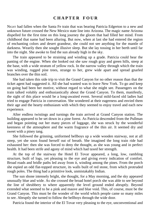### **C H A P T E R F O U R**

NIGHT had fallen when the Santa Fe train that was bearing Patricia Edgerton to a new and unknown future crossed the New Mexico state line into Arizona. The magic name Arizona dispelled for the first time on this long journey the gloom that had filled her mind. From childhood that name had been alluring. But now, when at last she had entered the region of enchanting colors and desert grandeur, she could not see anything for the mantle of darkness. Wearily then she sought illusive sleep. But she lay tossing in her berth until far into the night. She awoke to find the sun already high in the sky.

The train appeared to be straining and winding up a grade. Patricia could hear the panting of the engine. When she looked out she saw rough gray and green hills, steep at the base, with a wide stratum of yellow rock. In the narrow valley through which the train was winding, rugged pine trees, strange to her, grew wide apart and spread gnarled branches over the thin soil.

She had taken this side trip to visit the Grand Canyon for no other reason than that the ticket agent had suggested it. All she had wanted was to leave New York. To go and keep on going had been her motive, without regard to what she might see. Passengers on the train talked volubly and enthusiastically about the Grand Canyon. To them, manifestly, the sight of this place would be a long-awaited event. Several mild-faced old ladies had tried to engage Patricia in conversation. She wondered at their eagerness and envied them their age and the hearty enthusiasm with which they seemed to enjoy travel and each new experience.

After endless twistings and turnings the train arrived at Grand Canyon station. The building appeared to be set down in a pine forest. As Patricia descended from the Pullman and began pointing out her many pieces of luggage, she was struck by the wonderful keenness of the atmosphere and the warm fragrance of the thin air. It seemed dry and sweet with a piney tang.

She followed the grinning, uniformed bellboys up a wide wooden stairway, not at all steep, yet she soon found herself out of breath. She imagined the long train ride had exhausted her: then she was forced to deny the thought, as she was young and in perfect health. It had been strife and agony of mind which had taxed her strength.

At the top of the stairway the Hotel El Tovar appeared, a long, low, rambling structure, built of logs, yet pleasing to the eye and giving every indication of comfort. Broad roads and bridle paths led away from it, winding among the pines. From the porch she espied an odd flat-topped structure, its walls built of red stone, from which protruded rough poles. The thing had a primitive look, unmistakably Indian.

The sun shone intensely bright, she thought, for a May morning, and the sky appeared unusually blue and wide. As she crossed the broad hotel porch she was able to see beyond the line of shrubbery to where apparently the level ground ended abruptly. Beyond extended what seemed to be a pink and mauve and blue void. This, of course, must be the Grand Canyon. This must be the wonder of the world which people came so many miles to see. Abruptly she turned to follow the bellboys through the wide door.

Patricia found the interior of the El Tovar very pleasing to the eye, unconventional and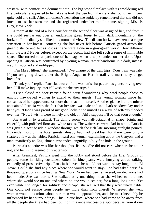western, with comfort the dominant note. The big stone fireplace with its smoldering red fire particularly appealed to her. As she took the pen from the clerk she found her fingers quite cold and stiff. After a moment's hesitation she suddenly remembered that she did not intend to use her surname and she registered under her middle name, signing Miss P. Clay, New York.

A room at the end of a long corridor on the second floor was assigned her, and from it she could see far out over an undulating green forest to dim, dark mountains on the horizon. Immediately she liked this room and view. The distant horizon awakened a vague sensation in her breast—something she had never felt before. Patricia gazed across the green distance and felt as lost as if she were alone in a gray-green world. How different from the East! Never before, except on the ocean, had she felt such a sense of illimitable space. She turned to unpack one of her bags when a tap sounded on her door. Upon opening it Patricia was confronted by a young woman, rather handsome in a dark, intense way, full-bodied and red-lipped.

"I'm Miss Hilton," she announced. "I've charge of the trail trips. Your train was late. If you are going down either the Bright Angel or Hermit trail you must hurry to get breakfast"

"Thank you," replied Patricia, aware of the woman's sharp, curious glance roving over her. "I'll make inquiry later if I wish to take any trips."

As she closed the door Patricia found herself wondering why hotel people chose to employ hawk-eyed women to attend to their guests. This young woman made her conscious of her appearance, or more than that—of herself. Another glance into the mirror acquainted Patricia with the fact that her face was pale and sad. Dark shadows lay under her eyes. "Once I was proud of my good looks," she mused as a wave of self-pity flooded over her. "Now I wish I were homely and old. . . . Ah! I suppose I'll be that soon enough."

She went in to breakfast. The dining room was half-octagonal in shape, bright and cheerful, with polished floor and white tables. The waitresses were clad in white. Patricia was given a seat beside a window through which the rich late morning sunlight poured. Evidently most of the hotel guests already had had breakfast, for there were only a scattered few at the tables. Patricia heard one woman exclaiming about the Canyon, and a man, manifestly an Englishman, responded languidly, "Jolly fine hole in the ground!"

Patricia's appetite was like her thoughts, listless. She did not care whether she ate or not, and her mind seemed duly at tension.

After breakfast, Patricia went into the lobby and stood before the fire. Groups of people, some in riding costumes, others in blue jeans, were hurrying about, talking excitedly of prospective trips. Patricia believed she would not want to stay long at the El Tovar. Could she find any place where she would want to stay? She had asked herself a thousand questions since leaving New York. None had been answered; no decisions had been made. She was adrift. She realized only one thing—that she wished to be alone, where she would see no one and where no one would see her, for a long, long time. Yet even while she longed for solitude and escape, she realized that they were unattainable. One could not escape from people any more than from oneself. Wherever she went women would be curious about her, men would approach her, and she must inevitably be influenced by her surroundings. This unique hotel where she had come to be away from all the people she knew had been built on this once inaccessible spot because from it one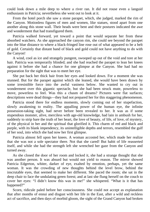could look down a mile deep to where a river ran. It did not rouse even a languid enthusiasm in Patricia; nevertheless she went out to look at it.

From the hotel porch she saw a stone parapet, which, she judged, marked the rim of the Canyon. Motionless figures of men and women, like statues, stood apart from one another along this stone wall. Their heads were bent and their postures indicated the awe and wonderment that had transfigured them.

Patricia walked forward, yet toward a point that would separate her from these absorbed watchers. As she approached the canyon rim, she could see beyond the parapet into the blue distance to where a black-fringed line rose out of what appeared to be a belt of gold. Certainly that distant band of black and gold could not have anything to do with the Canyon!

A wind, cool as ice and strangely pungent, swooped up out of the void and tore at her hair. Patricia was temporarily blinded; and she had reached the parapet to lean her knees against it before she had a chance for one glimpse at the Canyon. She had had no preparation for the sight that was to meet her eye.

She put back her thick hair from her eyes and looked down. For a moment she was stunned. But for the parapet against which she leaned, she would have been drawn by some irresistible force into the awful vastness below. She wanted to cry out in wonderment over this gigantic spectacle, but she had been struck mute, powerless to move, powerless to feel. Was this a chasm of dreams? Pictures were flat surfaces; descriptions were dead things—they had not prepared her for this staggering phenomenon.

Patricia stood there for endless moments, slowly coming out of her stupefaction, slowly awakening to reality. The appalling power of the human eye, the infinite possession-taking sight, had never before been revealed to her. It was as if some stupendous monster, alive, merciless with age-old knowledge, had lain in ambush for her, suddenly to strip bare the truth of her heart, the love of beauty, of life, of love, of mystery, of the physical in her and the spiritual that glorified it. This charm of red and black and purple, with its blank impendency, its unintelligible depths and terrors, resembled the gulf of her soul, into which she had now her first glimpse.

Patricia almost fell upon her knees. A woman accosted her, which made her realize that she was not a sole spectator there. Not that she cared! But habit of life reasserted itself, and while she had the strength left she wrenched her gaze from the Canyon and turned away.

As she closed the door of her room and locked it, she had a strange thought that she was another person. It was absurd but would not yield to reason. The mirror showed Patricia Edgerton, whiter, darker of eye, exalted by emotion, perhaps, yet the same woman. It was the crowding of new thoughts behind the level brow, behind the inscrutable eyes, that seemed to make her different. She paced the room; she sat in the deep chair to face the undulating green forest; and at last she flung herself on the couch to cover her eyes: "I didn't know this was in me!" she whispered. "What is it that has happened?"

Scorn, ridicule paled before her consciousness. She could not accept as explanation that after months of ennui and disgust with her life in the East, after a wild and reckless act of sacrifice, and then days of morbid gloom, the sight of the Grand Canyon had broken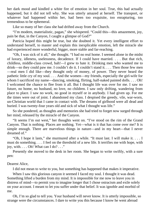her dark mood and kindled a white fire of emotion in her soul. True, this had actually happened, but it did not tell why. She was utterly amazed at herself. The transport, or whatever had happened within her, had been too exquisite, too enrapturing, too tremendous to be ephemeral.

Like so many of her class she had drifted away from the Church.

"I'm modern, materialistic, pagan," she whispered. "Could this—this amazement, joy, pain be that, in the Canyon, I caught a glimpse of God?"

Patricia hoped this might be true, but she doubted it. Yet every intelligent effort to understand herself, to master and explain this inexplicable emotion, left the miracle she had experienced more wonderful, bigger, more stable and far-reaching.

"Oh, I was sick of it all," she thought. "I had no real home. I seemed alone in the midst of luxury, idleness, uselessness, decadence. If I could have married. . . . But that rich, childless, middle-class crowd, bah!—I grew to hate it. Drinking men who wanted me to drink—so they could paw me. I couldn't do it. I couldn't stand it. . . . Then those few men —real men I did like—they thought only of money, of power. They never heard the pathetic little cry of my soul. . . . And the women—my friends, especially the girl-wife for whom I sacrificed my name—dancing, smoking, flirting, half-naked painted dolls. . . . Oh! I welcomed the chance to flee from it all. But I thought life was over for me. I saw no future, no home, no husband, no love, no children. I saw only drifting, wandering from place to place. I saw no work, no good in myself or in anybody. I had given up. For me the times were out of joint. I abandoned my class. I despised the greedy, vile, war-worn, un-Christian world that I came in contact with. The dreams of girlhood were all dead and buried. I was twenty-four years old and sick of what I thought was life."

So she pondered, as thoughts and memories she had tried to forget now surged through her mind, released by the miracle of the Canyon.

"It seems I'm out west," her thoughts went on. "I've stood on the rim of the Grand Canyon. That is nothing. Places are nothing. Yet—what is it that has come over me? It is simple enough. There are marvelous things in nature—and in my heart—that I never dreamed of."

"Oh, I hope it lasts," she murmured after a while. "It must last. I will make it. . . . I must do something. . . . I feel on the threshold of a new life. It terrifies me with hope, with joy, with. . . . Oh! What can I do? . . ."

Presently she moved to the desk in her room. She began to write swiftly, with a sure pen:

#### Dearest Alice,

I did not mean to write to you, but something has happened that makes it imperative.

When I saw this glorious canyon it seemed I faced my soul. I thought it was dead. Something lifted a burden from my mind. It is impossible for me now to leave you in distress of mind—to permit you to imagine longer that I chose ostracism and exile solely on your account. I meant to let you suffer under that belief. It was ignoble and morbid of me.

Oh, I'm so glad to tell you. Your husband will never know. It is utterly impossible, so strange were the circumstances. I dare to write you this because I know he went abroad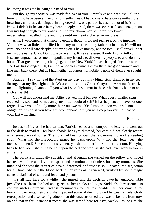believing it was me he caught instead of you.

But though my sacrifice was made for love of you—impulsive and heedless—all the time it must have been an unconscious selfishness. I had come to hate our set—that idle, luxurious, childless, dancing, drinking crowd. I was a part of it, yes, but not of it. You *know*. I didn't fit because in my heart, deeply buried, there was ever strife and antagonism. I wasn't big enough to cut loose and find myself—a man, children, work—but nevertheless I rebelled more and more until my heart sickened in my breast.

Allie, I welcomed that chance to escape, though I did not realize it on the impulse. You know what little home life I had—my mother dead, my father a clubman. He will not care. No one will care deeply, not even you. I have money, and no ties. I shall travel under my middle name, Clay. Don't grieve over me. It was a release. If only I could tell you. . . ! It seems ungracious for me to repudiate my friends, to disown my people, to abandon my home. That great, teeming, changing, hideous New York! It has changed since the war. The East has changed. Oh, I am not a hopeless cynic. I know there are good women and fine men back there. But as I had neither goodness nor nobility, none of them ever sought me out.

Strange—I saw none of the West on my way out. I lay blind, sick, clamped in my seat. Strange that my first sight of the West embraced this Grand Canyon of Arizona. It struck me like lightning. I cannot tell you what I saw. Just a rent in the earth. But such a rent and such an earth!

You will not understand me, Allie, yet you must believe. What does it matter *what* reached my soul and burned away my bitter doubt of self? It has happened. I have not one regret. I owe you infinitely more than you owe me. Yet I impose upon you a solemn obligation, which, if you have any womanhood left, you will keep forever. Let that be your last wild fling!

Patricia.

Just as swiftly as she had written, Patricia sealed and stamped the letter and went out to the desk to mail it. Her hand shook, her eyes dimmed, her ears did not clearly record what someone said to her. The hour had been crucial, the last moment one of exceeding strain. What had she irrevocably turned her back upon? Why had that letter been the means to an end? She could not say then, yet she felt that it meant her freedom. Hurrying back to her room, she flung herself upon the bed and wept as she had never wept before in all her life.

The paroxysm gradually subsided, and at length she turned on the pillow and wiped her tear-wet face and lay there spent and tremulous, motionless for many moments. She imagined she saw the retreat of a pale, deformed, and restless soul, beaten into subjection for all time. She felt the blood beat in her veins as if renewed, vivified by some magic current, clarified of taint and fever and poison.

"I shall stay here for a while," she mused, and the decision gave her unaccountable joy. She rose from the bed and gazed at her trunks and bags. Suddenly they seemed to contain useless burdens, endless monuments to her fashionable life, her craving for beautiful garments. Leisurely she unpacked some of them, divided between a melancholy retrospection and a sense of gladness that this unaccustomed task was to be hers from now on and that in this instance it meant she was settled here for days, weeks—as long as she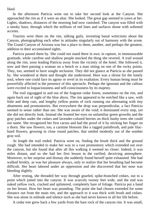liked.

In the afternoon Patricia went out to take her second look at the Canyon. She approached the rim as if it were an altar. She looked. The great gap seemed to yawn at her. Lights, shadows, distances of the morning had now vanished. The canyon was filled with a smoky haze, through which the millions of red lines and surfaces shone with softened accents.

Tourists were there on the rim, talking gaily, inventing banal witticisms about the Canyon, photographing each other in attitudes singularly out of harmony with the scene. The Grand Canyon of Arizona was but a place to them, another, and perhaps the greatest, addition to their accumulated sights.

Patricia passed them by. She could not stand there in awe, in rapture, in immeasurable gratitude, while carefree and shallow people mocked the thing she revered. A trail wound along the rim, soon leading Patricia away from the vicinity of the hotel. She followed it, now and then passing a woman on a bench or a man sitting on one of the rocky points. They, too, seemed to have sought seclusion. They did not glance at Patricia as she passed by. She wondered at them and thought she understood. Here was a shrine for the lonely soul, where one could face its agony or revel in its exaltation. Every human being must be powerfully affected in the presence of this spectacle. Perhaps the ignorant and the callous were excited to loquaciousness and self-consciousness by its majesty.

The trail zigzagged in and out of the fragrant cedar forest, sometimes on the rim, and again back out of sight of the blue abyss. The rim appeared to be notched like a saw, with little and deep cuts, and lengthy yellow points of rock running out alternating with tiny abutments and promontories. But everywhere the drop was perpendicular, a fact Patricia seemed to sense rather than see. She was aware of the void; it dominated every step, yet she did not directly look. Instead she feasted her eyes on unfamiliar green growths and the gray patches under the cedars and lavender-colored berries on thick bushy trees she could not name. She recognized her first cactus and had the proof of it by sticking her finger on a thorn. She saw flowers, too, a carmine blossom like a ragged paintbrush, and pale lilachued flowers, growing in close round patches, that smiled modestly out of the somber gray soil.

At length the trail ended. Patricia went on, finding the brush thick and the ground rough. She had intended to make her way to a vast promontory which extended out over the canyon, but she found that after all this walking it seemed no closer. Indeed, it was miles distant, and so she had her first lesson in the rarified, deceiving atmosphere. Moreover, to her surprise and dismay she suddenly found herself quite exhausted. She had walked briskly, as was her pleasure always, only to realize that her breathing had become difficult. Her heart labored under an oppression and she discovered that her nose was bleeding slightly.

After resting, she threaded her way through gnarled, spike-branched cedars, out to a point which jutted into the canyon. It was scarcely twenty feet wide, and the end was naked yellow rock, cracked and splintered, completely bare of foliage. Patricia put a hand on her breast. How her heart was pounding. The point she had chosen extended for some distance out from the main rim, and the approach to it was thick with brush and cedars. She was alone in solitude and silence such as she had never known in all her life before.

A cedar tree grew back a few yards from the bare rock of the canyon rim. It was small,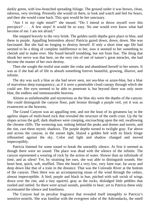darkly green, with low-branched spreading foliage. The ground under it was brown, clean, odorous, very inviting. Presently she would sit there, to look and watch and feel for hours, and then she would come back. This spot would be her sanctuary.

"Am I in my right mind?" she mused. "Do I intend to throw myself over this precipice? . . . A few steps! It would be so easy. No one would ever know what had become of me. I am not afraid."

She stepped bravely to the very brink. The golden sunlit depths gave place to blue, and these to purple. Appalling bottomless abyss! Patricia gazed down, down, down. She was fascinated. But she had no longing to destroy herself. If only a short time ago life had seemed to be a thing of complete indifference to her, now it seemed to her something to cherish and to make over. She found herself trembling, but not from fear. The thing that shook her nerve was that here, on the very rim of one of nature's great miracles, she had become the master of her own destiny.

Then she sought the restful seat under the cedar and abandoned herself to her senses. It was as if she had all of life to absorb something forever beautiful, growing, illusive, and infinite.

The sky was such a blue as she had never seen, not sea-blue or azure-blue, but a blue of marvelous deep transparency, as if it were a penetrable cloud canopy through which she could see. Her eyes seemed to be able to penetrate it, but beyond there was only more blue, the endless and immeasurable heavens.

Almost as unfathomable and mysterious as the blue sky were the depths of the canyon. She could distinguish the canyon floor, pale bronze through a purple veil, yet it was as evanescent as the heavens.

The Grand Canyon was an appalling rent, and not the least of its greatness lay in the ageless slopes of multi-hued rock that revealed the structure of the earth crust. Up the far slopes across the gulf, dark shadows were creeping, encroaching upon the red, swallowing the chrome cliffs. The westering sun, sinking behind the peaks and domes and turrets, and the rim, cast these mystic shadows. The purple depths turned to twilight gray. Far above and across the canyon, in the sunset light, blazed a golden belt with its black fringe silhouetted against the sky. Color and light and shadow changed and moved imperceptibly.

Patricia listened for some sound to break the unearthly silence. At first it seemed as though there were no sound. The place was dead with the silence of the infinite. The canyon represented a wearing of rock by the action of water. Slower than an infinitude of time, and as silent! Yet, by straining her ears, she was able to distinguish sounds. Her heart beat, quick, soft, muffled. Then she heard a very low, very faint roar, far away and deep down like that of a train in the distance. That was the Colorado River at the bottom of the canyon. Then there was an accompanying moan of the wind through the cedars, almost imperceptible. A bird, purple and black in hue, pitched with soft swish of wings down over the rim; and a tiny squirrel, gray as the rocks, dislodged little pebbles that rustled and rattled. So there were actual sounds, possible to hear; yet to Patricia these only accentuated the silence and loneliness.

The Canyon had its peculiar fragrance that revealed itself intangibly to Patricia's sensitive nostrils. She was familiar with the evergreen odor of the Adirondacks, the smell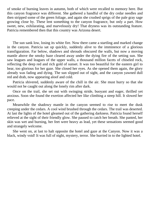of smoke of burning leaves in autumn, both of which were recalled to memory here. But this canyon fragrance was different. She gathered a handful of the dry cedar needles and then stripped some of the green foliage, and again she crushed sprigs of the pale gray sage growing close by. These lent something to the canyon fragrance, but only a part. How sweet, new, exhilarating, and marvelously dry! That dryness was its outstanding feature. Patricia remembered then that this country was Arizona desert.

The sun sank low, losing its white fire. Now there came a startling and marked change in the canyon. Patricia sat up quickly, suddenly alive to the imminence of a glorious transfiguration. Far below, shadows and shrouds obscured the walls, but now a moving mantle above the smoky haze cleared away under the dying fire of the setting sun. She saw leagues and leagues of the upper walls, a thousand million facets of chiseled rock, reflecting the deep red and rich gold of sunset. It was too beautiful for the eastern girl to bear, too glorious for her gaze. She closed her eyes. As she opened them again, the glory already was fading and dying. The sun slipped out of sight, and the canyon yawned dull red and drab, now appearing aloof and cold.

Patricia shivered, suddenly aware of the chill in the air. She must hurry so that she would not be caught out along the lonely rim after dark.

Once on the trail, she set out with swinging stride, buoyant and eager, thrilled yet anxious. Soon she found the exertion affected her like climbing a steep hill. It slowed her pace.

Meanwhile the shadowy mantle in the canyon seemed to rise to meet the dusk creeping under the cedars. A cool wind brushed through the cedars. The trail was deserted. At last the lights of the hotel gleamed out of the gathering darkness. Patricia found herself relieved at the sight of their friendly glow. She paused to catch her breath. She panted, her skin was wet and burning, her feet were heavy as lead, yet these sensations seemed good and strangely welcome.

She went on, at last to halt opposite the hotel and gaze at the Canyon. Now it was a black, windy void! It was full of night, mystery, terror. She hurried in to the lighted hotel.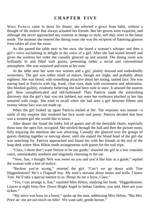## **C H A P T E R F I V E**

WHEN PATRICIA came to dress for dinner, she selected a gown from habit, without a thought of the motive that always actuated her friends. But her gowns were exquisite, and although she never approached any extreme in design or style, still they were in the latest mode. The moment she entered the dining room she was the recipient of flattering glances from tables all over the room.

As she passed the table next to her own, she heard a woman's whisper and then a girl's voice exclaiming in delight in the voice of a girl. After she had seated herself and given the waitress her order she casually glanced up and around. The dining room was brilliantly lit and filled with guests, presenting rather a social and conventional atmosphere. She was surprised and more at her ease.

At the table near her were two women and a girl, plainly dressed and undoubtedly westerners. The girl was rather small of stature, though not slight, and probably about eighteen. She was blond, with something attractive about her strong, tanned face. She was staring hard at Patricia with big, frank, clear eyes, dark with excitement and admiration. She blushed guiltily, evidently believing she had been rude to stare. It amused the eastern girl. How unsophisticated and old-fashioned! Then Patricia made the astonishing discovery that the girl's hair was not bobbed, nor were her eyebrows plucked or her lips smeared with rouge. She tried to recall when she had seen a girl between fifteen and twenty whose face was not made up.

When the girl looked up again Patricia smiled at her. The response was instant—a smile of shy surprise that rendered her face sweet and pretty. Patricia decided that here was a western girl she would like to know.

After dinner she found the lobby full of guests and all the desirable chairs, especially those near the open fire, occupied. She strolled through the hall and then the picture room, fully enjoying the attention she was attracting. Casually she glanced over the groups of guests chatting together or moving about, until she espied the blond head of the girl she was searching for. Patricia approached and found her with her friends at the end of the long desk where Miss Hilton made arrangements with guests for the trail trips.

"Clara, I shore don't want Nelson to be our guide," drawled the girl in a low contralto voice, unmistakably southern and singularly charming to the ear.

"Now, Sue, I thought Nels was sweet on you and you'd like him as a guide," replied the woman with a hint of malice.

"Reckon you're wrong," retorted the girl. "Can't we go down with Tine Higgenbottom? He's a Flagstaff boy. My aunt's nervous about mules and trails. I know Tine. He'll take a special interest in us. Please do me a favor, Clara."

"Yes, I can arrange it, Sue," rejoined Miss Hilton, studying her book. "Higgenbottom. Leaves at eight forty-five. Down Bright Angel to Indian Gardens, you said. Here are your tickets."

"My niece was born on a horse," spoke up the aunt, addressing Miss Hilton. "But Mrs. Price an' me are not much on ridin'. We want safe, gentle horses."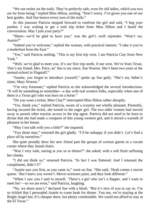"We use mules on the trails. They're perfectly safe, even for old ladies, which you two are far from being," replied Miss Hilton, smiling. "Don't worry. I've given you one of our best guides. And Sue knows every turn of the trails."

At this juncture Patricia stepped forward to confront the girl and said, "I beg your pardon. I was waiting to get a trail trip ticket from Miss Hilton and I heard the conversation. May I join your party?"

"Shore—we'd be glad to have you," was the girl's swift rejoinder. "Won't we, Auntie?"

"Indeed you're welcome," replied the woman, with practical interest. "I take it you're a tenderfoot from the East."

"Yes," said Patricia smiling. "This is my first trip west. I am Patricia Clay from New York"

"Well, we're glad to meet you. It's our first trip north, if not west. We're from Texas. This's my friend, Mrs. Price, an' this is my niece, Sue Warren. She's been two years at the normal-school in Flagstaff."

"Auntie, you forgot to introduce yourself," spoke up Sue gaily. "She's my father's sister, Mary Warren."

"I'm very fortunate," replied Patricia as she acknowledged the several introductions. "It will be something to remember—a day with real western folks, especially when one of them is a Texas girl who was born on a horse."

"Do you want a ticket, Miss Clay?" interrupted Miss Hilton rather abruptly.

"Yes, thank you," replied Patricia, aware of a scrutiny not wholly pleasant. Presently, having secured the ticket, she turned to the eager girl. The two older women had moved away to permit other tourists access to the trip agent. Patricia did not need to be keen to divine that she had made a conquest of this young western girl, and it stirred a warmth of pleasure in her breast.

"May I not talk with you a little?" she inquired.

"You shore may," returned the girl gladly. "I'd be unhappy if you didn't. Let's find a place all by ourselves."

She quite proudly drew her new friend past the groups of curious guests to a vacant corner where they found chairs.

"Was I very rude, staring at you so at dinner?" she asked, with a soft flush suffusing her cheeks.

"I did not think so," returned Patricia. "In fact I was flattered. And I returned the compliment, didn't I?"

"Auntie saw you first, as you came in," went on Sue. "She said, 'Heah comes a movie queen.' But I knew you weren't. Movie actresses paint, and they look different."

"When I saw you I said to myself, 'There's a girl who isn't a flapper, and I want to meet her'—so we are even," said Patricia, laughing.

"No, we shore aren't," declared Sue with a blush. "But it's nice of you to say so. I'm so tickled that I persuaded Auntie to come heah for dinner. You see, we're staying at the Bright Angel Inn. It's cheaper there, but plenty comfortable. We could not afford to stay at the El Tovar."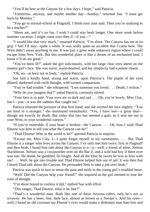"You'll be here at the Canyon for a few days, I hope," said Patricia.

"Tomorrow, anyway, and maybe another day—Sunday," returned Sue. "I must get back by Monday."

"You go to normal-school at Flagstaff, I think your aunt said. Then you're studying to be a teacher?"

"Shore am, and it's no fun. I wish I could stay heah longer. One more week before summer vacation. I might come over then if—if you—"

"I would like that very much," returned Patricia. "I'm alone. The Canyon has me in its grip. I feel I'll stay—quite a while. It was really quite an accident that I came here. The West didn't mean anything to me. It was just a great wide unknown region where I could escape from New York. But this wonderful place is like a dream of an enchanted land. I know it'll do me good."

"You've been ill?" asked the girl solicitously, with her large clear eyes intent on the eastern girl's face. She was naive, warm-hearted; and her simplicity had a potent charm.

"Oh, no—at least not in body," replied Patricia.

Sue laid a kindly hand, strong and warm, upon Patricia's. The pupils of her eyes dilated, darkened with swift thought, with earnest compassion.

"You've had trouble," she whispered. "Lost someone you loved. . . . Death, I reckon." "Why do you imagine that?" asked Patricia, curiously stirred.

"Your face is so pale. Your eyes are so dark and sad. . . . Oh, you're lovely, Miss Clay, but I—you—it was the sadness that caught me."

Patricia returned the pressure of that firm hand; and she averted her face slightly. "You are kind to a stranger," she murmured tremulously. "Yes, I have lost—a great deal though not exactly by death. But today that loss has seemed a gain, as it sent me out to your West, to your wonderful canyon."

"If you're miserable, if your heart is broken—the Canyon. . . . Oh, how I wish Thad Eburne was here to tell you what the Canyon can do!"

"Thad Eburne! Who in the world is he?" queried Patricia in surprise.

"Excuse me, Miss Clay. I—I quite forgot myself in my earnestness. . . . But Thad Eburne is a ranger who lives across the Canyon. I've only met him twice, first in Flagstaff and then heah. I heard him talk about the Canyon to a—a—well, a friend of mine, Nelson Stackhouse. Nelson was a cowpuncher over on the Bar Z, and a wild bad boy if there ever was one. He drank, he gambled, he fought. And all the time he swore he was in love with me! . . . Well, he got into trouble and Thad Eburne helped him out of jail. It was then that I heard Thad talk about the Canyon. He persuaded Nels to take a job over heah."

Patricia was quick in turn to sense the pain and strife in the young girl's troubled heart.

"Well! Did the Canyon help your friend?" she inquired as the girl seemed to lose her train of thought.

"I'm shore bound to confess it did," replied Sue with effort.

"This ranger, Thad Eburne, what is he like?"

"Thad's a wonderful man. Built like one of these Arizona riders, only he's not as scrawny. He has a keen, fine, dark face, almost as brown as a Navajo's. And his eyes well, I heard an old cowman say Eburne's eyes would make a dishonest man hate him and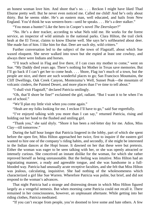an honest woman love him. And shore that's so. . . . Reckon I might have liked Thad Eburne pretty well. But he never even noticed me. Called me child! And he's only about thirty. But he seems older. He's an eastern man, well educated, and hails from New England. You'd think he was western-born—until he speaks. . . . He's a deer stalker."

"You mean a hunter? Like the hero in Cooper's novel *The Deerslayer*?"

"No. He's a deer tracker, according to what Nels told me. He works for the forest service, an inspector of wild animals in the national parks. Clara Hilton, the trail clerk heah at the El Tovar, claims to know Eburne well. She says he's softhearted about deer. She made fun of him. I like him for that. Deer are such shy, wild critters."

Further conversation led to the subject of the town of Flagstaff, about which Sue waxed eloquent. She never walked into town but she espied at least one cowboy, and always there were Indians and horses.

"I'll teach school in Flag and live there, if I can coax my mother to come," went on Sue. "My Daddy died years ago. There's nothing for Mother in Texas save memories. But I'll go back if I can't get her to come heah. . . . Shore, Flag isn't much of a town, but the people are nice, and there are such wonderful places to go; San Francisco Mountains, the Cliff Dwellings, Oak Creek Canyon, Montezuma's Well, Sunset Peak—the mountain of volcanic cinders, the Painted Desert, and more places than I've time to tell about."

"I shall visit Flagstaff," declared Patricia smilingly.

"Oh, that'll shore be fine!" exclaimed the girl, radiant. "But I want it to be when I'm out of school."

"We'll plan my little visit when you come again."

"Heah are my folks looking for me. I reckon I'll have to go," said Sue regretfully.

"I've enjoyed talking with you more than I can say," returned Patricia, rising and holding out her hand to the flushed and smiling girl.

"Thank you," she said shyly. "Shore it has been a red-letter day for me. Adios, Miss Clay—till tomorrow."

During the half hour longer that Patricia lingered in the lobby, part of which she spent before the open fire, Miss Hilton approached her twice, first to inquire if the eastern girl wanted to hire one of the company's riding habits, and secondly, if she might be interested in the Indian dances at the Hopi house. It dawned on her that these were but pretexts. Either the woman was eager to be seen talking with her, or she was openly attracted or intensely curious. She conceived an instant dislike for the woman, for which she rather reproved herself as being unreasonable. But the feeling was intuitive. Miss Hilton had an ingratiating manner, a ready and agreeable tongue, and she was handsome in a fullblooded way. Patricia had unusually acute receptive faculties, and she felt that Miss Hilton was jealous, calculating, inquisitive. She had nothing of the wholesomeness which characterized a girl like Sue Warren. Wherefore Patricia was polite, but brief, and did not respond to the woman's advances.

That night Patricia had a strange and distressing dream in which Miss Hilton figured largely as a vengeful nemesis. But when morning came Patricia could not recall it. There remained in her consciousness, however, an unpleasant aftertaste. While getting into her riding clothes, Patricia meditated.

"If you can't escape from people, you're doomed to love some and hate others. A few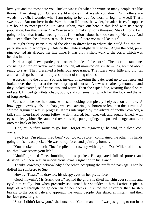love you and the most hate you. Ruskin was right when he wrote so many people are like thorns. They sting you. Others are like stones that weigh you down. Still others are weeds. . . . Oh, I wonder what I am going to be. . . . No thorn or log—or weed! That I swear. . . . But out here in the West human life must be wider, broader, freer. I suppose I'm bound to meet people like Miss Hilton, even out here in this land with its scanty population. For that matter, Sue Warren would make up for a thousand Miss Hiltons. I am going to love that frank, sweet girl.  $\dots$  I'm curious about her bad cowboy Nels.  $\dots$  And that deer stalker she admires so much. I wonder if there *are* men like that?"

At eight-thirty Patricia asked the clerk to direct her to where she could find the trail party she was to accompany. Outside the white sunlight dazzled her. Again the cold, pure, pine-scented air affected her like wine. It was only a short walk to the corral which was her destination.

Patricia espied two parties, one on each side of the corral. The more distant one, consisting of ten or twelve men and women, all mounted on sturdy mules, seemed about ready to start. They presented a ludicrous appearance. The riders were little and big, fat and lean, all garbed in a motley assortment of riding clothes.

Approaching the corral, Patricia, instead of entering the gate, went up to the fence and looked over the top bar at the second group of tourists. A few were already mounted, and they looked excited, self-conscious, and warm. Then she espied Sue, wearing flannel shirt, red scarf, fringed gauntlets, chaps, boots, and spurs—all of which had the look and the set of long service.

Sue stood beside her aunt, who sat, looking completely helpless, on a mule. A bowlegged cowboy, also in chaps, was endeavoring to shorten or lengthen the stirrups. A spirited argument was in progress. It was interrupted by the advent of another cowboy, a tall, slim, keen-faced young fellow, well-muscled, lean-checked, and square-jawed, with eyes of sleepy blue. He sauntered over, his big spurs jingling, and pushed a huge sombrero onto the back of his head.

"Tine, my outfit's rarin' to go, but I forgot my cigarettes," he said, in a slow, cool voice.

"Say, Nels, I'm plumb tired bein' your tobacco store," complained the other, his hands going to his breast pocket. He was ruddy-faced and painfully homely.

"You smoke too much, Tine," replied the cowboy with a grin. "Doc Miller told me so an' that I was savin' your life."

"Ahuh!" grunted Tine, fumbling in his pocket. He appeared full of protest and derision. Yet there was an unconscious loyal resignation in his glance.

"Thanks, cowboy," acknowledged the other, accepting the proffered package. Then he doffed his sombrero to Sue.

"Howdy, Texas," he drawled, his sleepy eyes on her pretty face.

"Good mawnin', Mr. Stackhouse," replied the girl. She tilted her chin ever so little and eyed him coolly. But when presently she turned her shoulder to him, Patricia espied a tinge of red through the golden tan of her cheeks. It suited the easterner then to step briskly to the corral gate and approach the young people. Sue stared an instant, and then her face grew bright.

"Shore I didn't know you," she burst out. "Good mawnin'. I was just going to run in to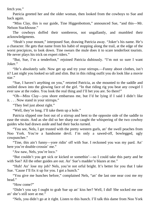fetch you."

Patricia greeted her and the older woman, then looked from the cowboys to Sue and back again.

"Miss Clay, this is our guide, Tine Higgenbottom," announced Sue, "and this—Mr. Nelson Stackhouse."

The cowboys doffed their sombreros, not ungallantly, and mumbled their acknowledgments.

"Heah's your mount," interposed Sue, drawing Patricia away. "Joker's his name. He's a character. He gets that name from his habit of stopping along the trail, at the edge of the worst precipices, to look down. Tine swears the mule does it to scare tenderfoot tourists. He never plays his trick on expert riders."

"But, Sue, I'm a tenderfoot," rejoined Patricia dubiously. "I'm not so sure I want Joker."

"He's absolutely safe. Now get up and try your stirrups.—Funny aboot clothes, isn't it? Last night you looked so tall and slim. But in this riding outfit you do look like a movie star."

"Sue, I haven't anything on you," retorted Patricia, as she mounted to the saddle and smiled down into the glowing face of the girl. "In that riding rig you beat any cowgirl I ever saw at the rodeo. You look the real thing and I'll bet you are. So there!"

"Oh—Miss Clay—you shore embarrass me, but I'd be lying if I said I didn't like it. . . . Now stand in your stirrups."

"They feel just about right."

"Well, they're long. I'll take them up a hole."

Patricia slipped one foot out of a stirrup and bent to the opposite side of the saddle to ease the strain. And as she did so her sharp ear caught the whispering of the two cowboy guides who had drawn aside and had their backs turned.

"You see, Nels, I get trusted with the pretty western gurls, an' the swell peaches from Noo York. You're a handsome devil. I'm only a sawed-off, bowlegged, ugly cowpuncher."

"Tine, this ain't funny—yore ridin' off with Sue. I reckoned you was my pard. An' here you're double-crossin' me."

"Aw naw, Nels, you're loco."

"But couldn't you get sick or kicked or somethin'—so I could take this party and be with Sue? All the other guides are out. An' Sue's madder'n blazes at me."

"Huh! An' lose my job? Nels, you're not orful bright. It's better for you that I take Sue. 'Cause I'll fix it up for you. I got a hunch."

"You give me hunches before," complained Nels, "an' the last one near cost me my head."

"How come?"

"Didn't you say I ought to grab Sue up an' kiss her? Well, I did! She socked me one an' she's still sore at me."

"Nels, you didn't go at it right. Listen to this hunch. I'll talk this dame from Noo York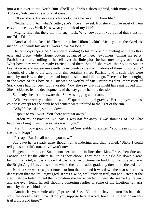into a trip over to the North Rim. She'll go. She's a thoroughbred, with money to burn. An' say, Nels, ain't she a lollapaloosa?"

"I'll say she is. Never saw such a looker like her in all my born life."

"Neither did I. An' what's better, she's nice an' sweet. Not stuck up like most of them eastern dudes. . . . Well, Nels, what you think of my idee?"

"Mighty fine. But there ain't no such luck. Why, cowboy, if you pulled that stunt for me I'd—I'd—"

"Good as done. Beat it! There's that fox Hilton lookin'. Meet you at the Gardens, mebbe. You work fast an' I'll work slow. So long."

The cowboys separated, Stackhouse striding to his mule and mounting with effortless ease and grace, while Higgenbottom advanced to meet newcomers joining his party. Patricia sat there, smiling to herself over the little plot she had unwittingly overheard. What boys they were! Already Patricia liked them. Should she reveal their plot to Sue or keep it secret and appear innocently to succumb to the machinations of these conspirators? Thought of a trip to the wild north rim certainly stirred Patricia; and if such trips were made by tourists, as the guides had implied, she would like to go. There had been longing in the voice of this boy Nels. But was he worthy of Sue? Patricia's first impression of Stackhouse had not been too favorable. Now she saw that she might have misjudged him. She decided to let the developments of the day guide her to a decision.

Suddenly she became aware that Sue was tugging at her arm.

"Whatever were you thinkin' aboot?" queried the girl gravely. Her big eyes, almost colorless except for the dank hazel centers were uplifted to the light of the sun.

"Why?" she asked, smiling down.

"I spoke to you twice. You shore were far away."

"Pardon my abstraction. No, Sue, I was *not* far away. I was thinking of—of what happiness I might find in association with you."

"Me! Oh, how good of you!" exclaimed Sue, suddenly excited "You mean comin' to see me in Flag?"

"Perhaps! But I shall not tell you now."

Sue gave her a steady gaze, thoughtful, wondering; and then replied, "Shore I could tell you somethin', too, only I won't now."

Higgenbottom placed Sue's aunt next to him in line, then Mrs. Price, then Sue and Patricia, and let the others fall in as they chose. They rode in single file down a road behind the hotel, across a wide flat past a rather picturesque building, that Sue said was the Bright Angel Inn, and so on to where the trail headed gradually down into the cedars.

Patricia saw where a great notch cut into the rim, and it was down the near side of this depression that the trail zigzagged. It was a wide, well-trodden trail, not at all steep at the start. Patricia failed to feel the trepidation she had expected: indeed she seemed quite gay, and she even found herself shouting bantering replies to some of the facetious remarks made by those behind her.

"Auntie, let your mule alone," protested Sue. "You don't have to turn his haid that way. He doesn't like it. What do you suppose he's learned, traveling up and down this trail a thousand times?"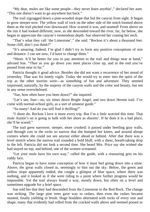"My dear, mules are like some people—they never learn anythin'," declared her aunt. "This one doesn't want to go anywhere but back."

The trail zigzagged down a pine-wooded slope that hid the canyon from sight. It began to grow steeper now. The yellow wall of rock on the other side of the notch loomed above them as the trail pitched ever downward. How scarred it was, and seamed! From above on the rim it had looked different; now, as she descended toward the river, far, far below, she began to appreciate the canyon's tremendous depth. Sue observed her craning her neck.

"That's what they call 'the Limestone'," she said. "Reckon it's aboot a thousand feet. Some cliff, don't you think?"

"It's amazing. Indeed, I'm glad I didn't try to form any positive conceptions of size and distance. I can see now, I'd have to change them."

"Shore. It'll be better for you to pay attention to the trail and things near at hand," advised Sue. "Then as you go down you meet places close up, and in the end you've passed from near to far."

Patricia thought it good advice. Besides she did not want a recurrence of her mood of yesterday. That was for lonely vigils. Today she would try to enter into the spirit of the trip as the other tourists were—as something of fun and adventure. They seemed impressed, naturally, by the majesty of the canyon walls and the color and beauty, but not in any sense overwhelmed.

"Sue, how often have you been down?" she inquired.

"Let's see, four—no, six times down Bright Angel, and two down Hermit trail. I've come with normal-school girls, as a sort of amateur guide."

"So many! And do you still find it thrilling?"

"I shore do. Reckon I love it more every trip. But I'm a little worried this time. That mule Auntie's on is going to balk with her shore as shootin'. If he does it in a bad place, she'll be scared."

The trail grew narrower, steeper, more crooked; it passed under beetling gray walls, and through cuts in the rocks so narrow that she bumped her knees, and around abrupt corners where she could not see anyone either ahead or behind. After that there was a level stretch where the narrow trail rounded a bold bluff, with a sheer, breath-taking drop to the left. Patricia did not look a second time. She heard Mrs. Price say she wished she had stayed on top; and behind, one of the women screamed.

"Let your mule have his own way," called the guide, with a reassuring grin on his ruddy face.

Patricia began to have some conception of how it must feel going down into a mine. Above, the great walls closed in, seemingly to blot out the sky. Below, the green and yellow slope apparently ended; she caught a glimpse of blue space, where there was nothing, and it looked as if she were riding to a point where further progress would be impossible. Yet the trail always found a way, mostly down, but often on a level and sometimes upgrade for a brief space.

Sue told her that they had descended from the Limestone to the Red Rock. The change was striking. The large pine trees gave way to cedars, then even the cedars became stunted, finally yielding to brush. Huge boulders alternated with rocks of every size and shape, many that evidently had rolled from the cracked walls above and seemed poised as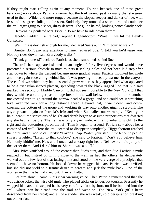if they might start rolling again at any moment. To ride beneath one of these great balancing rocks shook Patricia's nerve, but the trail wound past so many that she grew used to them. Wilder and more rugged became the slopes, steeper and darker of hue, with less and less green foliage to be seen. Suddenly they rounded a sharp turn and could see the trail zigzagging to a sheer, dizzy descent. The guide halted, looking nonchalantly back.

"Heavens!" ejaculated Mrs. Price. "Do we have to ride down there?"

"Jacob's Ladder. It ain't bad," replied Higgenbottom. "Wait till we hit the Devil's Corkscrew!"

"Well, this is devilish enough for me," declared Sue's aunt. "I'm goin' to walk."

"Auntie, don't pay any attention to Tine," advised Sue. "I told you he'd tease you. Nobody rides down heah. Everybody walks."

"Thank goodness!" declared Patricia as she dismounted behind Sue.

The trail here appeared slanted to an angle of forty-five degrees and would have presented a serious obstacle to most tourists if sapling poles had not been laid step after step down to where the descent became more gradual again. Patricia mounted her mule and once again rode along behind Sue. It was growing noticeably warmer in the canyon. The cleft down which they had descended grew wider as they approached what appeared to be a triangular-shaped plateau, spreading toward the black ragged line that Sue said marked the second or Marble Canyon. It did not seem possible to the New York girl that they would be able to get past a huge break in the wall below; but the trail took another unexpected turn to go around the narrow head of a gorge, and she could see it stretching level over red rock for a long distance ahead. Beyond that, it went down and down, crossing the bottom of the gorge and working its way onto another gigantic step-off. The abyss yawned again on Patricia's left; and when Sue called out warningly: "Keep your haid, heah!" the sensations of height and depth began to assume proportions that dwarfed any she had felt before. The trail was only a yard wide, with an overhanging cliff to the right and the bottomless pit on the left. Then it began to ascend. Patricia saw above her a corner of red wall. Here the trail seemed to disappear completely. Higgenbottom reached the point, and turned to call lazily: "Lover's Leap. Watch your step!" Sue let out a peal of silvery laughter. "Listen to that cowboy," she said to Patricia. "Don't you believe him. He's only kiddin' me. Nels and I once had a scrap right heah. Nels swore he'd jump off the corner there. And I dared him to. Shore it was a bluff."

Mrs. Price vanished around the corner; then Sue's aunt, and then Sue. Patricia's mule reached it, but instead of turning close to the wall, as had the others, he deliberately walked out the few feet of that jutting point and stood on the very verge of a precipice that seemed to have no bottom. He looked down; he wagged his ears. Patricia was terrified, but she did not yield to a frantic desire to scream and jerk the mule back. One of the women in the line behind cried out. They all halted.

"Let him alone!" came Sue's clear warning voice. Then Patricia remembered that she was astride Joker, the wise old mule who played tricks on tenderfoot tourists. Presently he wagged his ears and stepped back, very carefully, foot by foot, until he bumped into the wall, whereupon he turned into the trail and went on. The New York girl's heart descended from her throat; and all of a sudden she was weak, cold perspiration breaking out on her face.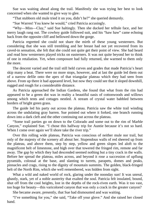Sue was waiting ahead along the trail. Manifestly she was trying her best to look concerned when she wanted to give way to glee.

"That stubborn old mule tried it on you, didn't he?" she queried demurely.

"Sue Warren! You knew he would," cried Patricia accusingly.

"Why—Miss—Clay," said Sue haltingly. Then she ducked her telltale face, and her merry laugh rang out. The cowboy guide followed suit, and his "haw haw" came echoing back from the opposite cliff and bellowed down the gorge.

Patricia regretted she could not share the mirth of these young westerners. But considering that she was still trembling and her breast had not yet recovered from its caved-in sensation, she felt that she could not quite get their point of view. She had heard and read how westerners played tricks on easterners. It was not quite beyond her to think of one in retaliation. Yet, when composure had fully returned, she warmed to them only the more.

The descent varied and the trail still held curves and grades that made Patricia's heart skip many a beat. There were no more stops, however, and at last the guide led them out of a narrow defile onto the apex of that triangular plateau which they had seen from above. From up there it had appeared level, but now they could see that it sloped downhill, rugged and rough for a considerable distance.

As Patricia approached the Indian Gardens, she found that what from the rim had appeared to be a green dot was in reality a beautiful oasis of cottonwoods and willows among which tents and cottages nestled. A stream of crystal water babbled between borders of bright green grass.

The guide led his party out across the plateau. Patricia saw the white trail winding across the undulating gray barren. Sue pointed out where it forked, one branch running down into a dark cleft and the other continuing out across the plateau.

"Some trail parties go on down to the Colorado and some out to the rim of Marble Canyon," explained Sue. "I chose this halfway trip for Auntie because it's not so hard. When I come over again we'll shore take the river trip."

Over this rolling wide plateau, Patricia was conscious of neither mule nor trail, but only of the majesty of the scenery all about her. Stupendous walls of red sheered up from the plateau, and above them, step by step, yellow and green slopes led aloft to the magnificent belt of limestone, and high over that towered the fringed rim, remote and far away. The gap by which they had descended seemed nothing but a tiny crack in the walls. Before her spread the plateau, miles across, and beyond it rose a succession of upflung pyramids, colossal at the base, and slanting to turrets, parapets, domes and peaks, pinnacles and crags, rising to the dignity of mountain summits. The golden, black-fringed belt of the North Rim, which she well remembered, was hidden from sight.

What a wild and naked world of rock, glaring under the noonday sun! It was unreal, ghastly, stark, yet of a noble austerity that exalted the soul. Patricia felt insulated, bound, shut off from the cool heights, lost in the depths of the rock-riven earth. Was it too vast, too huge for beauty—this varicolored canyon that was only a crack in the greater canyon?

She became aware, presently, that Sue had dismounted and was waiting.

"I've something for you," she said, "Take off your glove." And she raised her closed hand.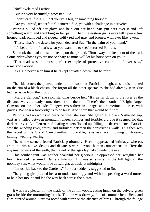"No!" exclaimed Patricia.

"But it's very beautiful," protested Sue.

"I don't care if it is. I'll bet you've a bug or something horrid."

"Are you afraid, tenderfoot?" bantered Sue, yet with a challenge in her voice.

Patricia pulled off her glove and held out her hand. Sue put hers over it and left something warm and throbbing in her palm. Then the eastern girl's eyes fell upon a tiny horned toad, scalloped and ridged, softly red and gray and bronze, with eyes like jewels.

"There. That's the desert for you," declared Sue. "In the palm of your hand."

"It's beautiful—if that's what you want me to see," returned Patricia.

Sue took the toad and set it free upon the ground. "Run away and keep out of the trail. Some rider whose eyes are not so sharp as mine will let his horse step on you."

"That toad was the most perfect example of protective coloration I ever saw," remarked Patricia.

"Yes. I'd never seen him if he'd kept squatted down. But he ran."

The ride across the plateau ended all too soon for Patricia, though, as she dismounted on the rim of a black chasm, she forgot all the other spectacles she had already seen. Sue led her aside from the group.

"Marble Canyon," she said, standing beside her. "It's as far down to the river as the distance we've already come down from the rim. There's the mouth of Bright Angel Canyon, on the other side. Rangers cross there in a cage, and sometimes tourists with guides. We hear a footbridge is to be built. And shore that would be fine."

Patricia had no words to describe what she saw. She gazed at a black V-shaped gap, vast as a valley between mountain ranges, somber and terrible, a grave it seemed for that dark red river. A sullen roar of chafing waters floated up, filling the desert silence. Patricia saw the winding river, frothy and turbulent between the constricting walls. This then was the secret of the Grand Canyon—that implacable, resistless river, flowing on forever, cutting, wearing, tearing.

The whole scene affected Patricia profoundly. Here it approached intimacy, whereas from the rim above, depths and distances were beyond human comprehension. Here the abysmal bowels of the earth, the travail of the ages lay naked under the eye.

This somber rent was neither beautiful nor glorious. It oppressed her, weighted her heart, tortured her mind. Dante's Inferno! If it was so sinister in the full light of the noonday sun, what would it be at twilight, at dusk, at midnight?

"Let us ride back to the Gardens," Patricia suddenly suggested to Sue.

The young girl pressed her arm understandingly and without speaking a word turned to help her mount and led the way back across the plateau.

It was very pleasant in the shade of the cottonwoods, eating lunch on the velvety green grass beside the murmuring brook. The air was drowsy, full of summer heat. Bees and flies buzzed around. Patricia noted with surprise the absence of birds. Through the foliage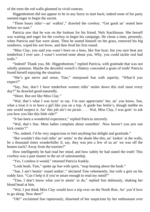of the trees the red walls gleamed in vivid contrast.

Higgenbottom did not appear to be in any hurry to start back; indeed none of his party seemed eager to begin the ascent.

"Three hours ridin'—an' walkin'," drawled the cowboy. "Get good an' rested here before we start."

Patricia saw that he was on the lookout for his friend, Nels Stackhouse. She herself was waiting and eager for the cowboy to begin his campaign. He chose a time, presently, when Patricia and Sue were alone. Then he seated himself on the grass, removed his big sombrero, wiped his wet brow, and then fired his first round.

"Miss Clay, you said you wasn't born on a hoss, like Sue hyar, but you sure beat any tenderfoot I ever saw. I wasn't worried none about you. Why, you could tackle real bad trails."

"Indeed? Thank you, Mr. Higgenbottom," replied Patricia, with gratitude that was not wholly pretense. Maybe the deceitful wretch's flattery concealed a grain of truth! Patricia found herself enjoying the situation.

"She's got nerve and sense, Tine," interposed Sue with asperity. "What'd you expect?"

"Say, Sue, don't I have tenderfoot women ridin' mules down this trail most every day?" he drawled good-naturedly.

"Shore. But not like Miss Clay."

"Wal, that's what I was tryin' to say. I'm sure appreciatin' her, an' you know, Sue, what a treat it is to have a girl like you on a trip. A guide has feelin's, though mebbe no one would suspect it. An' this job ain't no picnic. . . . Wal, Miss Clay, I was goin' to ask you how you like this little ride?"

"It has been a wonderful experience," replied Patricia sincerely.

"Wal, that's fine. Most ladies complain about somethin'. Now haven't you jest one kick comin'!"

"No, indeed. I'd be very ungracious to feel anything but delight and gratitude."

"But wouldn't this trail ridin' an' settin' in the shade like this, an' lookin' at the walls, be a thousand times wonderfuller if, say, they was jest a few of us an' we was off the beaten track? Away from the tourists?"

How intelligently he had read her mind, and how subtly he had stated the truth! This cowboy was a past master in the art of salesmanship.

"Yes, I confess it would," returned Patricia frankly.

"Look heah, Tine," spoke up Sue with spirit, "stop beating aboot the bush."

"Sue, I ain't beatin' round nothin'," declared Tine vehemently, but with a grin on his ruddy face. "Can I help it if you're smart enough to read my mind?"

"Tine, I don't know what you're aimin' to do," replied Sue dubiously, shaking her blond head at him.

"Wal, I jest think Miss Clay would love a trip over on the North Rim. An' you'd love to go along. Now then!"

"Oh!" exclaimed Sue rapturously, disarmed of her suspicions by her enthusiasm over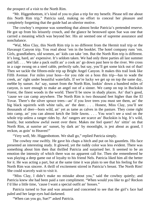the prospect of a visit to the North Rim.

"Mr. Higgenbottom, it's kind of you to plan a trip for my benefit. Please tell me about this North Rim trip," Patricia said, making no effort to conceal her pleasure and completely forgetting that the guide had an ulterior motive.

The cowboy's response was something that almost broke Patricia's pretended reserve. He got up from his leisurely crouch, and the glance he bestowed upon Sue was one that carried a meaning which was beyond her. His air seemed one of supreme assurance and nonchalance.

"Wal, Miss Clay, this North Rim trip is no different from the Hermit trail trip or the Havasupi Canyon trip. You read about 'em in the booklet. The hotel company runs 'em. Girls, grandfathers, old women, an' kids can take 'em. But the North Rim trip is different. It's long, hard, an' expensive. It's seldom taken. We had only three parties all last summer and fall. . . . We take a pack outfit an' a cook an' go down past here to the river. We cross in a cage swung on a steel cable, perfectly safe, but say, you'll get some kick out of that! Then we tackle the fifteen-mile trip up Bright Angel Canyon. It makes this trail look like Fifth Avenue. For miles your hoss—for you ride on a hoss this trip—has to wade the creek, an' right under beautiful waterfalls. If we're lucky we get up on top the same day, mebbe by sunset. An' say, sunset from the North Rim, lookin' down a hundred miles of canyon, is sure enough to make an angel out of a sinner. We camp on top in Buckskin Forest, the finest woods in the world. There'll be snow in shady places. An' that's good, 'cause we can camp anywhere. The North Rim is two thousand feet higher than the El Tovar. There's the silver spruce trees—an' if you love trees you must see them, an' the big black squirrels with white tails, an' the deer. . . . Honest, Miss Clay, you'll see thousands of deer—born wild, an' yet as tame as calves in the pasture. They come right into camp, an' you can almost ketch the little fawns. . . . You won't see a soul on the whole trip unless a ranger rides by. An' rangers are scarce an' Buckskin is big. It's wild, lonely, but somehow awful sweet over there. Makes me feel queer! An' sittin' on that North Rim, at sunrise an' sunset, by dark an' by moonlight, is jest about as grand, I reckon, as goin' to Heaven!"

"Very well, Mr. Higgenbottom. We shall go," replied Patricia simply.

The cowboy rose swiftly. He gave his chaps a hitch and put on his gauntlets. His face presented an interesting study. It glowed, yet the ruddy color was less evident. There was something about him then that thrilled Patricia and surprised her. It seemed to be an emotion the intensity of which there was no apparent call for. Then she remembered he was playing a deep game out of loyalty to his friend Nels. Patricia liked him all the better for it. He was acting a part, but at the same time it was plain to see that his feeling for the North Rim was sincere. A thrill of excitement stirred in Patricia's breast. The North Rim! She could scarcely wait to visit it.

"Miss Clay, I didn't make no mistake about you," said the cowboy quietly; and Patricia knew she had been paid a rare compliment. "When would you like to go? Reckon I'd like a little time, 'cause I want a special outfit an' hosses."

Patricia turned to Sue and was amazed and concerned to see that the girl's face had paled and her large eyes had darkened.

"When can you go, Sue?" asked Patricia.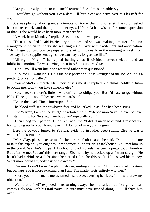"Are you—really going to take me?" returned Sue, almost breathlessly.

"I wouldn't go without you. Set a date. I'll hire a car and drive over to Flagstaff for you."

Sue was plainly laboring under a temptation too enchanting to resist. The color rushed back to her cheeks and the light into her eyes. If Patricia had wished for some expression of thanks she would have been more than satisfied.

"A week from Monday," replied Sue, almost in a whisper.

"Then it's settled," said Patricia trying to pretend she was making a matter-of-course arrangement, when in reality she was tingling all over with excitement and anticipation. "Mr. Higgenbottom, you be prepared to start with us early in the morning a week from Tuesday. Take supplies enough so we can stay as long as we like."

"All right—Miss—" he replied haltingly, as if divided between elation and an inhibiting emotion. He was gazing down into Sue's upturned face.

"Tine—you'll want *him*," she asserted rather than questioned.

" 'Course I'll want Nels. He's the best packer an' hoss wrangler of the lot. An' he's a pretty good camp-rustler."

"You needn't enumerate Mr. Stackhouse's merits," replied Sue almost coldly. "But to oblige me, won't you take someone else?"

"Sue, I reckon there's little I wouldn't do to oblige you. But I'd hate to go without Nels. Honest, it's not all because we're pards—"

"Be on the level, Tine," interrupted Sue.

The blood suffused the cowboy's face and he jerked up as if he had been stung.

"Sue Warren, I am on the level," he retorted hotly. "Mebbe more'n you'd ever believe. I'm standin' up for Nels, agin anybody, an' especially you."

"Then I beg your pardon, Tine," returned Sue. "I didn't mean to offend. I respect you for standing up for your friend, even if I do not admire your judgment."

Here the cowboy turned to Patricia, evidently in rather deep straits. Else he was a wonderful dissembler.

"Miss Clay, please excuse me for bein' sort of obstinate," he said. "You're hirin' me to take this trip an' you ought to know somethin' about Nels Stackhouse. You met him up in the corral. Wal, he's my pard. I'm bound to admit Nels has been a pretty tough hombre. But after he met Sue an' this here ranger Eburne, why he bucked up an' went straight. He hasn't had a drink or a fight since he started ridin' for this outfit. He's saved his money. What more could anybody ask of a cowboy?"

"I'm sure I don't know," replied Patricia, smiling up at him. "I couldn't, that's certain, but perhaps Sue is more exacting than I am. The matter rests entirely with her."

"Shore you both—make me ashamed," said Sue, averting her face. "I—I withdraw my objection."

"Wal, that's fine!" exploded Tine, turning away. Then he called out: "By golly, heah comes Nels now with his trail party. He sure must have rustled along. . . . I'll fetch him over."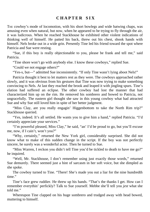## **C H A P T E R S I X**

THE cowboy's mode of locomotion, with his short bowlegs and wide batwing chaps, was amusing even when natural, but now, when he appeared to be trying to fly through the air, it was ludicrous. When he reached Stackhouse he exhibited other violent indications of thinking well of himself. He patted his back, threw out his chest, shook hands with himself. Nels broke out in a wide grin. Presently Tine led his friend toward the spot where Patricia and Sue were resting.

"Sue, if this boy is really objectionable to you, please be frank and tell me," said Patricia.

"Tine shore won't go with anybody else. I know these cowboys," replied Sue.

"Could we not engage others?"

"Yes-s, but—" admitted Sue inconsistently. "If only Tine wasn't lying aboot Nels!"

Patricia thought it best to let matters rest as they were. The cowboys approached rather slowly, and it was obvious from his gestures that Tine was now trying to make something convincing to Nels. At last they reached the brook and leaped it with jingling spurs. Tine's elation had suffered an eclipse. The other cowboy had lost the manner that had characterized him up on the rim. He removed his sombrero and bowed to Patricia, not ungracefully. The eastern girl thought she saw in this young cowboy what had attracted Sue and why Sue still loved him in spite of her better judgment.

"Miss Clay, are you really engagin' Higgenbottom to take the North Rim trip?" Stackhouse queried.

"Yes, indeed. It's all settled. He wants you to give him a hand," replied Patricia. "I'd certainly appreciate your services."

"I'm powerful pleased, Miss Clay," he said, "an' I'd be proud to go, but you'll excuse me, now, if I cain't, won't you?"

"Why, certainly," returned the New York girl, considerably surprised. She did not know what to make of this sudden change in the script. If the boy was not perfectly sincere, he surely was a wonderful actor. Then he turned to Sue.

"Miss Warren, I reckon you didn't tell Tine you'd be tickled to death to have me go?" he inquired.

"Well, Mr. Stackhouse, I don't remember using just exactly those words," returned Sue demurely. There seemed just a hint of sarcasm in her soft voice, but she dimpled as she spoke.

The cowboy turned to Tine. "There! She's made you out a liar for the nine hundredth time"

Tine's face grew ruddier. He threw up his hands. "That's the thanks I get. How can I remember everythin' perfickly? Talk to Sue yourself. Mebbe she'll tell you *jest* what she told me"

Whereupon Tine clapped on his huge sombrero and trudged away with head bowed, muttering to himself.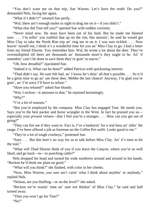"You don't want me on that trip, Sue Warren. Let's have the truth! Do you?" demanded Nels, facing her again.

"What if I didn't?" retorted Sue pertly.

"Wal, there ain't enough mules in sight to drag me on it—if you didn't."

"What else did Tine tell you?" queried Sue with sudden curiosity.

"Never mind now. He must have been out of his haid. But he made me blamed sore. . . . I'm tellin' you truthful that up on the rim, this mornin', he said he would get Miss Clay to take the North Rim trip an' ring me in on it. I was sure tickled.  $\dots$  Now leavin' myself out, I think it's a wonderful time for you an' Miss Clay to go. I had a letter from my friend Eburne. You remember him. Wal, he wrote a lot about the deer. They've overmultiplied till there are thousands an' thousands more'n they ought to be. An' if somethin' cain't be done to save them they're goin' to starve."

"Oh, how dreadful!" ejaculated Sue.

"Indeed it is. What can be done?" added Patricia with quickening interest.

"Thad didn't say. He sure felt bad, an' I know he's doin' all that's possible. . . . So it'd be a great time to go an' see these deer. Mebbe the last chance! Anyway, I'm glad you're goin', an' I'm sorry I'll have to refuse."

"Have you refused?" asked Sue bluntly.

"Wal, I reckon—it amounts to that," he rejoined hesitatingly.

"Why?"

"I've a lot of reasons."

"But you're employed by the company. Miss Clay has engaged Tine. He needs you. Says you're the best packer and horse wrangler in the West. In fact he praised you so especially your *present* virtues—that I feel you're a stranger. . . . How can you get out of going?"

"They can fire me if they want to. Fact is, I've a hankerin' for a real hoss an' ridin' the range. I've been offered a job as foreman on the Coffee Pot outfit. Looks good to me."

"They're a lot of tough cowboys," protested Sue.

"Sure. . . . But this here's no way for us to talk before Miss Clay. An' it's time to hit the trail."

"What will Thad Eburne think of you if you leave the Canyon, where you're so well liked, and go back—to—to punching cattle?"

Nels dropped his head and turned his wide sombrero around and around in his hands. "Reckon he'd think me plain no good."

"What will *you* think?" she flashed, with color in her cheeks.

"Now, Miss Warren, you sure ain't carin' what I think about anythin' or anybody," replied Nels.

"Nelson, are you bluffing—or on the level?" she asked.

"Reckon we're wastin' time an' sure not thinkin' of Miss Clay," he said and half turned away.

"Then you won't go for Tine?"

" $N_0$ "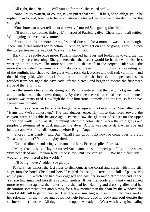"All right, then, Nels. . . . Will you go for me?" she asked softly.

"Now—Miss Warren, of course, if you put it that way, I'll be glad to oblige you," he replied blandly and, bowing to her and Patricia he leaped the brook and strode out into the sunlight.

"You shore can never tell about a cowboy," mused Sue, gazing after him.

"I'll tell you sometime, little girl," interposed Patricia gaily. "Cheer up. It's all settled. We're going to have an adventure."

"Shore, it might be more for me," sighed Sue and for a moment was lost in thought. Then Tine's call roused her to action. "Come on, let's get on and be going. They'll bunch the two parties on the way out. We want to be in front."

Back in the saddle once more, Patricia shaded her eyes and looked up toward the rim where they were returning. She gathered that the ascent would be harder work, but less wearing on the nerves. The more she gazed up that cleft in the perpendicular wall, the more she marveled that humans on muleback could ever climb it. Soon she was riding out of the sunlight into shadow. The great walls rose, dark bronze and dull red, vermilion, and then blazing gold, with a black fringe at the top. As she looked, the upper sunlit steps receded from her sight; the cavalcade left the plateau and began to ascend the first steep slope of the return trail.

As the sure-footed animals strung out, Patricia noticed that the party had grown silent and absorbed with their own thoughts. By the time the red rock had been surmounted, Patricia was pretty tired. How high the blue limestone loomed! And the rim, so far above, seemed unattainable.

The time came when Patricia no longer gazed upward; not even when Sue called back: "Hang on. We're almost up." The last zigzags, especially those that faced toward the canyon, were endurable because again Patricia saw the glamour of sunset on the upper slopes and walls. She was still climbing when the colors died, when the cold grays and purples predominated as dusk mantled the abyss. And it was nearly dark when Sue and her aunt and Mrs. Price dismounted before Bright Angel Inn.

"Shore it was dandy," said Sue. "Shall I say good night now, or come over to the El Tovar after dinner? You're mighty tired."

"Come to dinner, and bring your aunt and Mrs. Price," replied Patricia.

"Many thanks, Miss Clay," returned Sue's aunt, as she limped painfully up the steps. "I'm near dead an' I reckon Mrs. Price is too. But Sue can go. . . . We had a fine ride. I wouldn't have missed it for worlds."

"I'll be right over," added Sue gladly.

Patricia was almost the last rider to dismount at the corral and creep with little stiff steps into the hotel. She found herself chafed, bruised, blistered, and full of pangs. No active pursuit in which she had ever engaged had cost her so much effort and endurance. Yet she had imagined herself as strong, tireless. It hurt her pride and vanity and stirred more resentment against the butterfly life she had led. Bathing and dressing alleviated her discomfort somewhat, but after sitting for a few moments in the chair by the window, she found it difficult to get on her feet. Her face was smarting with sunburn. Patricia stared at her reflection in the mirror and could not help feeling good in body and soul despite the stiffness in her muscles. All day out in the open! Already the West was having its healing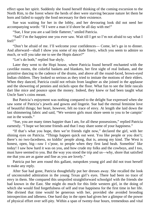effect upon her spirit. Suddenly she found herself thinking of the coming excursion to the North Rim, to the forest where the herds of deer were starving because nature let them be born and failed to supply the food necessary for their existence.

Sue was waiting for her in the lobby, and her devouring look did not need her accompanying words: "If I were a man it'd shore be all day with me!"

"Sue, I fear you are a sad little flatterer," smiled Patricia.

"Sad? I'm the happiest one you ever saw. Wait till I get so I'm not afraid to say what I feel!"

"Don't be afraid of me. I'll welcome your confidences— Come, let's go in to dinner. And afterward—shall I show you some of my dude finery, which you seem to admire so much, or will you take me to see the Hopis dance?"

"Let's do both," replied Sue shyly.

Later they went to the Hopi house, where Patricia found herself enchanted with the cavelike rooms, the colorful baskets and blankets, her first sight of real Indians, and the primitive dancing to the cadence of the drums, and above all the round-faced, brown-eyed Indian children. They looked so serious as they tried to imitate the motions of their elders. When they danced, Patricia could not refrain from laughter as she joined in the applause and the showering of pennies and nickels upon the floor. What fun to see the little rascals dart like mice and pounce upon the money. Indeed, they knew or had been taught what Uncle Sam's coins meant.

But Patricia's enjoyment was nothing compared to the delight Sue expressed when she saw some of Patricia's jewels and gowns and lingerie. Sue had the eternal feminine love of beautiful things; her heart, however, felt no trace of envy. At length she laid down the last shimmering fabric and said, "We western girls must shore seem to you to be campin' out in the woods."

"Sue, you are many times happier than I am, for all these possessions," replied Patricia earnestly. "I hope we become friends and that I may share some of your happiness."

"If that's what you hope, then we're friends right now," declared the girl, with her shining eyes on Patricia. "Things happen quick out west. You like people or you don't; there's no two-facedness, no kiddin' people along, that is, among my kind. The West is honest, open, big—raw I s'pose, to people when they first land heah. Somethin' like today! I saw how hard it was on you, and how crude my folks and the cowboys, and I too, must have seemed to you. But the way you stood the trip and us—why, shore that satisfied me that you are as game and fine as you are lovely."

Patricia put her arm round this gallant, outspoken young girl and did not trust herself to make any reply.

After Sue had gone, Patricia thoughtfully put her dresses away. She recalled the look of unconcealed admiration in the young Texas girl's eyes. There had been no trace of envy in them. She compared this unspoiled straightforward schoolgirl with the friends she had known in the East. She might do much for this little western girl, in the doing of which she would find forgetfulness of self and true happiness for the first time in her life. She divined that time would be generous with her, provided she avoided brooding introspection and idleness. One hard day in the open had given her a glimpse of the power of physical effort over self-pity. Within a span of twenty-four hours, tremendous and vital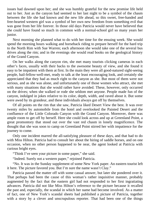issues had dawned upon her; and she was humbly grateful for the new promise life held out to her. Just as the canyon had seemed to her last night to be a symbol of the chasm between the life she had known and the new life ahead, so this sweet, free-handed and free-hearted western girl was a symbol of her own new freedom from something evil that was gone from her life forever. In those old days Patricia would never have believed that she could have found so much in common with a normal-school girl so many years her junior.

Next morning she planned what to do with her time for the ensuing week. She would spend the morning hours walking and horseback riding to prepare herself for the hard trip to the North Rim with Sue Warren; each afternoon she would take one of the several bus drives along the rim; and in the evenings she would read books on the geological history of the Grand Canyon.

On her walks along the canyon rim, she met many tourists clicking cameras in each other's faces, usually with their backs to the awesome beauty of view, and she found it easy to be impatient with them at first. In the main they were all good-natured sight-seeing people, hail-fellow-well-met, ready to talk at the least encouraging look, and certainly she appreciated that they had as much right to the canyon as she. But most of them were not serious, and as she was alone, and unfortunately one of those women who attract, she met with many situations that she would rather have avoided. These, however, only occurred on the drives; when she walked or rode she seldom met anyone. People made fun of the canyon, indulged in jokes relative to its color, depth, width, and raved about it. But some were awed by its grandeur, and these individuals always got off by themselves.

Of all points on the rim that she saw, Patricia liked Desert View the best. It was over twenty miles by automobile from the hotel and overlooked the Painted Desert and the confluence of the Little Colorado Canyon with the Grand Canyon. Moreover, there was ample room to get off by herself. Here she could look across and up at Greenland Point, a great promontory that stood out over the vast red chasm in lonely magnificence. The thought that she was soon to camp on Greenland Point stirred her with impatience for the journey to come.

Only one incident marred the all-satisfying pleasure of these days, and that had to do with Miss Hilton. Patricia had to consult her about the hiring of saddle horses, and on one occasion, when no other person happened to be near, the agent looked at Patricia with curious bright eyes.

"Think I've seen your picture in some paper," she said.

"Indeed. Surely not a western paper," rejoined Patricia.

"No. It was in the Sunday supplement of some New York paper. An eastern tourist left it here. The picture favored you. But I'm sure the name wasn't Clay."

Patricia passed the matter off with some casual answer, but later she pondered over it. That perhaps had been the cause of this woman's rather inquisitive manner, probably augmented by the fact that the eastern girl had not responded to her first ingratiating advances. Patricia did not like Miss Hilton's reference to the picture because it recalled the past and, especially, the scandal in which her name had become involved. As a matter of fact, one of New York's scandal sheets had published a picture of Patricia, together with a story by a clever and unscrupulous reporter. That had been one of the things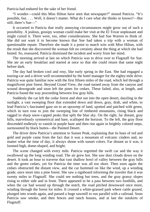Patricia had endured for the sake of her friend.

"I wonder—could this Miss Hilton have seen that newspaper?" mused Patricia. "It's possible, but. . . . Well, it doesn't matter. What do I care what she thinks or knows?—But still, there's Sue—"

It occurred to Patricia that really annoying circumstances might grow out of such a possibility. A jealous, gossipy woman could make her visit at the El Tovar unpleasant and might curtail it. There were, too, other considerations. She had Sue Warren to think of. She did not want it to become known that Sue had taken a trip with a woman of questionable repute. Therefore she made it a point to match wits with Miss Hilton, with the result that she discovered the woman felt no certainty about the thing at which she had hinted. So, reassured, Patricia dismissed the incident and worry from her mind.

The morning arrived at last on which Patricia was to drive over to Flagstaff for Sue. She ate an early breakfast and started at once so that she could return that same night before dark.

The day had broken cool and rosy, like early spring in the East. She had engaged a touring-car and a driver well recommended by the hotel manager for the eighty-mile drive. Patricia was quite familiar now with the first fifteen miles of the road, which led through a magnificent pine forest. Beyond Grand View, the road turned away from the canyon and wound downgrade and soon left the pines for cedars. These failed, also, at length, and Patricia found the way proceeding between low gray hills.

Suddenly the car left the cedar forest and shot out into the open desert, dazzling in the sunlight, a vast sweeping floor that extended down and down, gray, drab, and white, to lead Patricia's fascinated gaze on to an upsweep of land, spotted and patched with green, which in turn rose to join the sweeping line of timbered mountains, rising black and ragged to sharp snow-capped peaks that split the blue sky. On the right, far distant, gray hills, marvelously symmetrical and bare, scalloped the horizon. To the left, the gray floor descended endlessly to vanish in purple haze and then rise again in brightly colored steps, surmounted by black buttes—the Painted Desert.

The driver drew Patricia's attention to Sunset Peak, explaining that its hues of red and gold and purple came from the fact that it was a mountain of volcanic cinders and, no matter what the time of day, it always shone with sunset colors. Far distant as it was, it loomed high, dome-shaped, and bright.

The scene changed with every mile. Patricia regretted the swift car and the way it swallowed up the long winding road. The air grew hot. She saw dust clouds down on the desert. It took an hour to traverse that vast shallow bowl of valley between the gray hills and the green cedars, yet for Patricia the time was all too short. Then soon again the cedars obstructed the distant view, and the car hummed on like the wind, up a winding grade, once more into a pine forest. She saw a signboard informing the traveler that it was twenty miles to Flagstaff. She could see nothing but trees, and the gray grassy slopes rising to either side and in front. There appeared to be a pass between two foothills, and when the car had wound up through the notch, the road pitched downward once more, winding through the forest for miles. It crossed a white-grassed park where cattle grazed, plunged into woods again, and passed a huge sawmill to run parallel with a railroad. Soon Patricia saw smoke, and then fences and ranch houses, and at last the outskirts of Flagstaff.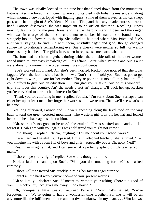The town was ideally located in the pine belt that sloped down from the mountains. Patricia liked the broad main street, where autoists vied with Indian teamsters, and along which mounted cowboys loped with jingling spurs. Some of them waved as the car swept past, and she thought of Sue's friends Nels and Tine, and the canyon adventure so near at hand. Patricia discovered she was impatient to be off on that ride. Recalling Tine's moving description of the great forest and the vast herd of starving deer and the ranger who was in charge of them—she could not remember his name—she found herself strangely looking forward to the trip. She called at the hotel where Mrs. Price and Sue's aunt were staying, to find Sue with them, wistfully eager and glad, though changed somewhat to Patricia's remembering eye. Sue's cheeks were neither so full nor warmtinted as they had been. The girl's face, when in repose, seemed somewhat sad.

The four had luncheon together, during which the amiable talk of the elder women added much to Patricia's knowledge of Sue's affairs. Later, when Patricia and Sue's aunt were alone for a moment, the older woman grew confidential.

"Sue's worked awful hard. An' she's been worried. Reckon you noticed that she looks fagged. Well, the fact is she's had bad news. Don't let on I told you. Sue has got to get right down to work, to care for her mother. They're poor an' it took all they had an' all I could afford to give Sue an education. . . . I'm glad you're takin' Sue on this wonderful trip. She loves this country. An' she needs a rest an' change. It'll buck her up. Reckon you're very kind to take such an interest in Sue."

"Thank you for confiding in me," replied Patricia. "I'm sorry about Sue. Perhaps I can cheer her up, at least make her forget her worries until we return. Then we'll see what's to be done."

Not long afterward, Patricia and Sue were speeding along the level road on the way back toward the green-forested mountains. The western girl took off her hat and leaned her blond head back against the cushion.

"Oh, shore it's too good to be true," she exulted. "I was so tired and—and . . . I'll forget it. Heah I am with you again! I was half afraid you might not come."

"I did, though," replied Patricia, laughing. "Tell me about your school work."

"It was hard and hateful. But I passed. I'm a full-fledged teacher," she returned. "Can you imagine me with a room full of boys and girls—especially boys? Oh, golly Ned!"

"Yes, I can imagine that, and I can see what a perfectly splendid little teacher you'll make."

"I shore hope you're right," replied Sue with a thoughtful look.

Patricia laid her hand upon Sue's. "Will you do something for me?" she asked earnestly.

"I shore will," answered Sue quickly, turning her face in eager surprise.

"Forget all the hard work you've had—and your present worries."

"Ab-so-lute-ly!" declared Sue. "I meant to, without your asking. Shore it's good of you. . . . Reckon my face gives me away. I look horrid."

"Oh, no—just a little weary," returned Patricia. "Now that's settled. You've forgotten. . . . We're going to have a wonderful time together. For me it will be an adventure like the fulfillment of a dream that dwelt unknown in my heart. . . . Who knows,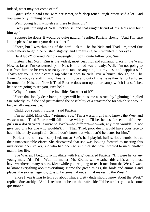indeed, what may not come of it?"

"*Quien sabe?*" said Sue, with her sweet, soft, deep-toned laugh. "You said a lot. And you were only thinking of us."

"Well, young lady, who else is there to think of?"

"I was just thinking of Nels Stackhouse, and that ranger friend of his. Nels will hunt him up."

"Suppose he does? It would be quite natural," replied Patricia slowly. "And I'm sure I'll be pleased to meet your deer stalker."

"Shore, but I was thinking of the hard luck it'll be for Nels and Thad," rejoined Sue with a merry laugh. She blushed slightly, and a roguish gleam twinkled in her eyes.

"Hard luck?" queried Patricia musingly. "I don't quite follow you, Sue."

"Listen. That North Rim is the widest, most beautiful and romantic place in the West. Now as far as I'm concerned, poor Nels is in a bad way already. Well, I'm not going to run from him, or be cross or nasty or distant, or anything but my best and happiest self. That's for you. I don't care a rap what it does to Nels. I've a hunch, though, he'll be funny. Cowboys are all funny. They fall in love and out of it same as they fall off a horse. So much for Nels. . . . Now if Thad Eburne does turn up at our camp, which is a safe bet, he's shore going to see you, isn't he?"

"Why, of course. I'll not be invisible. But what of it?"

"Shore that lonely deer-loving ranger will be the same as struck by lightning," replied Sue soberly, as if she had just realized the possibility of a catastrophe for which she would be partially responsible.

"Child, you speak in riddles," said Patricia.

"I'm no child, Miss Clay," returned Sue. "I'm a western girl who knows the West and western men. Thad Eburne will fall in love with you. I'll bet he hasn't seen a half-dozen girls in a dozen years. You're so lovely—so different—so—oh, any man would! I'd not give two bits for one who wouldn't. . . . Then Thad, poor devil, would have your face to haunt his lonely campfire!—Still, I don't know but what that'd be better for him."

Patricia found herself surprised, not at Sue's half playful, half serious words, but at their unaccountable effect. She discovered that she was looking forward to meeting this mysterious deer stalker, she who had been so sure that she never wanted to meet another man in her life.

"Sue Warren, I begin to sympathize with Nels," declared Patricia. "If I were he, or any young man, I'd—I'd— Well, no matter. Mr. Eburne will weather this crisis as he must have weathered many others. Meanwhile you're going to teach me about the West. I want to know everything about everything. Name the green things, the birds and animals and places, the stories, legends, gossip, facts—all about all that makes up the West."

"Shore I was trying to tell you about what a pretty dude should know about the West," replied Sue archly. "And I reckon to be on the safe side I'd better let you ask some questions."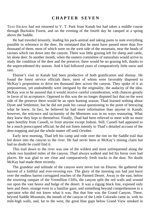## **C H A P T E R S E V E N**

THAD EBURNE had not returned to V. T. Park from Kanab but had taken a middle course through Buckskin Forest, and on the evening of the fourth day he camped at a spring above the Saddle.

He had traveled leisurely, leading his pack-animal and taking pains to note everything possible in reference to the deer. He estimated that he must have passed more than five thousand of them, most of which were on the west side of the mountain, near the heads of ravines which ran down into the canyon. There was little grazing left for sheep and cattle, let alone deer. In another month, when the eastern committee of naturalists would arrive to study the condition of the deer and the preserve, there would be no grazing left, thanks to the unprecedented dry season. And it had followed years of comparatively little snow and rain.

Eburne's visit to Kanab had been productive of both gratification and dismay. He found the forest service officials there, most of whom were favorably disposed to McKay's proposition to drive ten thousand deer across the canyon. They spoke of it as preposterous, yet undoubtedly were intrigued by the originality, the audacity of the idea. McKay was to be assured that it would receive careful consideration, with chances greatly in favor of its acceptance. Opposed to this was the no longer disputed fact that on the west side of the preserve there would be an open hunting season. Thad learned nothing about Dyott and Settlemire, but he did not push his casual questioning to the point of betraying what he knew. In fact, he believed he had more information than anyone in Kanab; however, the reticence and taciturnity of the Mormons was in no ways reassuring. What they knew they kept to themselves. Finally, Thad had been relieved to meet with no more open hostility from Cassell, or from anyone except Judson. Still, Cassell had appeared to be a much preoccupied official; he did not listen intently to Thad's detailed account of the deer-trapping and put the whole matter off until October.

Early next morning, Thad left his camp and rode over the rim on the Saddle trail that led down into the canyon to the river. He had never been at McKay's mining claim but had no doubt he could find it.

This trail down to the river was one of the wildest and most unfrequented along the whole two hundred miles of the canyon. Thad always walked and led his horse over bad places. He was glad to see clear and comparatively fresh tracks in the dust. No doubt McKay had made them recently.

The grandeur and solitude of the canyon were never lost on Eburne. He gathered the harvest of a faithful and ever-revering eye. The glory of the morning sun had just burst over the endless barren corrugated reaches of the Painted Desert. Away to the east, below the towering rampart of the Vermillion Cliffs, the canyon split the red walls and wound out upon the vast heave and bulge of the desert. It was a zigzag black line, exposed only here and there, strange even to a familiar gaze, and something beyond comprehension to a spectator who did not know what it was. But that line was the Grand Canyon. There, beyond Saddle Mountain, the mouth of the canyon of the Little Colorado came in, with its mile-high walls, and, far to the west, the great blue gaps below Grand View smoked in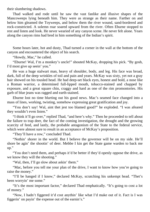their slumbering shadows.

Thad walked and rode until he saw the vast fanlike and illusive shapes of the Mancoweeps lying beneath him. They were as strange as their name. Farther on and below him gleamed the Toyweeps, and below them the river wound, sand-bordered and rock-constricted. A solemn roar soared upward from the river. Often Eburne stopped to rest and listen and look. He never wearied of any canyon scene. He never felt alone. Years along the canyon rims had bred in him something of the Indian's spirit.

Some hours later, hot and dusty, Thad turned a corner in the wall at the bottom of the canyon and encountered the object of his search.

"Howdy, Mac," he called.

"Eburne! Wal, I'm a monkey's uncle!" shouted McKay, dropping his pick. "By gosh, I'd most give up seein' you."

He was a huge stalwart man, heavy of shoulder, body, and leg. His face was broad, dark, full of the deep wrinkles of toil and pain and years. McKay was sixty, yet not a gray hair showed on his tousled head. He had deep-set black eyes, honest and bold, a nose like a Roman warrior, a determined full-lipped mouth, tobacco-stained and chapped by exposure, and a great square chin, craggy and hard as one of the rim promontories. His garb of blue jeans was ragged and earth-stained.

Eburne lost no time blurting out his good news. Mac's seamed face changed into a mass of lines, working, twisting, somehow expressing great gratification and joy.

"You don't say! Wal, aint thet jest too blamed good?" he exploded. "I was afeared they wouldn't even listen."

"I think it'll go over," replied Thad, "and here's why." Then he proceeded to tell about the failure to trap deer, the fact of the coming investigation, the drought and the growing scarcity of feed, and lastly, the probable antagonism of the State to the federal service, which were almost sure to result in an acceptance of McKay's proposition.

"They'll have a row," concluded Thad.

"Nothin' shorer in the world. But I believe the governor will be on my side. He'll shore be agin' the shootin' of deer. Mebbe I kin get the State game warden to back me up."

"You don't need them, and perhaps it'd be better if they'd openly oppose the drive, as we know they will the shooting."

"Wal, then, I'll go slow about askin' them."

"Mac, before you tell me your plan of the drive, I want to know how you're going to raise the money."

"I'll be hanged if I know," declared McKay, scratching his unkempt head. "Thet's been worryin' me some."

"It's the most important factor," declared Thad emphatically. "It's going to cost a lot of money."

"Now, I hadn't figgered it'd cost anythin' like what I'd make out of it. Fact is I was figgerin' on payin' the expense out of the earnin's."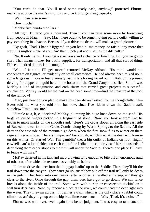"You can't do that. You'll need some ready cash, anyhow," protested Eburne, realizing at once the man's simplicity and lack of organizing capacity.

"Wal, I can raise some."

"How much?"

"Mebbe five hundred dollars."

"All right. I'll lend you a thousand. Then if you can raise some more by borrowing from people in Flag. . . . Say, Mac, there ought to be some moving picture outfit willing to pay something in advance. Because if you drive the deer it will make a grand picture."

"By gosh, Thad, I hadn't figgered on you lendin' me money, or raisin' any more thet way. It's mighty white of you. An' thet hunch just about settles the difficulty."

"No. It only helps. If you get a start you stand a chance of finishing. But you've got to start. That means money for outfit, supplies, for transportation, and all that sort of thing. Fifteen hundred dollars isn't enough."

"Wal, if it ain't, I'll get more," returned McKay offhand. His mind would not concentrate on figures, or evidently on small enterprises. He had always been mixed up in some large deal, more or less visionary, as his late boring for oil out in Utah, or his present delving for copper and gold here in the bottom of the Grand Canyon testified. Still, it was McKay's kind of imagination and enthusiasm that carried great projects to successful conclusion. McKay would hit the nail on the head sometime—find the treasure at the foot of the rainbow!

"Mac, just how do you plan to make this deer drive?" asked Eburne thoughtfully. "Jim Evers told me what you told him, but now, since I've ridden down that Saddle trail, somehow I'm not so sure."

"Simple as a, b, c," declared McKay, plumping his huge knee down on the sand. His large calloused fingers picked up a fragment of stone. "Now, you look ahere." And he began to make marks on the smooth sand. "Here's the cedar slopes all along the east side of Buckskin, clear from the Cocks Combs along by Warm Springs to the Saddle. All the deer on the east side of the mountain go down when the first snow flies to winter on them sage an' cedar slopes. There's juniper an' buckbrush, which's what the deer will browse on this winter. Or starve! Wal, I'm gamblin' thet a big outfit of Indians on foot, ringin' cowbells, an' a lot of riders on each end of the Indian line can drive an' herd thousands of deer along them cedar slopes to the rim wall under the Saddle. There's one place I'll have to fence with wire."

McKay desisted in his talk and map-drawing long enough to bite off an enormous quid of tobacco, after which he resumed as volubly as before.

"I aim to drive the deer into thet big gap leadin' up to the Saddle. There they'll hit the trail down into the canyon. They can't go up, an' if they pile off the trail it'll only be down in the gulch. Thet leads into one canyon after another, all walled an' steep, an' they go clear to the river. Once through the gap, them deer have got to go down. We can fence breaks along the inside of the trail. Some wire with burlap or cheesecloth stickin' on it will turn deer back. Now, by fencin' a place at the river, we could head the deer right into the water. They'll swim across, hit Tanner's trail, which is the only place a rabbit could climb out, an' they'll go up on the big blue limestone bench.—Why, Thad, it's a cinch."

Eburne was won over, even against his better judgment. It was easy to take stock in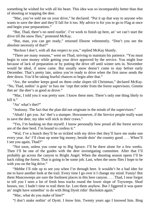something he wished for with all his heart. This idea was so incomparably better than that of shooting or trapping the deer.

"Mac, you've sold me on your drive," he declared. "Put it up that way to anyone who wants to save the deer and they'll fall for it too. My advice is for you to go to Flag at once and begin your preparations."

"But, Thad, there's no need rustlin'. I've work to finish up here, an' we can't start the drive till the snow flies," protested McKay.

"But, man, you can get ready," returned Eburne vehemently. "Don't you see the absolute necessity of that?"

"Reckon I don't, with all due respect to you," replied McKay bluntly.

"There are many reasons," went on Thad, striving to maintain his patience. "You must begin to raise money while getting your drive approved by the service. You might lose because of lack of preparation or by putting the drive off until winter sets in. November would be ideal, if snow came. But usually snow doesn't come to stay before early December. That's pretty late, unless you're ready to drive when the first snow sends the deer down. You'd be taking fearful chances to begin after that."

"Aw, the weather keeps good on them cedar slopes till Christmas," declared McKay. "No, Thad, nothin' is goin' to fuss me 'cept thet order from the forest supervisors. Gimme thet an' the deer's as good as drove."

"Mac, I told you it was pretty sure. I know these men. There's only one thing likely to kill it."

"An' what's thet?"

"Jealousy. The fact that the plan did not originate in the minds of the supervisors."

"Ahuh! I get you. An' thet's a stumper. Howsomever, if the Service people really want to save the deer, my idee will stick in their craws."

"Yes, I'm banking on that myself. I know personally how proud all the forest service are of the deer herd. I'm bound to confess it."

"Wal, I've a hunch they'll be so tickled with my drive thet they'll have me make one every year. An' I'll clean up some big money, beside doin' the country good. . . . When'll I see you again, Thad?"

"Not soon, unless you come up to Big Spruce. I'll be there alone for a few weeks. Then I'll be one of the guides with the deer investigating committee. After that I'll probably go across the canyon to Bright Angel. When the shooting season opens I'll be back riding the forest. That is going to be some job. Last, when the snow flies I hope to be with you on the big drive."

"Mebbe I'll ride up to see you when I'm through here. It wouldn't be a bad idee for me to have another look at the trail. Every time I go over it I change my mind. Funny! But them Mancoweeps are sure the foolinest places in this here canyon. . . . Thad, I near forgot to tell you I seen a lot of fresh hoss tracks round the lower slope of Toyweeps. Shod hosses, too. I hadn't time to trail them far. Lost them anyhow. But I figgered it was queer an' might have somethin' to do with Bing Dyott ridin' Buckskin again."

"Mac, what do you make of him?"

"I don't make nothin' of Dyott. I *know* him. Twenty years ago I knowed him. Bing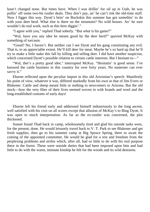hasn't changed none. But times have. When I was drillin' for oil up in Utah, he was pullin' off some two-bit rustler deals. They don't pay, an' he can't risk the old-time stuff. Now I figger this way. Dyott's bein' on Buckskin this summer has got somethin' to do with your deer herd. What else is there on the mountain? No wild hosses. An' he sure wouldn't do real work, such as this here diggin'."

"I agree with you," replied Thad soberly. "But *what* is his game?"

"Wal, have you any idee he means good by the deer herd?" queried McKay with something of sarcasm.

"Good? No, I haven't. But neither can I see Dyott and his gang constituting any evil. That is, to an appreciable extent. He'll kill deer for meat. Maybe he's so hard up that he'll try to make a little stake this fall by killing and selling deer. I did have another suspicion, which concerned Dyott's possible relation to certain cattle interests. But I hesitate to-"

"Wal, thet's a pretty good idee," interrupted McKay. "Hesitatin' is good sense. I've knowed the cattle business in this country for over forty years. No easterner can ever savvy it."

Eburne reflected upon the peculiar import in this old Arizonian's speech. Manifestly his point of view, whatever it was, differed markedly from his own or that of Jim Evers or Blakener. Cattle and sheep meant little or nothing to newcomers to Arizona. But the old stock—how the very fiber of their lives seemed woven in with brands and wool and the long-established customs of early days!

Eburne left his friend early and addressed himself industriously to the long ascent, well satisfied with his visit on all scores except that allusion of McKay's to Bing Dyott. It was open to much interpretation. As far as the ex-rustler was concerned, the plot thickened.

Sunset found Thad back in camp, wholesomely tired and glad his outside tasks were, for the present, done. He would leisurely travel back to V. T. Park to see Blakener and get fresh supplies, then go to his summer camp at Big Spruce Spring, there to await the coming of the appointed committee. He would be glad for a rest and freedom from the perplexing problems and strifes which, after all, had so little to do with his real purpose there in the forest. These were outside duties that had been imposed upon him and had little to do with the warm, intimate kinship he felt for the woods and its wild denizens.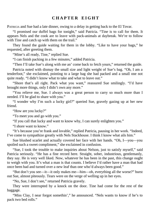## **C H A P T E R E I G H T**

PATRICIA and Sue had a late dinner, owing to a delay in getting back to the El Tovar.

"I promised our duffel bags for tonight," said Patricia. "Tine is to call for them. It appears Nels and the cook are to leave with pack-animals at daybreak. We're to follow with Tine and catch up with them on the trail."

They found the guide waiting for them in the lobby. "Like to have your bags," he requested, after greeting them.

"Mine's all ready, Tine," replied Sue.

"I can finish packing in a few minutes," added Patricia.

"Then I'll take Sue's along with me an' come back to fetch yours," returned the guide.

Patricia noted with dismay the small size and light weight of Sue's bag. "Oh, I am a tenderfoot," she exclaimed, pointing to a large bag she had packed and a small one not quite ready. "I didn't know what to take and what to leave out."

"Shore that's all right. Pack what you want," reassured Sue smilingly. "I'd have brought more things, only I didn't own any more."

"You relieve me, Sue. I always was a great person to carry so much more than I needed. I'll be glad to share with you."

"I wonder why I'm such a lucky girl?" queried Sue, gravely gazing up at her new friend.

"How are you lucky?"

"To meet you and go with you."

"If you call that lucky and want to know why, I can surely enlighten you."

"I shore want to know."

"It's because you're frank and lovable," replied Patricia, pausing in her work. "Indeed, I've come to sympathize greatly with Nels Stackhouse. I think I know what ails him."

Sue blushed scarlet and actually covered her face with her hands. "Oh, I—you—you spoiled such a sweet compliment," she exclaimed in confusion.

"Sue, I took the trouble to make inquiries about Nelson, just to satisfy myself," said Patricia seriously. "He has a fine record here. Straight, sober, industrious, gentlemanly, they say. He is very well liked. Now, whatever he has been in the past, this change ought to weigh with you. It's what a man is that counts. I believe I'd rather have a man that had once been bad and turned over a new leaf than one who'd always been good."

"But don't you see—it—it only makes me—him—oh, everything all the worse?" burst out Sue, almost piteously. Tears were on the verge of welling up in her eyes.

"No, Sue, I don't see," returned Patricia gravely.

They were interrupted by a knock on the door. Tine had come for the rest of the baggage.

"Miss Clay, I near forgot somethin'," he announced. "Nels wants to know if he's to pack two bed rolls."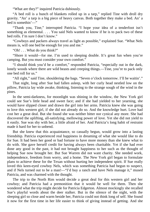"What are they?" inquired Patricia dubiously.

"A bed roll is a bunch of blankets rolled up in a tarp," replied Tine with droll dry gravity. "An' a tarp is a big piece of heavy canvas. Both together they make a bed. An' a bed is somethin'—"

"Thank you, Tine," interrupted Patricia. "I hope your idea of a tenderfoot isn't something as elemental. . . . You said Nels wanted to know if he is to pack two of these bed rolls. I'm sure I don't know."

"Cowboys and packers always travel as light as possible," explained Sue. "What Nels means is, will one bed be enough for you and me."

"Oh! . . . What do you think?"

"Shore it would—for me. I'm used to sleeping double. It's great fun when you're camping. But you must consider your own comfort."

"I should think you'd be a comfort," responded Patricia, "especially out in the dark, lonely woods where there are wild beasts and creeping things.—Tine, you're to pack only one bed roll for us."

"All right," said Tine, shouldering the bags. "Seven o'clock tomorrow. I'll be waitin'."

That night, long after Sue had fallen asleep, with her curly head nestled low on the pillow, Patricia lay wide awake, thinking, listening to the strange sough of the wind in the pines.

In the semi-darkness, for moonlight was shining in the window, the New York girl could see Sue's little head and sweet face; and if she had yielded to her yearning, she would have slipped closer and drawn the girl into her arms. Patricia knew she was going to love this western girl, if she did not already do so. And the knowledge hurt. Love had cost her a great deal. But she found she was neither bitter nor cynical any more. She had discovered the uplifting, all-satisfying, mellowing power of love. Yet she did not yield to it easily. Sue was shy with her, a little afraid of her. And Patricia's long habit of restraint made it hard for her to unbend.

But she knew that this acquaintance, so casually begun, would grow into a lasting friendship. Patricia experienced real happiness in dreaming of what she would like to do for Sue. It had been her good or bad fortune to have more money than she knew what to do with. She gave herself credit for having always been charitable. Yet if she had ever done any good in the past, it had not brought happiness to her such as the thought of helping Sue now brought her. But Sue Warren did not want charity. She needed work, independence, freedom from worry, and a home. The New York girl began to formulate plans to achieve these for the Texan without hurting her independent spirit. If Sue really loved this keen-eyed cowboy Nels, which was something Patricia had begun to suspect, and if Nels turned out to be a man!—"I'd buy a ranch and have Nels manage it," mused Patricia, and was charmed with the thought.

The trip to the North Rim would decide a great deal for this western girl and her cowboy; and Patricia had a premonition that it would be well for them. Then she wondered what the trip might decide for Patricia Edgerton. Almost mockingly she recalled Sue's playful words about the deer stalker. But in the silence of the night, with the sleeping girl so close and warm beside her, Patricia could not think long of self. She found it now for the first time in her life easier to think of giving instead of getting. And she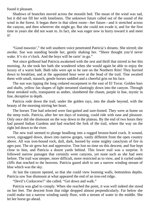found it pleasant.

Shadows of branches moved across the moonlit bed. The moan of the wind was sad, but it did not fill her with loneliness. The unknown future called out of the sound of the wind in the forest. It began there in that silent room—her future—and it stretched across the canyon, and then wherever she might go. But she could not evade it, and for the first time in years she did not want to. In fact, she was eager now to hurry toward it and meet it!

"Good mawnin'," the soft southern voice penetrated Patricia's dreams. She stirred; she awoke. Sue was standing beside her, gently shaking her. "Shore thought you'd never wake. It's six o'clock. And the boys will be rarin' to go."

Not since girlhood had Patricia awakened with the zest and thrill that stirred in her this morning. As she took her bath she wondered when she would again be able to enjoy the luxury of a warm bath. Bath tubs were apt to be rare on the Northern Rim! They hurried down to breakfast, and at the appointed hour were at the head of the trail. Tine awaited them with small, staunch, gentle horses saddled and a cheerful grin on his face.

The sun was tipping the long cedared escarpment to the east of El Tovar. Golden bars and shafts, yellow fan shapes of light streamed slantingly down into the canyon. Through these streaked veils, transparent as amber, slumbered the chasm, purple in hue, mystic in line, deceptive in depth.

Patricia rode down the trail, under the golden rays, into the shade beyond, with the beauty of the morning stirring her heart.

The horses Tine had selected were fast-gaited and sure-footed. They were at home on the steep trails. Patricia, after her ten days of training, could ride with ease and pleasure. Only once did she dismount on the way down to the plateau. By the end of two hours they had passed Indian Gardens and had reached the fork of the trail, where the way on the right led down to the river.

The new trail seemed to plunge headlong into a rugged bronze-hued crack. It wound, wove, zigzagged down, down into narrow gorges, vastly different from the open country above. All was iron-bound rock, dull, dark, burned by some mighty cataclysm of fire in ages past. The air grew hot and oppressive. Tine lost no time on this descent, and Sue kept close to him, and Patricia a dozen yards behind. This lower trail was a surprise. It followed narrow passages that certainly were canyons, yet none such as she had seen before. The trail was steeper, more difficult, more restricted as to view, and it curled under cliffs that reached to the heavens. Patricia gazed aloft to see a narrow winding stream of blue which was the sky.

At last the canyon opened, so that she could view looming walls, bottomless depths. Patricia saw Sue dismount at what appeared the end of an iron-red ridge.

"Devil's Corkscrew!" she called. "Get down and walk."

Patricia was glad to comply. When she reached the point, it was well indeed she stood on her feet. The descent from that ridge dropped almost perpendicularly. Far below she could make out a narrow winding sandy floor, with a stream of water in the middle. She let her horse go ahead.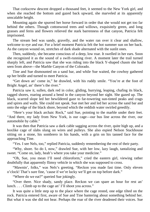That corkscrew descent dropped a thousand feet, it seemed to the New York girl, and when she reached the bottom and gazed back upward, she marveled at its apparently unscalable height.

Mounting again she spurred her horse forward in order that she would not get too far behind the others. Though cottonwood trees and willows, exquisitely green, and long grasses and ferns and flowers relieved the stark barrenness of that canyon, Patricia felt imprisoned.

The stream bed was sandy, gravelly, and the water ran over it clear and shallow, welcome to eye and ear. For a brief moment Patricia felt the hot summer sun on her back. As the canyon wound on, stretches of dark shade alternated with the sunlit ones.

Then, suddenly, she became conscious of a deep, low roar. It swelled in her ears. Soon she recognized it as the sound of a swift-running river. A moment later the trail turned sharply left, and Patricia saw that she was riding into the black Y-shaped chasm she had seen from above—the Marble Canyon of the Colorado.

Tine and Sue dismounted on a sand bar, and while Sue waited, the cowboy gathered up her bridle and turned to meet Patricia.

"Get down an' come in," he drawled, with his ruddy smile. "You're at the foot of Bright Angel, an' there's the river."

Patricia saw it, sullen, dark red in color, gliding, hurrying, leaping, chafing its black, ragged shores, roaring around a bend in the canyon beyond her sight. She gazed up. The black, scarred slope led her bewildered gaze to far-towering sun-tinted peaks and crags and spires and walls. She could not speak. Sue met her and led her across the sand bar and onto the edge of the black shore, beyond which the reddish water swirled greedily.

"Here's your black archaic Rock," said Sue, pointing to the marble under their feet. "And there, my lady from New York, is our cage—our bus line across the river, our automobile by cable."

It was then that Patricia saw a dark cable sagging across the river, quite high up, and a boxlike cage of slabs slung on wires and pulleys. She also espied Nelson Stackhouse sitting on a stone, his sombrero in his hands, with a grin on his tanned face for the approaching Tine.

"Yes. I see Nels, too," replied Patricia, suddenly remembering the rest of their party.

"Why, shore. So do I, now," drawled Sue, with her low, lazy laugh, tantalizing and sweet. "Come on, lady, heah's where you take your medicine."

"Oh, Sue, you mean I'll need chloroform," cried the eastern girl, viewing rather doubtfully that apparently flimsy vehicle in which she was supposed to cross.

"Mawnin', folks," was Nels's greeting. "Reckon you made fast time. Only eleven o'clock! That's sure fine, 'cause if we're lucky we'll get on top before dark."

"Where do we eat?" queried Sue jokingly.

"Over there. Nice shady, sandy place. Reckon we can spare an hour for rest an' lunch. . . . Climb up to the cage an' I'll shoot you across."

It was quite a little step up to the place where the cage rested, one edge tilted on the rock. Patricia entered first, aware of Sue and Tine bantering about something behind her. But what it was she did not hear. Perhaps the roar of the river deadened their voices. Sue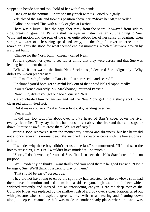stepped in beside her and took hold of her with firm hands.

"Hang on to the pommel. Shore she may pitch with us," cried Sue gaily.

Nels closed the gate and took his position above her. "Shove her off," he yelled.

"Adios!" shouted Tine with a look of glee at Patricia.

There was a lurch. Then the cage shot away from the shore. It swayed from side to side, creaking, groaning. Patricia shut her eyes in instinctive terror. She clung to Sue. Wind and motion and the roar of the river quite robbed her of her sense of bearing. Then she grew aware of a lessening speed and sway, but the frightful river underneath still roared on. Thus she stood for what seemed endless moments, which at last were broken by a violent bump.

"Change for the North Rim," cheerily called Nels.

Patricia opened her eyes, to see rather dimly that they were across and that Sue was leading her out onto the sand.

"Whew! If that wasn't the limit, Nels Stackhouse," declared Sue indignantly. "Why didn't you—you prepare us?"

"I—I'm all right," spoke up Patricia. "Just surprised—and scared."

"Reckoned you'd both get an awful kick out of that," said Nels disappointedly.

"You reckoned correctly, Mr. Stackhouse," returned Patricia.

"Now, Sue, didn't you get one too?" queried Nels.

Sue vouchsafed him no answer and led the New York girl into a shady spot where clean red sand invited rest.

"Did it make you sick?" asked Sue solicitously, bending over her.

"Yes, a little."

"It did me, too. But I'm aboot over it. I've heard of Bass's cage, down the river twenty-five miles. They say that it's hundreds of feet above the river and the cable sags far down. It must be awful to cross there. We got off easy."

Patricia soon recovered from the momentary nausea and dizziness, but her heart did not at once recover its normal beat. She watched the cowboys cross with the horses, one at a time.

"I wonder why those boys didn't let us come last," she murmured. "If I had seen the horses cross first, I'm sure I wouldn't have minded it—so much."

"Shore, I don't wonder," retorted Sue, "but I suspect that Nels Stackhouse did it on purpose."

"Well, evidently he thinks I want thrills and you need them," laughed Patricia. "Don't be angry, Sue. We'll think up a trick to play on them."

"That should be easy," agreed Sue.

They did not have long to enjoy the spot they had selected, for the cowboys soon had their horses in motion and led them into a side canyon, high-walled and sheer which widened presently and merged into an intersecting canyon. Here the deep roar of the Colorado River was replaced by the shallow rush of a brook over stones. Patricia cried out with pleasure when she espied a green-white, swift stream tearing and foaming down along a deep-cut channel. A halt was made in another shady place, where the sand was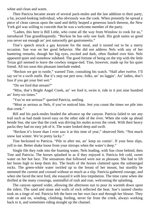white and clean and warm.

Then Patricia became aware of several pack-mules and the last addition to their party, a fat, jocund-looking individual, who obviously was the cook. When presently he spread a piece of clean canvas upon the sand and deftly heaped a generous lunch thereon, the New York girl was willing to concede that he was a welcome member of the party.

"Ladies, this here is Bill Little, who come all the way from Winslow to cook for us," introduced Tine grandiloquently. "Reckon he has only one fault. His grub tastes so good you never eat enough an' jest naturoolly get gastromeetis."

Tine's speech struck a gay keynote for the meal, and it turned out to be a merry occasion. Sue was on her good behavior. She did not address Nels with any of her bantering remarks, though her big eyes, excited and dark, often flashed over him. Nels appeared quiet and somehow subdued. The good fortune of being on the trip with the little Texas girl seemed to leave the cowboy tongue-tied. Tine, however, made up for his quiet friend. All too soon this pleasant interlude ended.

"Reckon we got to rustle," warned Tine, consulting his watch. "Half after twelve. I'll say we're a swift outfit. But it's step out pert now, folks, an' no laggin'. An' ladies, don't fuss if you get your feet wet."

"Do we ford that stream?"

"Miss, that's Bright Angel Creek, an' we ford it, swim it, ride in it jest nine hundred an' forty-six times."

"You're not serious?" queried Patricia, smiling.

"Most as serious as Nels, if you've noticed him. Jest you count the times we pile into that creek"

Bill and his pack-mules headed the advance up the canyon. Patricia failed to see any trail such as had made travel easy on the other side of the river. When she rode up ahead beside Sue, she saw that the cook was driving his mules across the creek. With their heavy packs they had no easy job of it. The water looked deep and swift.

"Reckon it's lower than I ever saw it at this time of year," observed Nels. "Not much snow last winter. We're pretty lucky."

Tine beckoned to Patricia. "Pile in after me, an' keep on comin'. If your hoss slips, yell to me. Better shake loose from your stirrups when the water's deep."

Single file they rode into the foaming water, Nels leading, with Sue close behind, then Tine and Patricia. The horses splashed in as if they enjoyed it. Patricia felt cold, sweet water on her hot face. The sensations that followed were not as pleasant. She had to lift her boots high to keep them dry. The hoofs of the horses clattered upon the submerged rocks. The green-white water swirled up to the breast of her mount, but sturdily he stemmed the current and crossed without so much as a slip. Patricia gathered courage, and when she faced the next ford, she essayed it with less trepidation. The time came when she thrilled at the many crossings, unmindful of rush and roar, welcoming the splashing.

The canyon opened wider, allowing the afternoon sun to pour its warmth down upon the riders. The sand and stone and walls of rock reflected the heat. Sue's tanned cheeks took on a tinge of red. Patricia felt the burn on her own face and through her blouse. They rode on and on, winding, climbing, fording, never far from the creek, always working back to it, and sometimes riding straight up the channel.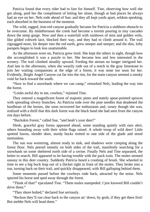Patricia found that every rider had to fare for himself. Tine, observing how well she got along, paid her the compliment of letting her alone, though at bad places he always had an eye on her. Nels rode ahead of Sue; and they all kept yards apart, seldom speaking, each absorbed in the business of the moment.

The wild, ragged, iron-red canyon gradually became for Patricia a stubborn obstacle to be overcome. By midafternoon the creek had become a torrent pouring in tiny cascades down the steep gorge. Now and then a waterfall with rainbows of mist and golden veils, like gilded cobweb lace, blocked their way, and they had to climb around it. The trail zigzagged more, bit deeper into the red earth, grew steeper and steeper; and the dim, lofty parapets began to look less unattainable.

As the afternoon wore on, Patricia grew tired. She kept the others in sight, though how she accomplished it was a puzzle to her. She became less and less interested in the scenery. The trail climbed steadily upward. Fording the stream no longer intrigued her. And late in the afternoon, when she wearily rode out of a notch in the gray limestone to join her waiting companions at the edge of a forest, it was none too soon for her. Evidently, Bright Angel Canyon cut far into the rim, for the main canyon seemed a smoky void far back toward the south.

"Now to find a snowbank where we can camp," remarked Nels, leading the way into the forest.

"Looks awful dry to me, cowboy," rejoined Tine.

They entered a magnificent forest of majestic pines and stately spear-pointed spruces with spreading silvery branches. As Patricia rode over the pine needles that deadened the hoofbeats of the horses, she soon recovered her enthusiasm and, weary though she was, realized with a thrill that this dark forest was the black band she had seen from the canyon rim days before.

"Buckskin Forest," called Sue, "and heah's your deer!"

Sleek, graceful gray forms appeared ahead, some standing quietly with ears alert, others bounding away with their white flags raised. A whole troop of wild deer! Little spotted fawns, slender does, sturdy bucks trotted to one side of the glade and stood motionless.

The sun was westering, almost ready to sink, and shadows were creeping along the forest floor. Nels peered intently on both sides of the trail, manifestly searching for a snowbank on some sheltered north side of a ravine. Finally Nels and Tine separated, the better to search. Bill appeared to be having trouble with the pack train. The mules seemed uneasy in this deer country. Suddenly Patricia heard a crashing of brush. She wheeled in time to see a big buck leap out of a thicket right in front of the mules. They broke into a run, turning back on their trail, and quickly disappeared, with Bill galloping behind them.

Some moments passed before the cowboys rode back, attracted by the noise. Nels spurred his horse and sped away through the forest.

"Think of that!" ejaculated Tine. "Them mules stampeded. I jest knowed Bill couldn't drive them."

"They shore bolted," declared Sue seriously.

"Reckon they'll run clear back to the canyon an' down, by gosh, if they get there first! But mebbe Nels will head them."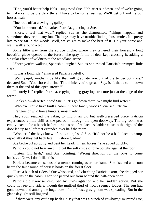"Tine, you'd better help Nels," suggested Sue. "It's after sundown, and if we're going to make camp before dark there'll have to be some rustling. We'll get off and tie our horses heah."

Tine rode off at a swinging gallop.

"You look worried," remarked Patricia, glancing at Sue.

"Shore. I feel that way," replied Sue as she dismounted. "Things happen, and sometimes they're not any fun. The boys may have trouble finding those mules. It's pretty late to see far in the woods. Well, we've got to make the best of it. Tie your horse and we'll walk around a bit."

Some little way from the spruce thicket where they tethered their horses, a long beautiful glade opened in the forest. The gray forms of deer kept crossing it, adding a singular effect of wildness to the woodland scene.

"Shore you're walking Spanish," laughed Sue as she espied Patricia's cramped little steps.

"It was a long ride," answered Patricia ruefully.

"Well, pupil, another ride like that will graduate you out of the tenderfoot class," declared Sue. "You shore did fine. Tine thinks you're great—Say, isn't that a cabin down there at the end of this open stretch?"

"It surely is," replied Patricia, espying a long gray log structure just at the edge of the forest.

"Looks old—deserted," said Sue. "Let's go down there. We might find water."

"Who ever could have built a cabin in these lonely woods?" queried Patricia.

"Rangers or wild horse hunters, most likely."

They soon reached the cabin, to find it an old but well-preserved place. Patricia experienced a little chill as she peered in through the open doorway. The big room was empty except for a bench before a rude stone fireplace. A ladder close to the right of the door led up to a loft that extended over half the room.

"Wonder if the boys knew of this cabin," said Sue. "It'd not be a bad place to camp, especially if they get back late. I'm shore glad—"

Sue broke off abruptly and bent her head. "I hear horses," she added quickly.

Patricia could not hear anything but the soft rustle of pine boughs against the roof.

"Listen. Off heah," said Sue, pointing. "Wrong direction for the boys to come back. . . . Now, I don't like this."

Patricia became conscious of a tremor running over her frame. She listened and soon heard the faint sound of horses' hoofs on the forest floor.

"I see a bunch of riders," Sue whispered, and clutching Patricia's arm, she dragged her quickly inside the cabin. Then she peered out from behind the half-open door.

Patricia did likewise, disturbed by Sue's agitation and her sudden action. But she could not see any riders, though the muffled thud of hoofs seemed louder. The sun had gone down, and among the huge trees of the forest, gray gloom was spreading. But in the glade daylight still lingered.

"If there were any cattle up heah I'd say that was a bunch of cowboys," muttered Sue,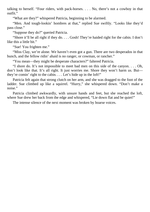talking to herself. "Four riders, with pack-horses. . . . No, there's not a cowboy in that outfit."

"What are they?" whispered Patricia, beginning to be alarmed.

"Men. And tough-lookin' hombres at that," replied Sue swiftly. "Looks like they'd pass close."

"Suppose they do?" queried Patricia.

"Shore it'll be all right if they do. . . . Gosh! They're haided right for the cabin. I don't like this a little bit."

"Sue! You frighten me."

"Miss Clay, we're alone. We haven't even got a gun. There are two desperados in that bunch, and the fellow ridin' ahaid is no ranger, or cowman, or rancher."

"You mean—they might be desperate characters?" faltered Patricia.

"I shore do. It's not impossible to meet bad men on this side of the canyon. . . . Oh, don't look like that. It's all right. It just worries me. Shore they won't harm us. But they're comin' right to the cabin. . . . Let's hide up in the loft!"

Patricia felt again that strong clutch on her arm, and she was dragged to the foot of the ladder. Sue climbed up like a squirrel. "Hurry," she whispered down. "Don't make a noise."

Patricia climbed awkwardly, with unsure hands and feet, but she reached the loft, where Sue drew her back from the edge and whispered, "Lie down flat and be quiet!"

The intense silence of the next moment was broken by hoarse voices.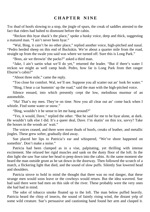# **C H A P T E R N I N E**

THE thud of hoofs slowing to a stop, the jingle of spurs, the creak of saddles attested to the fact that riders had halted to dismount before the cabin.

"Reckon this hyar shack's the place," spoke a husky voice, deep and thick, suggesting a matured man. "I ain't never been hyar."

"Wal, Bing, it cain't be no other place," replied another voice, high-pitched and nasal. "Pedro herded sheep on this end of Buckskin. We're about a quarter mile from the road, straight up from the swale you said was where we turned off. Sure this is Long Park."

"Boss, air we throwin' the packs?" asked a third man.

"Jake, I ain't sartin what we'll do yet," returned the leader. "But if there's water I reckon we might as well camp heah. Pedro, how far is Long Park from thet ranger Eburne's cabin?"

"Aboot three mile," came the reply.

"Too close for comfort. Wal, we'll see. Suppose you all scatter out an' look fer water."

"Bing, I hear a car hummin' up the road," said the man with the high-pitched voice.

Silence ensued, into which presently crept the low, melodious murmur of an automobile.

"Ha! That's my men. They're on time. Now you all clear out an' come back when I whistle. Find some water or snow."

"Bing, wouldn't it be sense to let me hang around?"

"Yes, it would, Dave," replied the other. "But he said for me to be hyar alone, at dark. He wouldn't talk else I did. It's a queer deal, Dave. I'm skatin' on thin ice, savvy? Take the hosses in the woods an' wait."

The voices ceased, and there were more thuds of hoofs, creaks of leather, and metallic jingles. These grew softer, gradually died away.

Sue placed her lips to Patricia's ear and whispered, "We've shore happened on somethin'. Don't make a noise."

Patricia had been clamped as in a vise, palpitating, yet thrilling with intense excitement. She relaxed her rigid muscles and sank on the dusty floor of the loft. In the dim light she saw Sue raise her head to peep down into the cabin. At the same moment she heard the man outside grunt as he sat down in the doorway. Then followed the scratch of a match, a flickering light that died, and the sound of slow puffs. Silently Sue lowered head and shoulders.

Patricia strove to hold in mind the thought that there was no real danger, that these strange men would soon leave or the cowboys would return. But the idea wavered. Sue had said there were bad men on this side of the river. These probably were the very ones she had had in mind.

The odor of tobacco smoke floated up to the loft. The man below puffed heavily. Patricia heard the chirp of insects, the sound of faintly rising wind, the distant yelp of some wild creature. Sue's persuasive and cautioning hand found her arm and clasped it.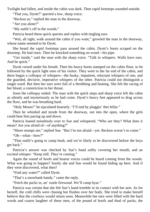Twilight had fallen, and inside the cabin was dark. Then rapid footsteps sounded outside.

"That you, Dyott?" queried a low, sharp voice.

"Reckon so," replied the man in the doorway.

"Are you alone?"

"My outfit's off in the woods."

Patricia heard these quick queries and replies with tingling ears.

"Wal, all right, walk around the cabin if you want," growled the man in the doorway, whose name seemed to be Dyott.

She heard the rapid footsteps pass around the cabin. Dyott's boots scraped on the doorstep. He had risen. Then he knocked something on wood—his pipe.

"Get inside," said the man with the sharp voice. "Talk in whispers. Walls have ears. And be quick."

Dyott cursed under his breath. Then his heavy boots stamped on the cabin floor, to be followed by the quick light ones of his visitor. They went to the far end of the cabin, and there began a colloquy of whispers—the husky, impatient, reluctant whispers of one, and the guarded, decisive, imperative whispers of the other. Patricia could not distinguish a single word. But then her ears were full of a throbbing and beating. She felt the racing of her blood, a constriction in her throat.

Soon the colloquy ended. The man with the quick steps and sharp voice left the cabin as silently and mysteriously as he had come. Dyott's heavy feet appeared to drag across the floor, and he was breathing hard.

"Holy Moses!" he ejaculated hoarsely. "I'll end by pluggin' thet fellar."

Then he whistled and strode from the doorway, out into the open, where the girls could hear him pacing up and down.

Patricia leaned noiselessly over to Sue and whispered, "Who are they? What does it mean? Are you afraid of—of anything?"

"Shore stumps me," replied Sue. "But I'm not afraid—yet. Reckon worse's to come."

"Oh—what—how?"

"That outfit's going to camp heah, and we're likely to be discovered before the boys get back."

Patricia's answer was checked by Sue's hand softly covering her mouth, and an excited whisper: "Keep still. They're coming."

Again the sound of hoofs and hoarse voices could be heard coming from the woods. What was going to happen? Surely she and Sue would be found hiding up here. And if they were discovered, what then?

"Find any water?" called Dyott.

"That's a snowbank handy," came the reply.

"Fetch the packs in, an' rustle firewood. We'll camp hyar."

Patricia was certain that she felt Sue's hand tremble in its contact with her arm. As for herself, the cold chills were chasing hot flushes over her body. She tried to make herself believe that the cowboys would return soon. Meanwhile her ears were filled with the hard words and coarse laughter of these men, of the pound of hoofs and thud of packs, the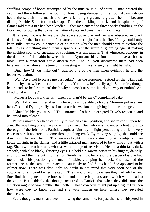shuffling scrape of boots accompanied by the musical clink of spurs. A man entered the cabin, and there followed the sound of brush being dumped on the floor. Again Patricia heard the scratch of a match and saw a faint light gleam. It grew. The roof became distinguishable. Sue's form took shape. Then the crackling of sticks and the spluttering of flames told that a fire had been kindled. Other men entered to throw packs thudding on the floor, and following that came the clatter of pots and pans, the clink of metal.

It relieved Patricia to see that the space above Sue and her was obscured in black darkness, for the floor of the loft obstructed direct light from the fire. If they could only keep still! Patricia could conceive of no reason why the men should want to explore the loft, unless something made them suspicious. Yet the strain of guarding against making the slightest sound, of sneezing or coughing, was unbearable. That whispered colloquy in the darkness of the cabin between the man Dyott and his visitor did not have an honest look. Even a tenderfoot could discern that. And if Dyott discovered there had been listeners in the cabin at the time of his meeting with the stranger, he might be ugly.

"Bing, how'd you make out?" queried one of the men when evidently he and the leader were alone.

"Wal, Dave, not to please me particular," was the response. "Settled fer thet Utah deal. But this hyar new idee of mine didn't jibe. You know he's really agin Settlemire, though he pretends to be fer him, an' thet's why he won't trust me. It's do his way or nuthin'. An' I had to take him up."

"Makes a lot of work fer us—when our plan'd be easy," complained Jake.

"Wal, I'd a hunch thet after this he wouldn't be able to hold a Mormon jail over my head," replied Dyott gruffly, as if to excuse his weakness in giving in to the stranger.

"Ahuh! Mebbe you was—" The entrance of others interrupted Dave's response, and he lapsed into silence.

Patricia moved her head carefully to find an easier position, and she rested it upon her arm. She was lying prone, face down, the same as Sue, who was, however, a foot closer to the edge of the loft floor. Patricia caught a faint ray of light penetrating the floor, very close to her. It appeared to come through a long crack. By moving slightly, she could see down into the room below. The fire was bright; pots were steaming at its edge; an iron kettle sat right in the flames, and a little grizzled man appeared to be wiping it out with a rag. She saw one other man, who sat within range of her vision. He had a thin face, dark, smooth, with sloe-black, glittering eyes. He held a cigarette between his fingers, daintily, and now and then he put it to his lips. Surely he must be one of the desperados Sue had mentioned. This position grew uncomfortable, cramping her neck. She resumed the former one, at the same time reaching cautiously to find Sue's hand. She appeared to be calmer now. There was absolutely no doubt in her mind that very soon one of the cowboys, or all, would enter the cabin. They would return to where they had left her and Sue, find them gone and the horses tied, and at once begin a search, which would lead to the cabin. But suddenly the thought occurred to Patricia that when they did come the situation might be worse rather than better. Those cowboys might put up a fight! But then how were they to know Sue and she were hidden up here, unless they revealed themselves.

Sue's thoughts must have been following the same line, for just then she whispered in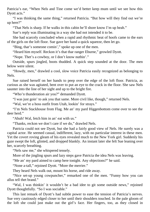Patricia's ear, "When Nels and Tine come we'd better keep mum until we see how this Dyott acts."

"I was thinking the same thing," returned Patricia. "But how will they find out we're up here?"

"That Nels is sharp. If he walks in this cabin he'll shore know I'm up heah."

Sue's reply was illuminating in a way she had not intended it to be.

She had scarcely concluded when a rapid and rhythmic beat of hoofs came to the ears of the girls on the loft floor. Sue gave her hand a quick squeeze, then let go.

"Bing, thar's someone comin'," spoke up one of the men.

"Heard him myself. Reckon it's that thar ranger Eburne," growled Dyott.

"Nope. Thet's a cowboy, or I don't know nuthin'."

Outside, spurs jingled, boots thudded. A quick step sounded at the door. The men below were silent.

"Howdy, men," drawled a cool, slow voice Patricia easily recognized as belonging to Nels.

Sue raised herself on her hands to peep over the edge of the loft floor. Patricia, as curious as she was agitated, bent over to put an eye to the crack in the floor. She saw Nels saunter into the line of her sight and up to the bright fire.

"Who'n thunderation air you?" demanded Dyott.

"I was just goin' to ask you that same. More civil like, though," returned Nels.

"Wal, we're a hoss outfit from Utah, lookin' for strays."

"I'm Nels Stackhouse from Flag. Me an' my pard Higgenbottom come over to see the deer herd."

"Ahuh! Wal, fetch him in an' eat with us."

"Thanks, reckon we don't care if we do," drawled Nels.

Patricia could not see Dyott, but she had a fairly good view of Nels. He surely was a capital actor. He seemed casual, indifferent, lazy, with no particular interest in these men. Yet the covert roving gleam of his eyes revealed much to the New York girl. Suddenly his gaze swept the loft, glinted, and dropped blankly. An instant later she felt Sue leaning over her, scarcely breathing.

"Nels saw me," she whispered tensely.

More of the jingling spurs and lazy steps gave Patricia the idea Nels was leaving.

"Me an' my pard aimed to camp here tonight. Any objections?" he said.

"None a-tall," rejoined Dyott. "More the merrier."

They heard Nels walk out, mount his horse, and ride away.

"Nice set-up young cowpuncher," remarked one of the men. "Funny how you can allus tell thet brand."

"Wal, I was thinkin' it wouldn't be a bad idee to git some outside news," rejoined Dyott thoughtfully. "So I was sociable."

This last remark of Dyott's had subtle power to ease the tension of Patricia's nerves. Sue very cautiously edged closer to her until their shoulders touched. In the pale gloom of the loft she could just make out the girl's face. Her fingers, too, as they closed in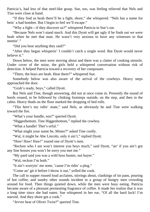Patricia's, had less of that steel-like grasp. Sue, too, was feeling relieved that Nels and Tine were close at hand.

"If they find us heah there'll be a fight, shore," she whispered. "Nels has a name for bein' a bad hombre. But I begin to feel we'll escape."

"Why a fight—if they discover us?" whispered Patricia in Sue's ear.

"Because Nels won't stand much. And this Dyott will get ugly if he finds out we were heah when he met that man. He wasn't very anxious to have any witnesses to that meetin'."

"Did you hear anything they said?"

"After they began whisperin' I couldn't catch a single word. But Dyott would never believe it."

Down below, the men were moving about and there was a clatter of cooking utensils. Under cover of the noise, the girls held a whispered conversation without risk of detection. It helped Patricia toward a recovery of her composure.

"There, the boys are heah. Hear them?" whispered Sue.

Somebody below was also aware of the arrival of the cowboys. Heavy steps approached the door.

"Grub's ready, boys," called Dyott.

But Nels and Tine, though answering, did not at once come in. Presently the sound of hoofs ceased, to be followed by clinking footsteps outside, on the step, and then in the cabin. Heavy thuds on the floor marked the dropping of bed rolls.

"This here's my ridin' mate," said Nels, as obviously he and Tine were walking toward the fire.

"What's your handle, son?" queried Dyott.

"Higgenbottom. Tine Higgenbottom," replied the cowboy.

"What a handle! Thet's orful."

"What might your name be, Mister?" asked Tine coolly.

"Wal, it might be Abe Lincoln, only it ain't," replied Dyott.

"Haw! Haw! Haw!" roared one of Dvott's men.

"Reckon who I am won't interest you boys much," said Dyott, "an' if you ain't got any fine hosses you won't be sorry you met me."

"My pard said you was a wild hoss hunter, not buyer."

"Wal, reckon I'm both."

"It ain't worryin' me none, 'cause I'm ridin' a plug."

"Come an' git it before I throw it out," yelled the cook.

The call to supper roused loud acclaims, stirrings about, clankings of tin pans, pouring of hot coffee, and sundry other sounds incident to a group of hungry men crowding around for food. Then things quieted down, while the men were busy eating. Patricia became aware of a pleasant permeating fragrance of coffee. It made her realize that it was a long time since she had eaten. Sue whispered in her ear, "Of all the hard luck! I'm starved. And they shore got a cook."

"Jevver hear of Oliver Twist?" queried Tine.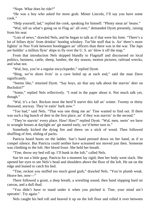"Nope. Whar does he ride?"

"He was a boy who asked for more grub. Mister Lincoln, I'll say you have some cook."

"Help yourself, lad," replied the cook, speaking for himself. "Plenty meat an' beans."

"Wal, tell us what's going on in Flag an' all over," demanded Dyott presently, raising from his seat.

"Lots of news," drawled Nels, and he began to talk as if that were his forte. "There's a lot of fellars dyin' from drinkin' bootleg whiskey. Tur'ble stuff that is. An' there's more fightin' in Noo York between bootleggers an' officers than there was in the war. The Japs are buildin' a million flyin' ships to fly over the U. S. an' blow it off the map."

From that introduction Nels skipped blandly to Flagstaff and discoursed on local politics, business, cattle, sheep, lumber, the dry season, motion pictures, railroad wrecks, and what not.

"Wal, boy, you're a regular encyclopeder," replied Dyott.

"Bing, we're shore livin' in a cave holed up at each end," said the man Dave significantly.

"Seems like," returned Dyott. "Say boys, air thar any talk about the starvin' deer on Buckskin?"

"Some," replied Nels reflectively. "I read in the paper about it. Not much talk yet, though."

"Wal, it's a fact. Reckon most the herd'll starve this fall an' winter. Twenty or thirty thousand, anyway. They're eatin' bark now."

"Too bad," said Nels. "That was one thing me an' Tine wanted to find out. If there was such a big bunch of deer in the first place, an' if they was starvin' in the second."

"They're starvin' every place. Haw! Haw!" replied Dyott. "Wal, men, seein' we have to wrangle hosses at daylight an' git started early, we'd better turn in."

Somebody kicked the dying fire and threw on a stick of wood. Then followed shuffling of feet, sliding of packs.

Patricia heard boots on the ladder. Sue's hand pressed down on her hand, as if to compel silence. But Patricia could neither have screamed nor moved just then. Someone was climbing to the loft. Her blood froze. She held her breath.

"Tine, throw my bed roll up. I'll bunk in the loft," called Nels.

Sue let out a little gasp. Patricia for a moment lay rigid; then her body went slack. She opened her eyes to see Nels's head and shoulders above the floor of the loft. He sat on the edge and leaned to catch his bed.

"Tine, reckon you stuffed too much good grub," drawled Nels. "You're plumb weak. Heave her, now—"

There followed a grunt, a deep breath, a wrestling sound, then hand slapping hard on canvas, and a dull thud.

"You didn't have to stand under it when you pitched it. Tine, your mind ain't operatin'. Try again."

Nels caught his bed roll and heaved it up on the loft floor and rolled it over between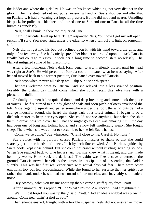the ladder and where the girls lay. He was on his knees whistling, not very distinct in the gloom. Then he stretched out and put a reassuring hand on Sue's shoulder and after that on Patricia's. It had a warning yet hopeful pressure. But he did not bend nearer. Unrolling his pack, he pulled out blankets and tossed one to Sue and one to Patricia, all the time humming tunelessly.

"Nels, shall I bunk up there too?" queried Tine.

"It ain't particular level up here, Tine," responded Nels, "but now I got my roll open I reckon I'll stay. You sleep right under the edge, so when I fall off I'll light on somethin' soft."

Nels did not get into his bed but reclined upon it, with his hand toward the girls, and only a few feet away. Sue had quietly spread her blanket and rolled upon it, a task Patricia finally had courage to essay. It took her a long time to accomplish it noiselessly. The blanket mitigated some of her discomfort.

After a few moments, Nels's dark form began to worm silently closer, until his head was right at Sue's. He whispered, but Patricia could not catch what he was saying. After he had moved back to his former position, Sue leaned over toward Patricia.

"Nels says when they're all asleep we'll slip out," she whispered.

That was welcome news to Patricia. And she relaxed into a less strained position. Possibly the distant day might come when she could recall this adventure with a pleasurable thrill.

Gradually the men below quieted down, and deep breathing and snores took the place of voices. The fire burned to a ruddy glow of coals and soon pitch-darkness enveloped the loft. Mice began to squeak and patter somewhere under the roof; the wind outside had a strange mournful sound; she heard the sharp bark of a forest animal. It began to be a difficult matter to keep her eyes open. She could not see anything, but when she shut them, a drowsiness stole over her. That she might go to sleep was amazing. Still, the day had been one of long and toiling hours, and she now felt unutterably weary. She fought sleep. Then, when she was about to succumb to it, she felt Sue's hands.

"Come, we're going," Sue whispered. "Crawl close to me. Careful. No noise!"

Sue's voice, with its purport, caused Patricia's muscles to shake so that she could scarcely get to her hands and knees. Inch by inch Sue crawled. And Patricia, guided by Sue's boots, kept close behind. But she could not crawl without rustling, scraping sounds. When Sue reached back to give her a sharp tug, she knew what it meant, and that made her only worse. How black the darkness! The cabin was like a cave underneath the ground. Patricia nerved herself to the utmost in anticipation of descending that ladder silently. This was her first real experience with actual physical fear. There were other emotions, too, but fear predominated. While she found to her surprise that her spirit rose rather than sank under it, she had no control of her muscles, and inevitably she made a noise.

"Hey cowboy, what you fussin' about up thar?" came a gruff query from Dyott.

After a moment, Nels replied, "Huh? What? It's me. Aw, reckon I had a nightmare."

"Wal, I most forgot you was up thar," said Dyott. "Had an idee a wildcat was prowlin' around. Come near takin' a shot at you."

Then silence ensued, fraught with a terrible suspense. Nels did not answer or move.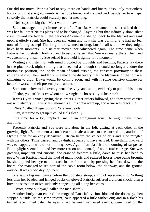Sue did not move. Patricia had to stay there on hands and knees, absolutely motionless, for so long that she grew numb. At last Sue turned and crawled back beside her to whisper so softly that Patricia could scarcely get her meaning:

"Nels says too big risk. Must wait till mawnin'."

Sue's message brought immense relief to Patricia. At the same time she realized that it was her fault that Nels's plans had to be changed. Anything but that infinitely slow, silent crawl toward the ladder in the darkness! Somehow she got back to the blanket and sank upon it utterly spent. She had been shivering and now she was burning. She had no fear now of falling asleep! The long hours seemed to drag, but for all she knew they might have been moments. Sue neither moved nor whispered again. The time came when Patricia had to stretch forth a hand to assure herself that Sue was really there. Her hand was trembling. Instantly Sue seized it and held it tightly for a moment.

Waiting and listening, with mind crowded by thoughts and feelings, Patricia lay there in the pitch-black night so long that it seemed as though she could no longer endure the motionless position, the lonely moan of wind outside, the constant proximity to these ruffians below. Then, suddenly, she made the discovery that the blackness of the loft was changing to gray. Dawn would be coming soon, and with it some decisive change for better or worse in their present predicament.

Someone below rolled over, yawned heavily, and sat up, evidently to pull on his boots.

"Pedro, you an' Mex crawl out an' wrangle the hosses—you hear me?"

It was Dyott's voice giving these orders. Other orders followed, and they were carried out with alacrity. In a very few moments all his crew were up, and a fire was crackling.

"Nels," called Higgenbottom, "are you dead?"

"Say, is it time to get up?" called Nels sleepily.

"It's time for a lot," replied Tine in an ambiguous tone. He might have meant anything.

Presently Patricia and Sue were left alone in the loft, gazing at each other in the growing light. Below them a considerable bustle attested to the hurried preparations of Dyott's men for an early departure. Patricia heard the voices of Nels and Tine mingled with the others. Time passed, and daylight appeared to have arrived. If anything untoward was to happen, it would not be long now. Again Patricia felt the mounting of suspense. But daylight seemed to lend her more reason and control, if not actual courage. Sue was growing impatient and curious; she crawled forward a little, dared to raise her head to peep. When Patricia heard the thud of many hoofs and realized horses were being brought in, she applied her eye to the crack in the floor, and by pressing her face down to the board, she managed to see part of the cabin room below, the doorway, and the ground outside. It was broad daylight now.

She saw a big man pause before the doorstep, stoop, and pick up something. Nothing less than her beaded and fringed buckskin gloves! Patricia suffered a violent shock, then a bursting sensation of ice suddenly congealing all along her veins.

"Dyott, come out hyar," called the man sharply.

Another burly man entered the range of Patricia's vision, blocked the doorway, then stepped outside. At the same instant, Nels appeared a little farther out; and in a flash his tanned face turned pale. His eyes, sharp between narrowed eyelids, were fixed on the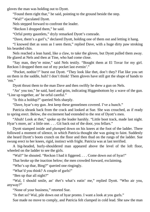gloves the man was holding out to Dyott.

"Found them right thar," he said, pointing to the ground beside the step.

"Wal!" ejaculated Dyott.

Nels stepped forward to confront the leader.

"Reckon I dropped them," he said.

"Orful pretty gauntlets," dryly remarked Dyott's comrade.

"Dave, them's a gurl's," declared Dyott, holding one of them out and letting it hang.

"I knowed thet as soon as I seen them," replied Dave, with a huge dirty paw stroking his bearded chin.

Nels reached a lean hand, like a claw, to take the gloves, but Dyott pulled them away. He glared at Nels and then at Tine, who had come close.

"Say man, they're mine," said Nels testily. "Bought them at El Tovar for my girl. Reckon I dropped them out of my pocket last evenin'."

"Pocket, nothin'!" burst out Dyott. "They look like thet, don't they? Flat like you set on them in the saddle, huh? I don't think! Them gloves have still got the shape of hands to 'em."

Dyott thrust them to the man Dave and then swiftly he drew a gun on Nels.

"An' you too," he said, hard and grim, indicating Higgenbottom by a wave of the gun. "Line up together, an' be orful careful."

"Is this a holdup?" queried Nels sharply.

"Dave, hyar's my gun. Jest keep these gennelmen covered. I've a hunch."

Patricia shrank back from the crack and looked at Sue. She was crouched, as if ready to spring erect. Below, the excitement had extended to the rest of Dyott's men.

"Ahuh! Look at thet," spoke up the leader harshly. "Little boot track, made last night. Hyar's more, an' a little one. . . . Git back out of the door, you fellars."

Dyott stamped inside and plumped down on his knees at the foot of the ladder. There followed a moment of silence, in which Patricia thought she was going to faint. Suddenly she heard Dyott's boots crunch on the floor and then thud on the rungs of the ladder. Sue swung erect to her knees, rigid, instinct with fright. Patricia was at last terrified.

A big-headed, burly-shouldered man appeared above the level of the loft floor, wheeled on the ladder to see the girls.

"Wal!" he shouted. "Reckon I had it figgered. . . . Come down out of hyar!"

That broke up the inaction below; the men crowded forward, exclaiming.

"Who's up thar, Bing?" queried one ringingly.

"What'd you think? A couple of gurls!"

"Ben up thar all night?"

"Wal, I should smile, an' *thet's* what's eatin' me," replied Dyott. "Who air you, anyway?"

"None of your business," retorted Sue.

"Is thet so? Wal, pile down out of hyar pronto. I want a look at you gurls."

Sue made no move to comply, and Patricia felt clamped in cold lead. She saw the man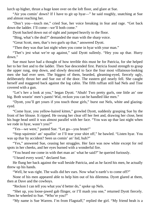lurch up higher, thrust a huge knee over on the loft floor, and glare at Sue.

"Air you comin' down? If I have to git up hyar—" he said roughly, snatching at Sue and almost reaching her.

"Don't you—touch me," cried Sue, her voice breaking in fear and rage. "Get back down the ladder. I'll come—we'll both come."

Dyott backed down out of sight and jumped heavily to the floor.

"Bing, what's the deal?" demanded the man with the sharp voice.

"Great Scott, men, thar's two gurls up thar," answered Dyott.

"Then they was thar last night when you come in hyar with your man."

"Thet's jest what we're up against," said Dyott sullenly. "Hey you up thar. Hurry down."

Sue must have had a thought of how terrible this must be for Patricia, for she helped her to her feet and to the ladder. Then Sue descended first. Patricia found strength to grasp the upper rung, step down, and slowly descend to face the four most villainous-looking men she had ever seen. The biggest of them, bearded, gleaming-eyed, fiercely ugly, deliberately thrust her and Sue out of the door. The eastern girl nearly fell. She caught herself and staggered back against the log cabin. The fifth ruffian still had Nels and Tine covered with a gun.

"Let's hev a look at you," began Dyott. "Ahuh! Two pretty gurls, one little an' one big. Both wearin' men's pants! Wal, reckon you can be handled like men."

"Dyott, you'll get yours if you touch those girls," burst out Nels, white and glazingeyed.

"Come hyar, you yellow-haired kitten," growled Dyott, suddenly grasping Sue by the front of her blouse. It ripped. He swung her clear off her feet and, drawing her close, bent his huge head until it was almost parallel with her face. "You was up thar last night when we rode in hyar, wasn't you?"

"Yes—we were," panted Sue. "Let go—you brute!"

"Stop squirmin' an' squallin' or I'll tear your shirt off," he bawled. "Listen hyar. You was up thar by accident? Seen us comin' an' hid, huh?"

"Yes," answered Sue, ceasing her struggles. Her face was now white except for red spots in her cheeks, and her eyes burned with a wonderful fire.

"You heard me come in with thet man an' what he said?" he queried furiously.

"I heard every word," declared Sue.

He flung her back against the wall beside Patricia, and as he faced his men, he actually threw up his hands.

"Well, he was right. The walls did hev ears. Now what'n earth's to come off?"

None of his men appeared able to help him out of his dilemma. Dyott glared at them, then at Dave and the cowboys.

"Reckon I can tell you what you'd better do," spoke up Nels.

"Shet up, you loose-jawed gab flinger, or I'll mash you one," returned Dyott fiercely. Then he wheeled to Sue. "Who're you?"

"My name is Sue Warren. I'm from Flagstaff," replied the girl. "My friend heah is a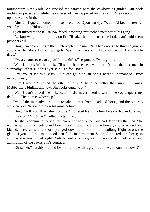tourist from New York. We crossed the canyon with the cowboys as guides. Our pack outfit stampeded, and while they chased off we happened on this cabin. We saw you ridin' up and we hid in the loft."

"Ahuh! I figgered somethin' like," returned Dyott darkly. "Wal, it'd been better fer you if you'd not hid up thar."

Dyott turned to the tall sallow-faced, drooping-mustached member of his gang.

"Reckon we gotta tie up this outfit. I'll take them down in the brakes an' hold them prisoners till—"

"Bing, I'm advisin' agin thet," interrupted the man. "It's bad enough to throw a gun on cowboys, let alone kidnap two girls. Well, man, we ain't back in the old Hash Knife days."

"I've a chance to clean up an' I'm takin' it," responded Dyott grimly.

"Wal, I'm passin' the buck. I'll stand fer the deal we're on, 'cause there're men in sympathy with it. But this hyar stunt is a fool stunt."

"Say, you'd let this sassy little cat go blab all she's heerd?" demanded Dyott incredulously.

"Sure I would," replied the other bluntly. "Thet'd be better than makin' it wuss. Mebbe she's bluffin, anyhow. She looks equal to it."

"Wal, I can't afford the risk. Even if she never heerd a word, she could queer my deal. . . . Tie them cowboys up."

Two of the men advanced, one to take a lariat from a saddled horse, and the other to walk back of Nels and pinion his arms behind.

"Bing Dyott, you'll pay dear for this," muttered Nels, his lean face corded and drawn.

"*Look out! Grab her!*" yelled the tall man.

The sharp command roused Patricia out of her trance. Sue had darted by the men. She was as quick as a fleet-footed boy. Leaping upon one of the horses, she screamed and kicked. It reared with a snort, plunged down, and broke into headlong flight across the glade. Dyott and his men stood petrified. In a moment Sue had entered the forest; in another she was out of sight. Nels let out a cowboy yell. It was a shout of relief and admiration of the Texas girl's courage.

"Chase her," harshly ordered Dyott, frantic with rage. "Pedro! Mex! Run her down!"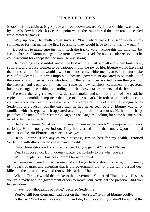## **C H A P T E R T E N**

EBURNE left his cabin at Big Spruce and rode down toward V. T. Park, which was distant by a day's slow horseback ride. At a point where the trail crossed the new road, he espied fresh motorcar tracks.

"Way up here," he muttered in surprise. "First wheel track I've seen up here this summer, or for that matter the first I ever saw. They would have to build this new road."

He got off to make sure just how fresh the tracks were. "Made this morning maybe. Last night sure." Mounting again, he turned down the road, for no particular reason that he could account for except that the impulse was strong.

The morning was beautiful, one of the first without frost, and all about him birds, deer, squirrels, and grouse seemed to be participating in the joy of life. Eburne would have had that forest as the Indian would—without roads, cars, white men, cattle. Let nature take care of the deer! But this was impossible because government appeared to be made up of the same kind of men as those who lived off the range. They wanted to run things to suit themselves, and each set of men, the same as new ranchers, cattlemen, prospectors, hunters, changed these things according to their idiosyncrasies or personal desires.

Presently the ranger's keen nose detected smoke, and soon, at a turn of the road, he espied an automobile camp near the edge of a grass park. He rode up at a brisk pace to confront three men eating breakfast around a campfire. Two of them he recognized as Settlemire and Judson, but the third man he had never seen before. Eburne was fairly familiar with his type, which appeared anything but that of a tourist. He had the sharp, pale face of a man of affairs from Chicago or Los Angeles, looking for some business deal in oil or lumber or cattle.

"Hello, Settlemire. What you doing way up here in the woods?" he inquired with cool curiosity. He did not greet Judson. They had clashed more than once. Upon the third member of the trio Eburne bent speculative eyes.

"Hello, Eburne. If it's any of your business, I'm up here for my health," retorted Settlemire with ill-concealed chagrin and hostility.

"I'm an honest-to-goodness forest ranger. Do you get that?" replied Eburne.

"Yes, I suppose I do. But it doesn't matter particularly to me what you are."

"Well, it explains *my* business here," Eburne returned.

Settlemire recovered himself somewhat and began to talk about his cattle, complaining of the lack of grass and asserting that if the government did not order ten thousand deer killed on the preserve he would remove his cattle to Utah.

"What difference would that make to the government?" queried Thad curtly. "Besides you've already had the government orders to move your cattle off the preserve. *And* you haven't done it!"

"I have, too—thousands of cattle," declared Settlemire.

"You've still four thousand head over on the west side," rejoined Eburne coolly.

"Is that so? You know more about it than I do, I suppose. But you don't know that the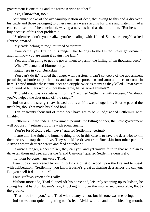government is one thing and the forest service another."

"Yes, I know that, too."

Settlemire spoke of the over-multiplication of deer, that owing to this and a dry year, his cattle and those belonging to other ranchers were starving for grass and water. "I had a chance to sell out," he concluded, waving a nervous hand at the third man. "But he won't buy because of this deer problem."

"Settlemire, don't you realize you're dealing with United States property?" asked Eburne, amazed.

"My cattle belong to me," returned Settlemire.

"Your cattle, yes. But not this range. That belongs to the United States government, and right now you are using it against the law."

"Yes, and I'm going to get the government to permit the killing of ten thousand deer."

"Where?" demanded Eburne hotly.

"Right here in your Buckskin."

"You can't do it," replied the ranger with passion. "I can't conceive of the government permitting a horde of pot-hunters and amateur sportsmen and automobilists to come in here. They'd murder these tame deer and cripple twice as many as they killed. Great Scott, *what* kind of hunters would shoot these tame, half-starved animals?"

"Thought you was a vegetarian, Eburne," returned Settlemire with sarcasm. "No doubt you've helped the deer graze off the range."

Judson and the stranger haw-hawed at this as if it was a huge joke. Eburne passed the insult by, though it made his blood boil.

"Ten or twenty thousand of these deer have got to be killed," added Settlemire with finality.

"Settlemire, if the federal government permits the killing of deer, the State government will oppose it," returned Eburne with equal finality.

"You're for McKay's plan, hey?" queried Settlemire jeeringly.

"I sure am. The right and humane thing to do in this case is to save the deer. Not to kill them or try to trap them alive. They should be driven from Buckskin into other parts of Arizona where deer are scarce and feed abundant."

"You're a ranger, a deer stalker, they call you, and yet you've faith in that wild plan to drive ten thousand deer across the Grand Canyon?" queried Settlemire derisively.

"It *might* be done," answered Thad.

Here Judson intervened by rising to kick a billet of wood upon the fire and to speak with deliberation: "Settlemire, you know Eburne's great at chasing deer across the canyon. But you spell it d—e—a—r!"

Loud guffaws greeted this sally.

Without more ado, Thad slipped off his horse and, leisurely stepping up to Judson, he swung his fist hard on Judson's jaw, knocking him over the improvised camp table, flat to the ground.

"That'll do from you," said Thad without any rancor, but his tone was menacing.

Judson was not quick in getting to his feet. Livid, with a hand at his bleeding mouth,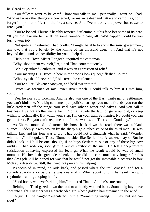he glared at Eburne.

"You fellows want to be careful how you talk to me—personally," went on Thad. "And as far as other things are concerned, for instance deer and cattle and campfires, don't forget I'm still an officer in the forest service. And I've not only the power but *cause* to arrest you."

"You're locoed, Eburne," harshly retorted Settlemire, but his face lost some of its heat. "If you did take me to Kanab on some framed-up case, all that'd happen would be you losing your job."

"Not quite all," returned Thad coolly. "I might be able to show the *state* government, anyhow, that you'd benefit by the killing of ten thousand deer. . . . And that it's not beyond the bounds of possibility for you to help do it."

"Help do it! How, Mister Ranger?" inquired the cattleman.

"Why, shoot them yourself," rejoined Thad contemptuously.

"Bah!" ejaculated Settlemire, and it was an expression of relief.

"Your meeting Big Dyott up here in the woods looks queer," flashed Eburne.

"Who says that? I never did," blustered the cattleman.

"You're a liar. Blakener *saw* you, and he'd swear to it."

"Dyott was foreman of my Sevier River ranch. I could talk to him if I met him, couldn't I?"

"Yes, he *was* your foreman. And he also was one of the Hash Knife gang. Settlemire, you can't bluff me. You big cattlemen pull political strings, you make friends, you run the little cattlemen off the range, you steal each other's water and calves. And you call it business. I've got another name for it. You all evade the law, or get around it, or keep within it, technically. But watch your step. I'm on your trail, Settlemire. No doubt you can get me fired. But you can't keep me out of these woods. . . . That's all. Good day."

As Eburne mounted and turned his horse back down the road, there was a blank silence. Suddenly it was broken by the sharp high-pitched voice of the third man. He was talking fast, and his tone was angry. Thad could not distinguish what he said. "Wonder who he is," soliloquized Thad. "Some outsider like Settlemire. A sucker, maybe. But he didn't look it. He'll be one, though, if he buys Settlemire out or any of these big cow outfits." Thad rode on, soon getting out of earshot of the men. He felt a deep inward satisfaction at having expressed his feelings. What the result would be was of small moment. He loved the great deer herd, but he did not care much any longer for this thankless job. All he hoped for was that he would not get the inevitable discharge before McKay's deer drive. Still, that need not prevent his helping.

Preoccupied in mind, he rode back, and passed where the trail crossed, and for a considerable distance before he was aware of it. When about to turn, he heard the swift rhythmic beat of galloping hoofs.

"Shod horse, whoever's riding him," muttered Thad. "And he's sure running!"

Reining in, Thad gazed down the road to a thickly wooded bend. Soon a big bay horse shot into sight. His rider was a bareheaded girl whose golden hair streamed in the wind.

"A girl! I'll be hanged," ejaculated Eburne. "Something wrong. . . . Say, but she can ride!"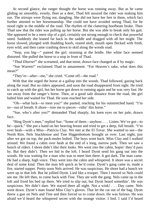At second glance, the ranger thought the horse was running away. But as he came gliding on smoothly, evenly, fleet as a deer, Thad felt assured the rider was making him run. The stirrups were flying out, dangling. She did not have her feet in them, which fact further attested to her horsemanship. She could not have avoided seeing Thad, for he stood right in the middle of the road. The rhythm of the clattering hoofbeats broke. Then Thad saw that the rider was pulling up her horse. But she was able to break only his gait. She appeared to be a mere slip of a girl, certainly not strong enough to check that powerful steed. Suddenly she leaned far back in the saddle and dragged with all her might. The horse slowed, plunged with thudding hoofs, reared aloft, mouth open flecked with froth, eyes wild, and then came crashing down to skid along the woods road.

"Stop, you big—" panted the girl, straining at the bridle. Her white face seemed distorted. She pulled the horse to a stop in front of Thad.

"*Thad Eburne!*" she screamed, and that tense, drawn face changed as if by magic.

"Sue Warren!" exclaimed Thad in amazement. "For Heaven's sake, what does this mean?"

"They're—after—me," she cried. "Come off—the road."

With that she urged the horse at a gallop into the woods. Thad followed, gazing back along the road. But no riders appeared, and soon the road disappeared from sight. He tried to catch up with the girl, but her horse got down to running again and he was very fast. He ran away from the ranger's horse. Then, at a good safe distance from the road, the girl halted him and waited for Thad. He soon reached her side.

"Oh—what luck—to meet you!" she panted, reaching for his outstretched hand. "I'm so—out of breath. It shore—tore me to pieces—ridin' this horse."

"Sue, who's after you?" demanded Thad sharply, his keen eyes on her pale, drawn face.

"Bing Dyott's men," replied Sue. "Some of them—anyhow. . . . Listen. We've got—to be—quick." She put a hand on her heaving breast and tried to get a deep, full breath. "I'm over heah—with a Miss—Patricia Clay. We met at the El Tovar. She wanted to see—the North Rim. Nels Stackhouse and Tine Higgenbottom brought us over. Last night, just after we got on top, the pack-mules bolted. The boys went back. Miss Clay and I walked around. We found a cabin over heah at the end of a long, narrow park. Then we saw a bunch of riders. I shore didn't like their looks. We went into the cabin, hopin' they'd pass by. But they didn't. Then we hid in the loft. I heard Dyott send his gang out into the woods. He was waiting for a man who was to meet him there. It got dark. The man came. He had a sharp, high voice. They went into the cabin and whispered. It shore was a secret deal of some kind. Then the man left quick as he'd come. Dyott's gang came in, made a fire, started supper. Pretty soon Nels arrived. He was suspicious. He shore had a hunch we were up in that loft. But he jollied Dyott. Lied like a trooper. Then I moved so Nels could see me. He left then, to come back with Tine. They ate with the gang. Nels came up in the loft and fixed his bed up there. We tried to slip out, but Dyott heard somethin'. He was suspicious. We didn't dare. We stayed there all night. Not a wink! . . . Day came. Nels went down. Dyott's man found Miss Clay's gloves. That let the cat out of the bag. Dyott threw a gun on Nels and Tine and then forced us to come down. He was furious. He was afraid we'd heard the whispered secret with the strange visitor. I lied. I said I'd heard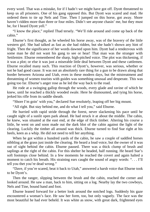every word. That was a mistake, for if I hadn't we might have got off. Dyott threatened to keep us all prisoners. One of his gang opposed this. But Dyott was scared and mad. He ordered them to tie up Nels and Tine. Then I jumped on this horse, got away. Shore haven't ridden more than three or four miles. Didn't see anyone chasin' me, but they must be, for I heard Dyott yell."

"I know the place," replied Thad tersely. "We'll ride around and come up back of the cabin."

Eburne's first thought, as he wheeled his horse away, was of the bravery of the little western girl. She had talked as fast as she had ridden, but she hadn't shown any hint of fright. Then the significance of her words dawned upon him. Dyott had a rendezvous with some man he did not want his gang to see or hear! That man was the stranger with Settlemire. Eburne remembered the sharp, high-pitched voice. The plot was thickening, if it was a plot; or else it was just a miserable little deal between Dyott and these cattlemen. Eburne recalled many such. This reaction of Dyott's, however, was serious, whether or not he had good cause. It was not an absolutely rare thing for a gun to be drawn along that border between Arizona and Utah, even in these modern days, but the mistreatment and threatening of women tourists with guides was something unusual and desperate. This was going too far. Eburne's anger rose as he led the way back to the road.

He rode at a swinging gallop through the woods, every glade and ravine of which he knew, until he reached a thickly wooded swale. Here he dismounted, and tying his horse, jerked his rifle from its saddle sheath.

"Shore I'm goin' with you," declared Sue resolutely, leaping off her big mount.

"All right. But stay behind me, and do what I tell you," said Eburne.

He hurried with rapid stride through the forest, never slackening his pace until he caught sight of a sunlit open park ahead. He had struck it at about the middle. The cabin, he knew, was situated at the east end, at the edge of thick timber. Altering his course a little, he went on and soon made out the dark blot of the cabin against the light of the clearing. Luckily the timber all around was thick. Eburne turned to find Sue right at his heels, keen as a whip. He did not need to tell her anything.

When he got within a hundred yards of the cabin, he saw a couple of saddled horses nibbling at the grass just inside the clearing. He heard a loud voice, but the owner of it was out of sight behind the cabin. Eburne paused. There was a thick clump of brush and saplings at the right of the cabin. For this shelter he headed, half running. He heard Sue's soft footsteps close behind. In a few moments he reached the covert and again halted a moment to catch his breath. His straining ears caught the sound of angry words: ". . . I'll tell you thet you're dead wrong."

"Dave, if you're scared, beat it back to Utah," answered a harsh voice that Eburne took to be Dyott's.

Then the ranger, slipping between the brush and the cabin, reached the corner and looked around. He saw a man, back to him, sitting on a log. Nearby lay the two cowboys, Nels and Tine, bound hand and foot.

Eburne leaned forward for a better look around the notched logs. Suddenly his gaze encountered a woman's face. He saw her form, too, but only vaguely. The face was the most beautiful he had ever beheld. It was white as snow, with great dark, frightened eyes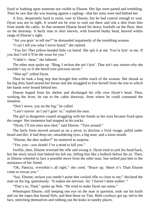fixed in loathing upon someone not visible to Eburne. Her lips were parted and trembling. Then he saw that she was leaning against a sapling—that her arms were tied behind her.

A fury, desperately hard to resist, rose in Eburne, but he had control enough to wait. Dyott was not in sight. It would not be wise to rush out there and risk a shot from him from inside the cabin. At that moment Eburne heard his heavy footfalls on the floor, then on the doorstep. A burly man in shirt sleeves, with lowered bushy head, heaved within range of Eburne's sight.

"Air you goin' to tell me?" he demanded impatiently of the trembling woman.

"I can't tell you what I never heard," she replied.

"You lie! Thet yellow-headed little cat heerd. She spit it at me. You're lyin' to me. If you don't tell it'll be the wuss for you."

"I didn't—hear," she faltered.

The other man spoke up. "Bing, I reckon she ain't lyin'. Thar ain't any reason why she wouldn't say so if she heerd yore precious secret."

"Shet up!" yelled Dyott.

Then he took a long step that brought him within reach of the woman. She shrank as his big dirty hand neared her breast and she struggled to free herself from the tree to which her hands were bound behind her.

Eburne leaped from his shelter and discharged his rifle over Dyott's head. Then, working the lever, he ran to the cabin doorway, from where he could command the situation.

"Don't move, you on the log," he called.

"I ain't movin' an I ain't goin' to," replied the man.

The girl in dungerees ceased struggling with her bonds as her eyes became fixed upon the ranger. Her tormentor had stopped in his tracks.

"Dyott, I'll not miss next shot," said Eburne. "Turn around."

The burly form moved around as on a pivot, to disclose a livid visage, pallid under beard and dirt. It had deep-set, smouldering eyes, a big nose, and a loose mouth.

"Eburne, the deer stalker?" he muttered in surprise.

"Yes, you—you skunk! I've a mind to kill you."

Swiftly, then, Eburne reversed the rifle and swung it. Dyott tried to jerk his head back, but the stock struck him behind his left ear, felling him like a bullock before the ax. Then, as Eburne wheeled to face a possible move from the other man, Sue rushed past him to the assistance of her friend.

"Oh, Patricia, everythin's all right," she cried. "Brace up. Shore it's Thad Eburne come to rescue you."

"Say, Eburne, reckon you needn't point thet cocked rifle so close to me," declared the man on the log, querulously. "It makes me nervous. An' I haven't done nuthin'."

"That's so, Thad," spoke up Nels. "He tried to make Dyott see sense."

Whereupon Eburne, still keeping one eye on the man in question, took out his knife and cut the ropes that bound Nels, and then those on Tine. Both cowboys got up, red in the face, stretching themselves and rubbing out the kinks in sundry places.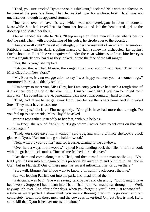"Thad, you sure cracked Dyott one on his thick nut," declared Nels with satisfaction as he viewed the prostrate form. Then he walked over for a closer look. Dyott was not unconscious, though he appeared stunned.

Tine came over to have his say, which was not overelegant in form or content. Meanwhile Sue had freed Patricia from her bonds and led the bewildered girl to the doorstep and seated her there.

Eburne handed his rifle to Nels. "Keep an eye on these men till I see what's best to do," he said. Then, with a quickening of his pulse, he strode over to the doorstep.

"Are you—all right?" he asked haltingly, under the restraint of an unfamiliar emotion. Patricia's head with its dark, rippling masses of hair, somewhat disheveled, lay against Sue's shoulder. Faint blue veins quivered under the clear whiteness of her skin; her eyes were a singularly dark hazel as they looked up into the face of the tall ranger.

"Yes, thank you," she replied.

"Patricia, this is Thad Eburne, the ranger I told you about," said Sue. "Thad, this's Miss Clay from New York."

"Mr. Eburne, it's no exaggeration to say I was happy to meet you—a moment ago," murmured Patricia, suddenly smiling.

"I'm happy to meet you, Miss Clay, but I am sorry you have had such a rough time of it over here on our side of the river. Still, I suspect men like Dyott can be found most anyplace." He found her grave, penetrating gaze most unaccountably hard to meet.

"Thad, hadn't we better get away from heah before the others come back?" queried Sue. "They must have chased me."

"Indeed, yes," declared Eburne quickly. "You girls have had more than enough. Do you feel up to a short ride, Miss Clay?" he asked.

Patricia rose rather unsteadily to her feet, with Sue helping.

"I'm fine," she replied frankly. "Let's go where I never have to set eyes on that vile ruffian again."

"Thad, you shore gave him a wallop," said Sue, and with a grimace she took a quick glance at Dyott. "Reckon he's got a haid of wood."

"Nels, where's your outfit?" queried Eburne, turning to the cowboys.

"Over here a ways in the woods," replied Nels, handing back the rifle. "I left our cook with the grub an' pack-mules. Tine an' me fetched our beds over."

"Get them and come along," said Thad, and then turned to the man on the log. "You tell Dyott if I run into him again on this preserve I'll arrest him and put him in jail. Not in Utah, but in Flagstaff! One of these girls has several influential friends down there."

"Sure will, Eburne. An' if you want to know, I'm trailin' back across the line."

Sue was leading Patricia out into the park, and Thad joined them.

"Patricia, it was *bad*," Sue was saying, talking fast and cheerfully. "But it might have been worse. Suppose I hadn't run into Thad! That brute was mad clear through.... Well, anyway, it's over. And after a few days, when you forget it, you'll have just as wonderful a time as we expected. I shore think you were a thoroughbred not to go down and out completely. Heah with those men, and the cowboys hawg-tied! Oh, but Nels is mad. He'll shore kill that Dyott if he ever meets him alone."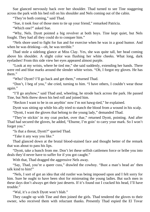Sue glanced nervously back over her shoulder. Thad turned to see Tine staggering across the park with his bed roll on his shoulder and Nels coming out of the cabin.

"They're both coming," said Thad.

"Sue, it took four of those men to tie up your friend," remarked Patricia.

"Which one?" asked Sue.

"Why, Nels. Dyott pointed a big revolver at both boys. Tine kept quiet, but Nels fought. They had all they could do to conquer him."

"Nels shore used to fight for fun and for exercise when he was in a good humor. And when he was drinking—oh, he was terrible."

Thad stole a sidelong glance at Miss Clay. Yes, she was quite tall, her head coming above his shoulder. A slight color was flushing her white cheeks. What long, dark eyelashes! From this side view her eyes appeared almost purple.

"Look at my wrists, where he tied me," she said suddenly, extending her hands. There were red and blue marks around the slender white wrists. "Oh, I forgot my gloves. He has them."

"Who? Dyott? I'll go back and get them," returned Thad.

"Don't, I beg of you," she cried, turning to him. "I have others, I couldn't wear those again."

"I'll go anyhow," said Thad and, wheeling, he strode back across the park. He passed Tine, but Nels threw down his bed roll and joined him.

"Reckon I want to be in on anythin' now I'm not hawg-tied," he explained.

Dyott was sitting up while his ally tried to stanch the blood from a wound in his scalp.

"Dyott, I want the gloves that belong to the young lady," demanded Thad.

"They're stickin' in my coat pocket, over thar," returned Dyott, pointing. And after Thad had secured the gloves, he added, "Eburne, I'm goin' to carry your mark. So I won't forget you."

"Is that a threat, Dyott?" queried Thad.

"Take it any way you like."

Thad glanced down at the brutal blood-stained face and thought better of the remark that was about to pass his lips.

"Dyott, take a hunch from me. Don't let these selfish cattlemen force or bribe you into deals they'd never have to suffer for if you got caught."

With that, Thad dragged the aggressive Nels away.

"Say, Thad, you're a queer cuss," drawled the cowboy. "Bust a man's head an' then talk kind to him!"

"Nels, I sort of got an idea that old rustler was being imposed upon and I felt sorry for him. Sure he ought to have been shot for mistreating the young ladies. But such men in these days don't always get their just deserts. If it's found out I cracked his head, I'll have trouble."

"Wal, it's a cinch Dyott won't blab."

They caught up with Tine and then joined the girls. Thad tendered the gloves to their owner, who received them with reluctant thanks. Presently Thad espied the El Tovar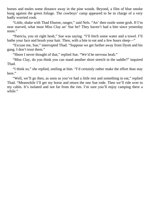horses and mules some distance away in the pine woods. Beyond, a film of blue smoke hung against the green foliage. The cowboys' camp appeared to be in charge of a very badly worried cook.

"Little, shake with Thad Eburne, ranger," said Nels. "An' then rustle some grub. If I'm near starved, what must Miss Clay an' Sue be? They haven't had a bite since yesterday noon."

"Patricia, you sit right heah," Sue was saying. "I'll fetch some water and a towel. I'll bathe your face and brush your hair. Then, with a bite to eat and a few hours sleep—"

"Excuse me, Sue," interrupted Thad. "Suppose we get farther away from Dyott and his gang. I don't trust them."

"Shore I never thought of that," replied Sue. "We'd be nervous heah."

"Miss Clay, do you think you can stand another short stretch in the saddle?" inquired Thad.

"I think so," she replied, smiling at him. "I'd certainly rather make the effort than stay here."

"Well, we'll go then, as soon as you've had a little rest and something to eat," replied Thad. "Meanwhile I'll get my horse and return the one Sue rode. Then we'll ride over to my cabin. It's isolated and not far from the rim. I'm sure you'll enjoy camping there a while."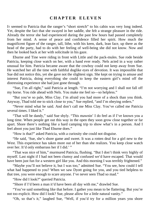#### **C H A P T E R E L E V E N**

IT seemed to Patricia that the ranger's "short stretch" to his cabin was very long indeed. Yet, despite the fact that she swayed in her saddle, she felt a strange pleasure in the ride. Already the terror she had experienced during the past few hours had passed completely from her mind. A sense of peace and confidence filled her spirit. How much the magnificent figure of the ranger, tall, lithe, with his keen, dark, lean face, up there as the head of the party, had to do with her feeling of well-being she did not know. Now and then he looked back at her with solicitude in his gaze.

Eburne and Tine were riding in front with Little and the pack-mules. Sue rode beside Patricia, keeping close watch on her, with a hand ever ready. Nels acted in a way rather unusual for him. Patricia became aware that the cowboy could not keep away from Sue. He watched her all the time with faithful doglike eyes of devotion. It was impossible that Sue did not notice this, yet she gave not the slightest sign. She kept on trying to amuse and interest Patricia, doing everything she could to keep the eastern girl's mind off the distressing experience she had just gone through.

"Sue, I'm all right," said Patricia at length. "I'm not worrying and I shall not fall off my horse. You ride ahead with Nels. You make me feel so—so helpless."

"But you're so pale, Miss Clay. I'm afraid you had more of a shock than you think. Anyway, Thad told me to stick close to you," Sue replied, "and I'm obeying orders."

"Never mind what he said. And don't call me Miss Clay. You've called me Patricia several times. I liked it."

"That will be dandy," said Sue shyly. "This mawnin' I do feel as if I've known you a long time. When people get out this way in the open they soon grow close together or far apart. Shore there's nothing like a hard camping trip to show what's in a person. And I feel aboot you just like Thad Eburne does."

"How is that?" asked Patricia, with a curiosity she could not disguise.

"He said, 'Sue, she's shore game and sweet. It was a rotten deal for a girl new to the West. This experience has taken more out of her than she realizes. You keep close watch over her. It'd only embarrass her if I did.' "

"That was nice of him," murmured Patricia, flushing. "But I don't think very highly of myself. Last night if I had not been clumsy and confused we'd have escaped. That would have been just fun for a western girl like you. And this morning I was terribly frightened."

"Maybe you'll not believe it, but I was too," admitted Sue. "You see, how could I tell what had happened to you? When we saw Dyott going for you, and you tied helpless to that tree, you were enough to scare anyone. I've never seen Thad so mad."

"How did I look?" queried Patricia.

"Shore if I'd been a man it'd have been all day with me," drawled Sue.

"You've said something like that before. I gather you mean to be flattering. But you're not too explicit. How did I look? Sue, please allow for a little natural vanity."

"Oh, so that's it," laughed Sue, "Well, if you'd try for a million years you shore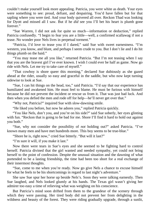couldn't make yourself look more appealing. Patricia, you were white as death. Your eyes were something to see: proud, defiant, and despairing. You'd have fallen but for that sapling where you were tied. And your body quivered all over. Reckon Thad was looking for Dyott and missed all I saw. But if he *did* see you I'll bet his heart is plumb gone forever."

"Sue Warren, I did not ask for quite so much—information or deduction," replied Patricia confusedly. "I begin to fear you are a little—well, a confirmed scallawag if not a tease. No wonder poor Nels lives in perpetual torment."

"Patricia, I'd love to tease you if I dared," said Sue with sweet earnestness. "I'm western, you know, and blunt, and perhaps I seem crude to you. But I don't lie and I do hit things plumb on the haid."

"You may tease me all you like," returned Patricia. "But I'm not teasing when I say that you are the bravest girl I've ever known. I wish I could ever be half as game. Now go ride with Nels. Let me try to take care of myself."

"That cowboy is shore queer this morning," declared Sue dubiously as she gazed ahead at the rider, usually so easy and graceful in the saddle, but who now kept turning sidewise to look at Sue.

"Sue, I can hit things on the head, too," said Patricia. "I'd say that our experience has humiliated and awakened him. He must feel to blame. He must be furious with himself because he did not prevent the incident or rescue us from it. That was just bad luck. And then when you defied the men and rode off for help—he'll never get over that."

"Why not, Patricia?" inquired Sue with slow-dawning smile.

"He liked you before, but now he adores you," replied Patricia quickly.

"You like Nels, don't you, and you're on his side?" said Sue soberly, her eyes glinting with fun. "Reckon that is going to be bad for me. Shore I'll find it hard to hold out against you both."

"Sue, why not consider the possibility of *not* holding out?" asked Patricia. "I've known many men and have met hundreds more. This boy seems to be true-blue."

"Shore he is, right now," cried Sue bitterly. "But will it last?"

"I'm sure it will, if you make it last."

Now there were tears in Sue's eyes and she seemed to be fighting hard to control herself. Patricia divined that the girl wanted and needed sympathy, yet could not bring herself to the point of confession. Despite the unusual situation and the dawning of what portended to be a lasting friendship, the time had been too short for a real exchange of their innermost thoughts.

"Sue, come to me when you're ready. Now go give Nels a chance to excuse himself for what he feels to be his shortcomings in regard to last night's adventure."

She saw Sue spur her horse up beside Nels's. Soon they were talking earnestly. Then Sue laughed, and Nels looked glumly at his hands. The Texas girl wasn't giving her admirer too easy a time of relieving what was weighing on his conscience.

But Patricia's mind soon drifted from them to the grandeur of the scenery through which they were passing. Her tired body did not prevent her from delighting in the wildness and beauty of the forest. They were riding gradually upgrade, through a sunlit,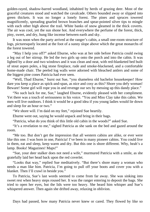golden-rayed, shadow-barred woodland, inhabited by herds of grazing deer. Most of the graceful creatures stood and watched the cavalcade. Others bounded away or slipped into green thickets. It was no longer a lonely forest. The pines and spruces towered magnificently, spreading gnarled brown branches and spear-pointed silver tips to mingle with each other high above the trail. White banks of snow gleamed in the thick coverts. The air was cool, yet the sun shone hot. And everywhere the perfume of the forest, thick, piny, sweet, and dry, hung like incense between earth and sky.

It was noon when the party arrived at the ranger's cabin, a small one-room structure of logs, picturesquely located at the foot of a sunny slope above which the great monarchs of the forest towered.

"May I help you off?" asked Eburne, who was at her side before Patricia could swing a leg out of her stirrup. He led the two girls up onto the porch and into the cabin. It was lighted by a door and two windows and it was clean and neat, with red-blanketed bed built of stout aspen poles, a big stone fireplace, rude and smoke-blackened, and a comfortable home-made chair. The peeled log walls were adorned with bleached antlers and some of the biggest pine cones Patricia had ever seen.

"Well, Thad Eburne," burst out Sue, "you shameless old bachelor housekeeper! How dare you keep a place as spick-and-span, as nice and cosy as this? Shore you defy woman! Beware! Some girl will rope you in and revenge our sex by messing up this dandy place."

"No such luck for me, Sue," laughed Eburne, evidently pleased with her compliment. Yet there was a touch of seriousness in his voice. "You and Miss Clay take this cabin. We men will live outdoors. I think it would be a good idea if you young ladies would lie down and sleep for an hour or two."

"We shore will. I'm daid on my feet," rejoined Sue heartily.

Eburne went out, saying he would unpack and bring in their bags.

"Patricia, what do you think of this little old cabin in the woods?" asked Sue.

"It's a revelation to me," sighed Patricia as she sank on the bed and gazed around the room.

"Me too. But don't get the impression that all western cabins are alike, or ever were like this one. I was born in one, Patricia! I've been in many pioneer cabins. You could live in them, eat and sleep, keep warm and dry. But this one is shore different. Why, heah's a lamp. Books! Magazines! Maps!"

"Sue, your deer stalker does not need a wife," murmured Patricia with a smile, as she gratefully laid her head back upon the red coverlet.

"Looks that way," replied Sue meditatively. "But there's shore many a woman who needs a man like him. Patricia, I'm going to pull off your boots and cover you with a blanket. Then I'll crawl in beside you."

To Patricia, Sue's last words seemed to come from far away. She was sinking into sweet rest when heavy steps roused her. It was the ranger entering to deposit the bags. She tried to open her eyes, but the lids were too heavy. She heard him whisper and Sue's whispered answer. Then again she drifted away, relaxing in oblivion.

Days had passed, how many Patricia never knew or cared. They flowed by like so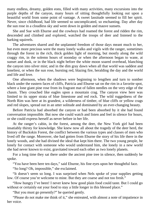many endless, dreamy, golden eons, filled with many activities, many excursions into the purple depths of the canyon, many hours of sitting thoughtfully looking out upon a beautiful world from some point of vantage. A sweet lassitude seemed to fill her spirit. Never, since childhood, had life seemed so uncomplicated, so enchanting. Day after day the sun rose in a cloudless sky and went down in golden and mauve sunsets.

She and Sue with Eburne and the cowboys had roamed the forest and ridden the rim, descended and climbed and explored, watched the troops of deer and listened to the barking squirrels.

The adventures shared and the unplanned freedom of those days meant much to her, but even more precious were the many lonely walks and vigils with the ranger, sometimes through the forest in the rich, thick golden light of morning, but mostly along the wild craggy rim, in the solemn hours of noonday or when the afternoon began to wane, at sunset and dusk, or in the black night before the white moon soared overhead, blanching the canyon into silver mist; and in the dim gray dawn when all that world was saddest and loneliest, or when the sun rose, bursting red, blazing fire, heralding the day and the world and life and love.

One afternoon, when the shadows were beginning to lengthen and turn to somber black under the eastern faces of cliffs, Patricia and Eburne sat on the rim in a favorite spot, where a lone giant pine rose from its fragrant mat of fallen needles on the very edge of the chasm. They crouched like eagles upon a mountain crag. The canyon view here was limited to its upper strata of blue limestone and red rock. The wild ruggedness of the North Rim was here at its grandest, a wilderness of timber, of blue cliffs or yellow crags and red slopes, spread out in an utter solitude and dominated by an ever-changing beauty.

Before Patricia had absorbed the canyon or had been absorbed by it she had found conversation impossible. But now she could watch and listen and feel in silence for hours, or she could express herself as never before in her life.

At the ranger's cabin, in the forest, among the deer, the New York girl had been insatiably thirsty for knowledge. She knew now all about the tragedy of the deer herd, the history of Buckskin Forest, the conflict between the various types and classes of men who lived off the range. Moreover, she had gotten from Eburne the story of his life there in the lonely woods, and she had divined the ideal that kept him there. The two young people, he lonely for contact with someone who would understand him, she lonely in a new world she had never known to exist, gravitated toward each other as two lonely planets.

For a long time they sat there under the ancient pine tree in silence, then suddenly he spoke.

"You have been here ten days," said Eburne, his fine eyes upon her thoughtful face.

"So long? Oh, impossible," she exclaimed.

"It doesn't seem so long. I was surprised when Nels spoke of your supplies getting low. Of course you're welcome to mine. But they are coarse and not too fresh."

"How hungry I've been! I never knew how good plain food could taste. But I could go without or certainly eat your food to stay a little longer in this blessed place."

"But you must go presently?" he queried gently.

"Please do not make me think of it," she entreated, with almost a note of impatience in her voice.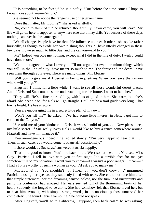"It is something to be faced," he said softly. "But before the time comes I hope to know more about you—Patricia."

She seemed not to notice the ranger's use of her given name.

"Does that matter, Mr. Eburne?" she asked wistfully.

"No, come to think of it," he returned thoughtfully. "You came, you will leave. My life will go on here, I suppose, or anywhere else that I may drift. Yet because of these days nothing can ever be the same again."

"We all change. People have incalculable influence upon each other," she spoke rather hurriedly, as though to evade her own rushing thoughts. "I have utterly changed in these few days. I owe so much to little Sue, and the canyon—and to you."

"Me? Indeed you owe me nothing, except what I did in the line of duty. I wish I could have done more."

"We do not agree on what I owe you. I'll not argue, but even the minor things which you call 'in the line of duty' have meant so much to me. The forest and the deer! I have seen them through your eyes. There are many things, Mr. Eburne."

"Will you forgive me if I persist in being inquisitive? When you leave the canyon where will you go?"

"Flagstaff, I think, for a little while. I want to see all those wonderful desert places. And if Nels and Sue come to some understanding for the future, I want to help her."

"They will. He's a fine, spirited boy, with lots of good in him. She cares, but she's afraid. She needn't be, for Nels will go straight. He'll not be a trail guide very long. That boy is bright. He has a future."

"You are encouraging me in a secret little plan of my own."

"Won't you tell me?" he asked. "I've had some little interest in Nels. I got him to come to the Canyon."

"Sue told me of your kindness to Nels. It was splendid of you. . . . Now please keep my little secret. If Sue really loves Nels I would like to buy a ranch somewhere around Flagstaff and have him manage it."

"You are—generous indeed," he replied slowly. "I'm very happy to hear that. . . . Then, in such case, you would come to Flagstaff occasionally."

"I shore would, as Sue says," answered Patricia happily.

"That'll be good to know. You'll be back in the West sometimes. . . . You see, Miss Clay—Patricia—I fell in love with you at first sight. It's a terrible fact for me, yet somehow it'll be my salvation. I want you to know—if I wasn't a poor ranger, I mean—if I had a future worthy of such a woman as you, I'd ask you to marry me."

"Mr. Eburne! . . . You shouldn't . . . I mean . . . you don't know . . ." murmured Patricia, closing her eyes as they suddenly filled with tears. She could not face him after that simple statement, nor the dreaming canyon below, nor the tumult of uncertainty and panic his confession had aroused. Her ears seemed full of the thrumming beats of her heart. Suddenly she longed to be alone. She had somehow felt that Eburne loved her; but to hear him avow it, with simple strong words, in unconscious pathos, unnerved her completely. She found herself trembling. She could not speak.

"After Flagstaff, you'll go to California, I suppose, then back east?" he was asking.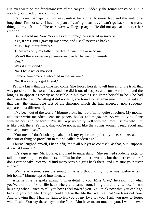His eyes were on the far-distant rim of the canyon. Suddenly she found her voice. But it was high-pitched, quavery, unsure.

"California, perhaps, but not east, unless for a brief business trip, and that not for a long time. I'm not sure. I have no plans. I can't go back . . . I can't go back to so many things in my life. . . ." The tears were welling up again. He did not appear to notice her emotion.

"But Sue told me New York was your home," he asserted in surprise.

"Yes, it was. But I gave up my home, and I shall never go back."

"Miss Clay! Your family?"

"There was only my father. He did not want me or need me."

"Wasn't there someone you—you—loved?" he went on tensely.

"Yes."

"Was it a husband?"

"No. I have never married."

"Someone—someone who died in the war—?"

"No. It was only a girl friend."

Patricia knew that the time had come. She forced herself to tell him all of the truth that was possible for her to confess, and she did it out of respect and sorrow for him, and the longing to appear as nearly as possible in his eyes as she knew herself to be. She had dismissed the past. Recalling it did not hurt, she found to her amazement, but the yoke of that past, the unalterable fact of the dishonor which she had accepted, now suddenly appeared in a different light.

"I've been out of the world," Eburne broke in, "but I'm not quite a recluse. My mother and sister write me often, send me papers, books, and magazines. So while living alone with the deer and the forest, I've still kept up pretty well with the times. I know what life is like back there, Patricia, that you're not at all like the young women I read about and whose pictures I see."

"You mean I don't bob my hair, pluck my eyebrows, paint my face, smoke, and all that sort of thing so prevalent in this so-called modern age."

Eburne laughed. "Well, I hadn't figured it all out yet as concisely as that, but I suppose it's what I meant."

"It's a queer age, Mr. Eburne, and hard to understand." She seemed suddenly eager to talk of something other than herself. "I'm for the modern woman, but there are extremes I don't care to take. Yet you'd find many sensible girls back there, and I'm sure your sister is one."

"Well, she seemed sensible enough," he said thoughtfully. "She was twelve when I left home." Eburne lapsed into silence.

After a time he spoke again. "I'm grateful to you, Miss Clay," he said, "for what you've told me of your life back where you came from. I'm grateful to you, too, for not laughing when I tried to tell you how I feel toward you. You think now that you can't go back to your old life. But you couldn't live the life that we live, that Sue lives out here. And knowing that, I had no right to tell you of my love for you. I ask you now to forget what I said. You say these days on the North Rim have meant much to you. I would never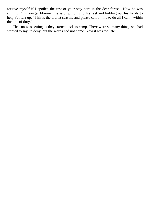forgive myself if I spoiled the rest of your stay here in the deer forest." Now he was smiling. "I'm ranger Eburne," he said, jumping to his feet and holding out his hands to help Patricia up. "This is the tourist season, and please call on me to do all I can—within the line of duty."

The sun was setting as they started back to camp. There were so many things she had wanted to say, to deny, but the words had not come. Now it was too late.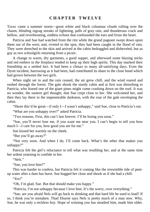### **C H A P T E R T W E LV E**

THERE came a summer storm—great white and black columnar clouds rolling over the chasm, blinding zigzag streaks of lightning, palls of gray rain, and thunderous crack and bellow, and reverberating, endless echoes that confounded the ears and froze the heart.

Patricia and Sue had watched from the rim while the grand pageant swept down upon them out of the west; and, riveted to the spot, they had been caught in the flood of rain. They were drenched to the skin and arrived at the cabin bedraggled and disheveled, but as gay as two schoolgirls returning from a picnic.

A change to warm, dry garments, a good supper, and afterward some blazing sticks and red embers in the fireplace tended to keep up their high spirits. This day marked their friendship as a settled fact. It had been a climax to many all-satisfying days. Even the Dyott incident, harrowing as it had been, had contributed its share to the close bond which had grown between the two girls.

When night set in and the rain ceased, the air grew chill, and the wind roared and rushed through the forest. The gale shook the sturdy cabin and at first was disturbing to Patricia, who feared one of the giant pines might come crashing down on the roof. It was no wonder, the eastern girl thought, that Sue crept close to her. She welcomed her, and then they lay there in the impenetrable darkness, with the roar of the gale enveloping the cabin.

"Shore this'd be great—if only I—I wasn't unhappy," said Sue, close to Patricia's ear.

"What are you unhappy over?" asked Patricia.

"Two reasons. First, this can't last forever. I'll be losing you soon."

"Sue, you'll never lose me, if you want me near you. I can't begin to tell you how much I—I care for you, how good you are for me."

Sue kissed her warmly on the cheek.

"But you'll go away?"

"Not very soon. And when I do, I'll come back. What's the other that makes you unhappy?"

Patricia felt the girl's reluctance to tell what was troubling her, and at the same time her ardent yearning to confide in her.

" $N$ els"

"Sue, you love him?"

This was harder to confess, but Patricia felt it coming like the irresistible tide of pentup water after a dam has burst. Sue hugged her close and shook as if she had a chill.

"*Yes!*"

"Oh, I'm glad, Sue. But that should make you happy."

"Patricia, I'm not unhappy because I love him. It's the worry, over everything."

"Sue, are you afraid Nels will go back to drinking and that hard life he used to lead? If so, I think you're mistaken. Thad Eburne says Nels is pretty much of a man now. Why, Sue, he was only a reckless boy. Hope of winning you has steadied him, made him older.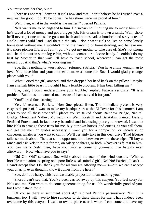You must consider that, Sue."

"Shore it's not that I don't trust Nels now and that I don't believe he has turned over a new leaf for good. I do. To be honest, he has shore made me proud of him."

"Well, then, what in the world is the matter?" queried Patricia.

"Nels wants me to be engaged to him. He swears he'll not nag me to marry him until he's saved a lot of money and got a bigger job. His dream is to own a ranch. Well, shore he'll never get one unless he goes out heah and homesteads a hundred and sixty acres of Uncle Sam's wild land. And there's the rub. I don't want Nels to live on some lonely homestead without me. I wouldn't mind the hardship of homesteading, and believe me, it's shore pioneer life. But I *can't* go. I've got my mother to take care of. She's not strong and she'd die out in some log cabin, without comfort or a doctor handy. I couldn't do my best by Mother in that way. I'll have to teach school, wherever I can get the most money. . . . And that's what's worrying me."

"Sue, that's nothing to worry about," returned Patricia. "You have a fine young man to love. You have him and your mother to make a home for. Sue, I would gladly change places with you."

"What!" cried the girl, amazed, and then dropped her head back on the pillow. "Maybe I am a selfish little beast. I thought I had a terrible problem. It has been killing me."

"Sue, dear, I don't underestimate your trouble," replied Patricia seriously. "It *is* a problem. But it has not worried me, because I have solved it for you."

"You!" cried Sue, starting up.

"Yes, I," returned Patricia. "Now Sue, please listen. The immediate present is very easy to dispose of. I want to make my headquarters at the El Tovar for this summer. I am eager to see all these wonderful places you've talked about: Rainbow Bridge, Natural Bridge, Monument Valley, Montezuma's Well, Keetsill and Betatakin, Painted Desert, Petrified Forest, and, in fact, every beautiful and interesting place you know of. I want to hire Nels to arrange these trips for me, buy our own horses, and outfits, as you call them, and get the men or guides necessary. I want you for a companion, or secretary, or chaperon, whatever you want to call it. We'll certainly take in this deer drive Thad Eburne talks so much about. Then, at some opportune time between two of these trips, I'll buy a ranch and ask Nels to run it for me, on salary or shares, or both, whatever is fairest to him. You can marry Nels, then, have your mother come to you—and live happily ever afterward.—Now what have you to say?"

"Oh! Oh! Oh!" screamed Sue wildly above the roar of the wind outside. "What a horrible temptation to spring on a poor little weak-minded girl! No! No! Patricia, I can't— I can't accept that. Oh, thank you for all you are offering me—us—but we can't accept your charity, even though I know it comes from the heart."

"Sue, don't be hasty. This is a reasonable proposition I am making you."

"Shore I can't see that. You've been carried away by this canyon. You feel sorry for Nels and me. You want to do some generous thing for us. It's wonderfully good of you, but I won't stand for it."

"Of course there is sentiment about it," rejoined Patricia persuasively. "But it is business, too. I will have to hire someone to do these things for me. I have indeed been overcome by this canyon. I want to own a place near it where I can come and have my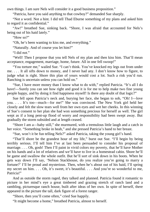own things. I am sure Nels will consider it a good business proposition."

"Patricia, have you said anything to that cowboy?" demanded Sue sharply.

"Not a word. Not a hint. I did tell Thad Eburne something of my plans and asked him to regard it as confidential."

"Aw!" breathed Sue, sinking back. "Shore, I was afraid that accounted for Nels's being out of his haid lately."

"How so?"

"Oh, he's been wanting to kiss me, and everything."

"Naturally. And of course you let him?"

"I did *not*."

"Well! Then I propose that you tell Nels of my plan and then kiss him. That'll mean acceptance, engagement, marriage, home, future. All in one fell swoop!"

"You torture me," wailed Sue. "I can't think. You've knocked my legs out from under me. . . . It all sifts down to money, and I never had any. I don't know how to figure, to judge what is right. Shore this plan of yours would cost a lot. Such a risk you'd run. Ranching is uncertain unless you can hold on."

"Sue, I have more money than I know what to do with," replied Patricia. "It's all I do have!—Surely you can see how right and good it is for me to help make two fine young people happy, and by doing it find happiness myself! Is there any doubt of that logic?"

Sue fell upon Patricia's neck and, burying her face, she began to sob, "Oh! I—love you. . . . It's too—much—for me!" She was convinced. The New York girl held her closely and felt the slow tears well from her own eyes and wet her cheeks. In this winning of Sue's consent to her plan she had won something precious for herself as well. The girl wept as if a long pent-up flood of worry and responsibility had been swept away. But gradually the storm subsided and at length ceased.

"Shore I am a—baby still," she murmured, with a tremulous little laugh and a catch in her voice. "Something broke in heah," and she pressed Patricia's hand to her breast.

"Sue, won't it be fun telling Nels?" asked Patricia, taking the young girl's hand.

"That'll shore be the grandest hour of my life," burst out Sue. "I'll begin by being terribly serious. I'll tell him I've at last been persuaded to consider his proposal of marriage. . . . Oh, gosh! Then I'll paint in vivid colors my poverty, that he'll have Mother on his hands and a lot of relatives and we'll have to live in a homestead cabin. Shore he'll be game and swallow the whole outfit. But he'll sort of sink down in his boots. When he gets way down I'll say, 'Nelson Stackhouse, do you realize you're going to marry a fortune?' I'll be proud and mysterious. Then, when he's about out of his haid, I'll spring my secret on him. . . . Oh, it's sweet, it's beautiful. . . . And you're so wonderful to me, Patricia!"

And as outside the storm raged, they talked and planned. Patricia found it romantic to picture in her mind's eye a great timbered and grazing stretch of ranch land and a rambling, picturesque ranch house, built after ideas of her own. In spite of herself, there appeared in the picture the tall, dark figure of a forest ranger.

"Shore, then you'll come often," cried Sue happily.

"It might become a home," breathed Patricia, almost to herself.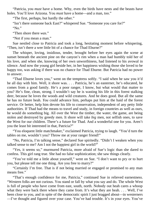"Patricia, you *must* have a home. Why, even the birds have nests and the beasts have holes. You'll love Arizona. You *must* have a home—and a man, too."

"The first, perhaps, but hardly the other."

"Isn't there someone back East?" whispered Sue. "Someone you care for?" " $N_0$ "

"Then shore there *was*."

"Not if you mean a man."

Sue nestled close to Patricia and took a long, hesitating moment before whispering, "Then, isn't there a wee little bit of a chance for Thad Eburne?"

The whisper, loving, insidious, tender, brought before her eyes again the scene at sunset beneath the ancient pine on the canyon's rim when a man had humbly told her of his love, and when she, knowing of her own unworthiness, had listened to his avowal in silence. And now the young girl beside her, in her happiness wishing those she loved to be happy too, was asking if there was no chance for Thad Eburne. But Patricia had no power to answer.

"Thad Eburne loves you," went on the temptress softly. "I said when he saw you it'd be all day with him. Well, it shore was. . . . Patricia, he's an easterner, he's educated, he comes from a good family. He's a poor ranger, I know, but what would that matter to you? He's fine, clean, strong. I wouldn't say he is wasting his life in this forest stalking deer, because he loves the woods and wild creatures. And he does good. But all the same he has no future heah. *You* could advance him, perhaps put him at the haid of the forest service. Or better, help him devote his life to conservation, independent of any petty little authorities. If Thad had the means to travel and study, in foreign countries as well as ours, he would do something big. All over the West the timber, the water, the game, are being stolen and destroyed by greedy men. It shore will take *big* men, not selfish ones, to save the West for our children. There's a future for Thad. And a wonderful one for you. Aren't you the least bit interested in that, Patricia?"

"You eloquent little matchmaker," exclaimed Patricia, trying to laugh. "You'd turn the tables on me, wouldn't you? Throw me at your ranger friend!"

"No, Patricia, I'm talking sense," declared Sue spiritedly. "Didn't I weaken when you talked sense to me? Am I not the happiest girl in the world?"

"Yes, it seems so," murmured Patricia, more afraid of Sue's logic than she dared to confess. This girl rang true. She had no false sophistication; she saw things clearly.

"You've told me a little about yourself," went on Sue. "I don't want to pry or to hurt you, but please tell me one thing. Are you free to marry?"

"Certainly I'm free. That is if not being married or engaged or promised to any man means free."

"That's enough confidence for me, Patricia," continued Sue in relieved earnestness. "Western folks are not curious. You stand or fall by what you say and do. The whole West is full of people who have come from east, south, north. Nobody out heah cares a whoop what they were back there where they came from. It's what they are heah. . . . Well, I've been close to you, and in spite of the democratic spirit I just bragged about—in westerners

—I've thought and figured over your case. You've had trouble. It's in your eyes. You've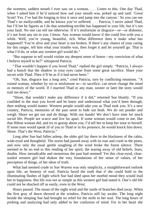the sweetest, saddest mouth I ever saw on a woman. . . . Listen to this. One day Thad, when I asked him if he'd noticed how sad your mouth was, jerked up and said: 'Great Scott! Yes. I've had the longing to kiss it once and jump into the canyon.' So you can see Thad's no mollycoddle, and he knows you've suffered. . . . Patricia, I never asked Thad, but I'll bet he figures as I do that something terrible has happened in your life, but it's not your fault. No one can tell me otherwise. If it's misfortune or disgrace—or—or dishonor, it's not from any sin in you. I *know*. Any woman would know if she could live with you a while. Well, you're young, beautiful, rich. What difference does it make *what* has happened? You're alive and your heart is not broken. If there's any chance of your caring for this ranger, tell him what your trouble was, then forget it and let yourself go. That is what I'd do, or what any western girl would do."

"But suppose to tell would violate my deepest sense of honor—my conviction of what I believe myself to be?" whispered Patricia.

"That wouldn't happen if you loved Thad," replied the girl simply. "Patricia, I always had a hunch that the shadow in your eyes came from some great sacrifice. Share your secret with Thad. Then it'll be as if it had never been."

"Oh, Sue, disgrace has a long arm," cried Patricia, torn by conflicting emotions. "A ruined woman, whether by sin or misfortune or—or sacrifice, can never change the mind or memory of the world. If I married Thad or any man, sooner or later the story would trail me down."

"Shore, that wouldn't make any difference if it did," returned Sue bluntly. "If you confided in the man you loved and he knew and understood what you'd been through, then nothing would matter. Western people would take you as Thad took you. It's a new country, Patricia, memories of the past seem to fade out heah. We do not ponder and weigh. Shore we get out and do things. With our hands! We don't have time for much social life. People are scarce and live far apart. If some woman would come to me, like that Hilton woman did, and try to gossip about you, I'd tell her to keep her nose to herself. If some man would speak ill of you to Thad or in his presence, he would knock him down. Shore. That's the West, Patricia."

Long after Sue had fallen asleep, the older girl lay there in the blackness of the cabin, wide-eyed and thoughtful. The storm had passed away with its roar and crash in the pines, and now only the usual gentle soughing of the wind broke the forest silence. There seemed to be no end to this rending of her spirit, the tearing away of old beliefs, fears, doubts. How ineradicable and monstrous the past had seemed! Yet this clear-eyed, clearsouled western girl had shaken the very foundations of her sense of values, of her perception of things, of her ideas of truth.

What had seemed crude in Sue Warren was only simplicity, a straightforward outlook upon life, an honesty of soul. Patricia faced the truth that if she could hold to the illuminating flashes of light which Sue had shed upon her morbid mood they would lead her to happiness. But life was not as simple as this western girl had stated it. One's old life could not be shucked off as easily, even in the West.

Hours passed. The moan of the night wind and the rustle of branches died away. When the first gray of dawn showed at the window, Patricia still lay awake. The long night beside the sleeping Sue had brought no relief for the strife in her soul. The long hours of probing and analyzing had only added to her confusion of mind. For in her heart she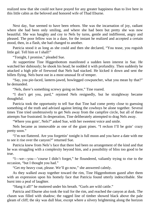realized now that she could not have prayed for any greater happiness than to live here in this little cabin as the beloved and honored wife of Thad Eburne.

Next day, Sue seemed to have been reborn. She was the incarnation of joy, radiant where she had been only smiling, and where she had been but pretty she was now beautiful. She was haughty and coy to Nels by turns, gentle and indifferent, angry and pleased. The poor fellow was in a daze, for the instant he realized and accepted a certain mood, then, in a flash, she had changed to another.

Patricia stood it as long as she could and then she declared, "You tease, you roguish little gal. Tell him or I shall!"

"Tonight, I promise," pleaded Sue.

At suppertime Tine Higgenbottom manifested a sudden keen interest in Sue. He watched her dubiously; he shook his head; he nodded it with profundity. Then suddenly he attacked a high pile of firewood that Nels had stacked. He kicked it down and sent the billets flying. Nels burst out in a most unusual fit of temper.

"Say, you pie-faced, lantern-jawed, bowlegged cowpuncher, what you mean by that?" he demanded.

"Nels, there's something screwy going on here," Tine roared.

"I don't get you, pard," rejoined Nels resignedly, but he straightway became thoughtful.

Patricia took the opportunity to tell Sue that Tine had come pretty close to guessing something of the truth and advised against letting the cowboys be alone together. Several times Tine tried unobtrusively to get Nels away from the campfire circle, but all of these attempts Sue frustrated. In desperation, Tine deliberately attempted to drag Nels away.

"Where you goin', Nels?" asked Sue, with her sweetest voice and smile.

Nels became as immovable as one of the giant pines. "I reckon I'll be goin' crazy pretty soon."

"I'm not flattered. Are you forgettin' tonight is full moon and you have a date with me to see it rise over the canyon?" returned Sue.

Patricia knew from Nels's face that there had been no arrangement of the kind and that he was struggling with a complexity beyond him, and a possibility of bliss too good to be true.

"I—we—you—'course I didn't forget," he floundered, valiantly trying to rise to the occasion, "but I thought you had."

"Get my heavy coat, please. We'll go now," she answered calmly.

As they walked away together toward the rim, Tine Higgenbottom gazed after them with an expression upon his homely face that Patricia found utterly indescribable. She burst into a peal of laughter.

"Hang it all!" he muttered under his breath. "Gurls are wild cattle."

Patricia and Eburne also took the trail for the rim, and reached the canyon at dusk. The chasm was filled with shadow; the ragged line of timber showed black above the pale gleam of cliff; the sky was dull blue, except where a silvery brightening along the horizon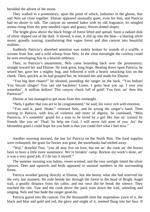heralded the advent of the moon.

They walked to a promontory, upon the point of which, indistinct in the gloom, Sue and Nels sat close together. Eburne appeared unusually quiet, even for him, and Patricia had no desire to talk. The canyon air seemed laden with its old fragrance, its mingled aroma rising from dry pine-needled capes and grassy, flower-dotted slopes.

The bright glow above the black fringe of forest lifted and spread. Soon a radiant disk of silver slipped out of the dark. It moved, it rose, it slid up into the blue—a blazing silver moon, grandly soaring, transforming that vague forest and dim canyon into beautiful realities.

Suddenly Patricia's absorbed attention was rudely broken by sounds of a scuffle, a scream from Sue, and a wild whoop from Nels. In the clear moonlight the cowboy could be seen enveloping Sue in a bearish embrace.

Then, to Patricia's amazement, Nels came bounding back over the promontory, straight toward her and Eburne. He took great, long leaps. Bearing down upon Patricia, he seized her, gave her a mighty hug, and followed it with a hearty smacking kiss on the cheek. Then, quickly as he had grasped her, he released her and made for Eburne.

"You big deer chaser!" he shouted, pounding the ranger on the back. "You Indian! You biscuit slinger! You sad old bachelor! Listen. I gotta beat you up. I owe you somethin'. A million dollars! This canyon chuck full of gold! You first, an' then this Patrescia!"

Eburne at last managed to get away from this onslaught.

"Nels, I gather that you are to be congratulated," he said, his voice rich with emotion.

"You said it, pard. Shake," returned Nels, and he wrung the ranger's hand. Then turning to Patricia, with less of violence and more of dignity, he continued, "Miss Patrescia, it's somethin' grand for a man to be loved by a girl like Sue an' trusted by friends like you an' Thad. So help me God, I will never fail none of you. An' the blessedest good I could hope for you both is that you could feel what I feel now."

Another morning dawned, the last for Patricia on the North Rim. The food supplies were exhausted, the grain for horses was gone, the snowbanks had melted away.

"Wal," drawled Tine, "you all may live on love, but me an' the cook an' the horses have to have a little more sustenance. We're breakin' camp. Reckon my work's done, an' it was a very good job, if I do say it myself."

The summer morning was balmy, sweet-scented, and the rosy sunlight tinted the silver spruces. Deer and squirrels and birds appeared in unusual numbers in the surrounding forest.

Patricia avoided gazing directly at Eburne, lest she betray what she had reserved for the very last moment. He rode beside her through the forest to the head of Bright Angel trail, a goodly distance from his cabin, and not once did he break the silence. They reached the rim. Tine and the cook drove the pack train down the trail, whistling and singing. Nels and Sue bade the ranger good-by.

Patricia gazed into the canyon. For the thousandth time the stupendous yawn of it, the black and blue and gold and red, the glory and might of it, seemed flung into her face. If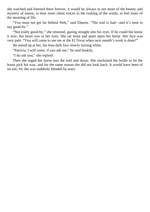she watched and listened there forever, it would be always to see more of the beauty and mystery of nature, to hear more silent voices in the rushing of the winds, to feel more of the meaning of life.

"You must not get far behind Nels," said Eburne. "The trail is bad—and it's time to say good-by."

"Not really good-by," she returned, gazing straight into his eyes. If he could but know it now, her heart was in her eyes. She sat tense and quiet upon her horse. Her face was very pale. "You will come to see me at the El Tovar when next month's work is done?"

He stared up at her, his lean dark face slowly turning white.

"Patricia, I will come, if you ask me," he said huskily.

"I do ask you," she replied.

Then she urged her horse into the trail and down. She slackened the bridle to let the horse pick his way, and for the same reason she did not look back. It would have been of no use, for she was suddenly blinded by tears.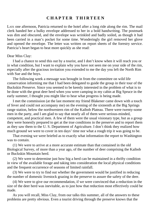## **C H A P T E R T H I R T E E N**

LATE one afternoon, Patricia returned to the hotel after a long ride along the rim. The mail clerk handed her a bulky envelope addressed to her in a bold handwriting. The postmark was dim and obscured, and the envelope was wrinkled and badly soiled, as though it had been carried in a man's pocket for some time. Wonderingly the girl removed her glove and opened the envelope. The letter was written on report sheets of the forestry service. Patricia's heart began to beat more quickly as she read:

#### Dear Miss Clay:

I had a chance to send this out by a tourist, and I don't know when it will reach you or in what condition, but I want to explain why you have not seen me on your side of the rim, especially after the gracious invitation you extended to me the day you left the North Rim with Sue and the boys.

The following week a message was brought in from the committee on wild life conservation informing me that I had been delegated to guide the group in their tour of the Buckskin Preserve. Since you seemed to be keenly interested in the problem of what is to be done with the great deer herd when you were camping in my cabin at Big Spruce in the early summer, I thought you might like to hear what progress is being made.

I met the commission (at the last moment my friend Blakener came down with a touch of fever and could not accompany me) on the evening of the sixteenth at the Big Springs range station, below the northwestern rim of the Kaibob Plateau. There were twenty-some men in the party, and I am glad to say that nearly all of them were serious-minded, competent, and practical men. A few of them were the usual visionary type, but as a group they were honestly prepared to get at the true conditions in the preserve and to report them as they saw them to the U. S. Department of Agriculture. I don't think they realized how much ground we were to cover in ten days' time nor what a rough trip it was going to be.

That evening we were briefed as to exactly what information the report to Washington was to contain.

(1) We were to arrive at a more accurate estimate than that contained in the old Biological Survey, of more than a year ago, of the number of deer comprising the Kaibob or Buckskin Mountain herd.

(2) We were to determine just how big a herd can be maintained in a thrifty condition in view of the available forage and taking into consideration the local physical conditions and the frequent occurrence of seasons of limited rainfall.

(3) We were to try to find out whether the government would be justified in reducing the number of domestic livestock grazing in the preserve to assure the safety of the deer.

(4) We were to give our recommendation, if we were convinced that a reduction in the size of the deer herd was inevitable, as to just how that reduction most effectively could be made.

As you will recall, Miss Clay, from our talks this summer, all of the answers to these problems are pretty obvious. Even a tourist driving through the preserve knows that the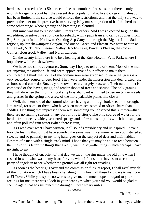herd has increased at least 50 per cent, due to a number of reasons, that there is only enough forage for about half the present deer population, that livestock grazing already has been limited if the service would enforce the restrictions, and that the only sure way to prevent the deer on the preserve from starving is by mass migration of half the herd to some other range, where grazing and browsing is plentiful.

But mine was not to reason why. Orders are orders. And I was expected to guide the expedition, twenty-some strong on horseback, with a pack train and camp supplies, from Big Springs to Indian Hollow to Quaking Asp Canyon, through the Big and Little Saddle regions, up Parishawampitts Canyon, and out on Greenland Plateau. We were to stop at Little Park, V. T. Park, Pleasant Valley, Jacob's Lake, Powell's Plateau, the Cocks Combs, Houserock Valley, and North Canyon.

On the twenty-fifth there is to be a hearing at the Rust Hotel in V. T. Park, where I hope there will be a showdown.

We have had some adventures. Some day I hope to tell you of them. Most of the men are enjoying the outdoor life and seem appreciative of our efforts to make them comfortable. I think that some of the commission were surprised to learn that grass is a very secondary source of deer food. They were under the impression that deer grazed just as horses and cattle do. But, as you know, deer are largely browsers. Their natural diet is composed of the leaves, twigs, and tender shoots of trees and shrubs. The only grazing they will do when their normal food supply is abundant is limited to certain tender weeds and grasses in the spring and a few of the more palatable plants like clover.

Well, the members of the commission are having a thorough look-see, too thorough, I'm afraid, for some of them, who have been more accustomed to office chairs than saddles. One thing that impressed them was something you observed this summer—that there are no running streams in any part of this territory. The only source of water for the herd is from twenty widely scattered springs and a few tanks or pools which hold stagnant and often polluted rain water (when there is rain).

As I read over what I have written, it all sounds terribly dry and uninspired. I have a horrible feeling that it must have sounded the same way this summer when you listened so sweetly and so patiently to my long harangues on the subject of deer and their habitat. Beware of a man with a single-track mind. I hope that you may be able to read between the lines of this letter the things that I really want to say—the things which perhaps I have no right to say.

I have thought often, often of that day we sat on the rim under the old pine when I rushed in with what was in my heart for you, when I first should have sent a scouting party of angels in to see whether the ground was all right for treading.

As soon as the hearing is over and the commission files its report, I shall avail myself of the invitation which I have been cherishing in my heart all these long days to visit you at El Tovar. While you spoke no words to give me too much hope in regard to your feelings for me, there was a look in your dear eyes when you said you would be glad to see me again that has sustained me during all these weary miles.

Sincerely,

Thad Eburne

As Patricia finished reading Thad's long letter there was a mist in her eyes which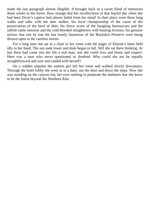made the last paragraph almost illegible. It brought back in a sweet flood of memories those weeks in the forest. How strange that her recollections of that fearful day when she had been Dyott's captive had almost faded from her mind! In their place were those long walks and talks with the deer stalker, his loyal championship of the cause of the preservation of the herd of deer, his fierce scorn of the bungling bureaucrats and the selfish cattle interests and the cold-blooded slaughterers with hunting licenses, his genuine sorrow that one by one the last lonely fastnesses of the Buckskin Preserve were being thrown open to the careless tourist.

For a long time she sat in a chair in her room with the pages of Eburne's letter held idly in her hand. The sun sank lower and dusk began to fall. Still she sat there thinking. At last there had come into her life a real man, one she could love and honor and respect. Here was a man who never questioned or doubted. Why could she not be equally straightforward and sure and candid with herself?

On a sudden impulse the eastern girl left her room and walked slowly downstairs. Through the hotel lobby she went as in a daze, out the door and down the steps. Now she was standing on the canyon rim, her eyes seeking to penetrate the darkness that she knew to be the forest beyond the Northern Rim.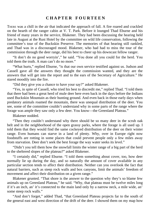## **C H A P T E R F O U R T E E N**

THERE was a chill in the air that indicated the approach of fall. A fire roared and crackled on the hearth of the ranger cabin at V. T. Park. Before it lounged Thad Eburne and his friend of many years in the service, Blakener. They had been discussing the hearing held late in August at the Rust Hotel by the committee on wild life conservation, following the committee's tour of the Buckskin Preserve. The memories of that hearing still rankled, and Thad was in a discouraged mood. Blakener, who had had to miss the tour of the commission through the deer range, did his best to cheer up his downcast fellow ranger.

"It don't do no good worryin'," he said. "You done all you could for the herd. You told them the truth. A man can't do no more."

"What hurts," replied Eburne, "is that our own service testified against us. Judson and Cassell gave all the answers they thought the commission wanted, and they are the answers that will get into the report and to the ears of the Secretary of Agriculture." He stared moodily into the fire.

"Did they give you a chance to have your say?" asked Blakener.

"Yes, in spite of Cassell, who tried his best to discredit me," replied Thad. "I told them that there had been a great herd of mule deer here even back in the days before the Indians used Buckskin Mountain as their hunting ground. And even back in those early days when predatory animals roamed the mountain, there was unequal distribution of the deer. You see, some of the committee couldn't understand why in some parts of the range where the forage was ample they saw only a few deer. You know—the Greenland Plateau."

Blakener nodded.

"Then they couldn't understand why there should be so many deer in the scrub oak belt and in the neighborhood of the open grassy parks, where the forage is all used up. I told them that they would find the same cockeyed distribution of the deer on their winter range. Even humans can starve in a land of plenty. Why, over in Europe right now foodstuffs are rotting in some places that could prevent people only a few miles away from starvation. Deer don't seek the best forage the way water seeks its level."

"Didn't you tell them how the snowfall limits the winter range of a big part of the herd to the sheltered slopes of the plateau?" asked Blakener.

"I certainly did," replied Eburne. "I told them something about cover, too, how deer normally lie up during the day, and so naturally the amount of cover available in any particular section tends to affect their distribution. Neither can you overlook the fact that natural barriers, such as steep rock walls and box canyons, limit the animals' freedom of movement and affect their distribution on a given range."

Blakener grunted. "That shore is the answer to the question why they's so blame few animals up on Greenland Plateau," he said. "Why, that plateau must be twelve miles long if it's an inch, an' it's connected to the main land only by a narrow neck, a mile wide, an' some steep rock walls."

"And don't forget," added Thad, "that Greenland Plateau projects far to the south of the general east and west direction of the drift of the deer. I showed them on my map how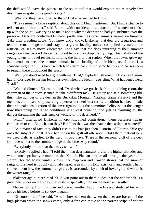the drift would leave the plateau to the south and that would explain the relatively few deer there in spite of the good forage."

"What did they have to say to that?" Blakener wanted to know.

"They seemed a little skeptical about this drift I had mentioned. But I had a chance to tell 'em about that later," said Eburne with considerable satisfaction. "I wanted to finish up with the point I was trying to make about why the deer are so badly distributed over the preserve. Deer are controlled by habit pretty much as other animals are—even humans. Take their breeding habits. You know and I know, Blakener, that deer are gregarious and tend to remain together and stay in a given locality unless compelled by natural or artificial causes to move elsewhere. Let's say that the does returning to their summer range don't get beyond the central forest before they drop their young. The inability of the young fawns to travel results in holding the herd to that region. When the fawns grow up, habit tends to keep the mature animals in the locality of their birth, or, if there is a seasonal migration, it is habit which leads them back to the same haunts and causes them to remain there throughout the season."

"Wal, you don't need to argue with me, Thad," exploded Blakener. "O' course I know habit holds deer to certain localities even when the feedin' gets slim. What happened next, Thad?"

"We had dinner," Eburne replied. "And when we got back from the dining room, the chairman of the inquest seemed to take a different tack. He got up and said something like this: 'The number of the deer in the Buckskin Mountain National Game Preserve and the methods and means of preserving a permanent herd in a thrifty condition has been made the principal consideration of this investigation; but the committee believes that the danger now threatening the range conditions is at least equal to, and just as alarming as, the danger threatening the existence or welfare of the deer herd.' "

"Man," interrupted Blakener in open-mouthed admiration, "them perfessor fellars can't seem to talk English, can they? But I bet that was the chance the cattlemen wanted!"

"As a matter of fact, they didn't rise to the bait just then," continued Eburne. "We got onto the subject of drift. They had me on the grill all afternoon. I told them that out here we used drift, as applied to the herd, in two ways. There is the seasonal drift of the deer from the winter to the summer range or the other way round."

"Everybody knows that the heavy snow—"

"Exactly," replied Thad. "I told them that deer naturally prefer the higher altitudes and would most probably remain on the Kaibob Plateau proper all through the year if it weren't for the heavy winter snows. The map you and I made shows that the summer range of our herd is roughly an oval-shaped area with its long axis north and south. Then I showed them how the summer range area is surrounded by a belt of lower ground which is the winter range."

Blakener again interrupted. "Did you point out to them dudes that the winter belt is a great deal wider on the sides, the western, specially, than on the north an' south?"

Eburne got up from his chair and placed another log on the fire and stretched his arms above his head before he sat down again.

"Of course I did," he said. "And I showed them that when the deer are forced off the high plateau when the snows come, only a few can move to the narrow strips of winter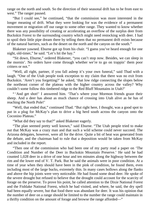range on the north and south. So the direction of their seasonal drift has to be from east to west." The ranger paused.

"But I could see," he continued, "that the commission was more interested in the longer meaning of drift. What they were looking for was the evidence of a permanent movement or migration off our range to some other range. They wanted to know whether there was any possibility of creating or accelerating an overflow of the surplus deer from Buckskin Forest to the surrounding country which might need restocking with deer. I had to spoil their little pipe dream there by telling them that no permanent drift exists because of the natural barriers, such as the desert on the north and the canyon on the south."

Blakener yawned. Eburne got up from his chair. "I guess you've heard enough for one night, old-timer," he said. "Let's hit the hay."

"Sit down, Eburne," ordered Blakener, "you can't stop now. Besides, we can sleep in the mornin'. No orders have come through whether we're to go on trappin' them poor critters or not."

"Well, all right, partner, if you fall asleep it's your own funeral," said Thad with a laugh. "One of the Utah people took exception to my claim that there was no exit from Buckskin. 'Aren't you forgetting?' he asked, 'that low ridge connecting the slopes below the northeast corner of the plateau with the higher country across the valley? Why couldn't some follow this timbered ridge to the Red Bluff Mountains in Utah?'

" 'And get shot!' I answered him. 'That's where your Mormon friends graze their sheep. And a deer has about as much chance of crossing into Utah alive as he has of reaching the North Pole!'

"Well, that ended that," continued Thad. "But right here, I thought, was a good spot to put in a plug for McKay's plan to drive a big herd south across the canyon onto the Coconino Plateau."

"What did they say to that?" asked Blakener eagerly.

"The plan seemed pretty well known," said Eburne. "The Utah people tried to make out that McKay was a crazy man and that such a wild scheme could never succeed. The Arizona delegates, however, were all for the drive. Quite a bit of heat was generated from the debate, and the chairman had to rule that a deposition would be taken from McKay and included in the report.

"Then one of the commission who had been one of my party read a paper on 'The Condition and Number of the Deer in Buckskin Mountain Preserve.' He said he had counted 1,028 deer in a drive of one hour and ten minutes along the highway between the rim and the lower end of V. T. Park. But he said the animals were in poor condition. At a time of year when they should have been in the pink of condition, he found them, even including most of the large bucks, extremely thin. In many cases hollows along the flanks and above the hip joints were very noticeable. He had found some dead deer. He spoke of the severe drought but refused to believe that the drought could account for the scarcity of forage on the preserve. To prove his point, he called attention to the Dixie National Forest and the Fishlake National Forest, which he had visited, and where, he said, the dry spell had been equally severe, but that food there was abundant for deer. It was his opinion that the number of deer on a range should be limited to the number the range could maintain in a thrifty condition on the amount of forage and browse the range afforded—"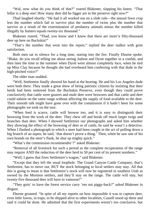"Wal, now what do you think of that?" roared Blakener, slapping his knees. "That fellar is a deep one! How many deer did he figger are in the preserve right now?"

Thad laughed shortly. "He had it all worked out on a slide rule—the annual fawn crop less the number which fail to survive plus the number of twins plus the number that survive as a result of the extermination of predatory animals minus the number killed illegally by hunters equals twenty-six thousand."

Blakener roared. "Thad, you know and I know that there are more'n fifty-thousand deer up here on Buckskin!"

"That's the number that went into the report," replied the deer stalker with grim satisfaction.

Both men sat in silence for a long time, staring into the fire. Finally Eburne spoke. "Blake, do you recall telling me about seeing Judson and Dyott together in a confab, and then later the time in the summer when Dyott went almost completely loco, when he tied up Miss Clay because he thought she had overheard him conferring with that dude in the high-pitched voice?"

The older man nodded.

"Well, Settlemire finally showed his hand at the hearing. He and his Los Angeles dude were both there. They made a great show of being patriotic citizens by insisting that their herds had been removed from the Buckskin Preserve, even though they could prove conclusively that cattle were grazers and mule deer were browsers and that cattle and deer could subsist on the same range without affecting the supply of food available to the deer. Their smooth talk might have gone over with the commission if it hadn't been for some photographs we took on the tour.

"When feed is scarce, cattle will browse too, and it is easy to distinguish their browsing from the work of the deer. They chew off and break off much larger twigs and branches than deer. When I showed Settlemire our photographs and asked him whether they showing the effect of the browsing of deer or of cattle, he said he wasn't a detective. When I flashed a photograph in which a steer had been caught in the act of pulling down a big branch of an aspen, he said, 'that doesn't prove a thing.' Then, when he saw one of his own brands on the steer's flank, he shut up mighty quick."

"What's the commission recommendin'?" asked Blakener.

"Removal of all livestock for such a period as the complete recuperation of the range may require AND the reduction of the deer herd to 50 per cent of its present numbers."

"Well, I guess that fixes Settlemire's wagon," said Blakener.

"Except that they left the usual loophole. The Grand Canyon Cattle Company, that's Settlemire, has to move out, BUT the stock belonging to local settlers may stay. All that this is going to mean is that Settlemire's stock will now be registered in southern Utah as owned by the Mormon settlers, and they'll stay on the range. The cattle will stay, but twenty-five thousand deer will have to vamoose!"

"They goin' to have the forest service carry 'em out piggy-back?" asked Blakener in disgust.

Eburne groaned. "In spite of all my reports on how impossible it was to capture deer, even little fawns, in traps, to be shipped alive to other localities, Cassell stood up there and said it could be done. He admitted that the first experiments weren't too conclusive, but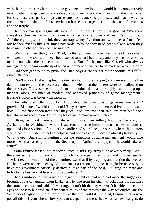with the right men in charge—and he gave me a dirty look—it would be a comparatively easy matter to trap deer in considerable numbers, crate them, and ship them to other forests, preserves, parks, or private estates for restocking purposes, and that it was his recommendation that the forest service do it free of charge except for the cost of the crates and the freight."

The older man spat disgustedly into the fire. "Judas H. Priest," he groaned. "We spent a week catchin' an' tamin' two fawns an' killed a dozen does and yearlin's in doin' so! An' these young sprouts think they can trap twenty-five thousand wild deer an' mail 'em out to their friends like Christmas postcards! Why do they need deer stalkers when they have men in charge who know so much?"

"Well, the funny thing," said Thad, "is that you would have liked some of those chaps who went on the tour with me. They listened to what I had to say and they seemed anxious to find out what the problem was all about. But it's the men like Cassell who always manage to be Johnny-on-the-spot when recommendations are to be made to Washington."

"Did they get around to givin' the Utah boys a chance for their shootin', this fall?" asked Blakener.

"Don't worry, Blake," replied the deer stalker. "If the trapping and removal of the live deer did not result in the necessary reduction, why, then the hunters were to be allowed on the preserve. Oh, yes, the killing is to be conducted in a thoroughly sane and proper manner, along the lines of modern and approved principles of game management." Eburne's voice was bitter with sarcasm.

"An' what them Utah boys don't know about the 'principles of game management,' " growled Blakener, "would fill a book! They borrow a huntin' license, drive up to a water hole, kill the first dozen tame deer they see, load 'em into their cars, an' then head back for Utah—an' read up on the 'principles of game management' later."

"Blake, as I sat there and listened to those men telling how the Secretary of Agriculture in Washington would issue regulations, eliminate licensing system abuses, open and close sections of the park regardless of state lines, prescribe where the hunters would camp, it made me feel so helpless and hopeless that I became almost physically ill. Why, to open Buckskin to hunting under the 'principles of game management' would take more men than already are on the Secretary of Agriculture's payroll. It would take an army!"

Again Eburne lapsed into moody silence. "Did I say army?" he asked bitterly. "Well, the army is the only organization in which you are permitted to commit murder legally. The last recommendation of the committee was that if by trapping and hunting the deer on Buckskin were not reduced by 50 per cent in a reasonable time, it might be necessary to have the government officially destroy a large part of the herd, 'utilizing the meat and hides to the best available economic advantage.' "

Thad's imitation of the voice of the government official who had made the suggestion brought a roar of laughter from Blakener. He rose from his chair, knocked his pipe against the stone fireplace, and said, "If we rangers don't hit the hay we won't be able to keep our eyes on the two-hundred-an'-fifty square miles of the preserve the way we oughta, an' the Secretary of Agriculture ain't goin' to like that the least bit. I'm glad, Eburne, that you've got all this off your chest. Now you can sleep. It's a mess, but what can two rangers do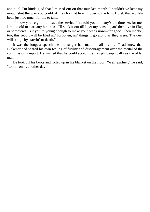about it? I'm kinda glad that I missed out on that tour last month. I couldn't've kept my mouth shut the way you could. An' as for that hearin' over to the Rust Hotel, that woulda been just too much for me to take.

"I know you're goin' to leave the service. I've told you to many's the time. As for me, I'm too old to start anythin' else. I'll stick it out till I get my pension, an' then live in Flag or some'eres. But you're young enough to make your break now—for good. Then mebbe, too, this report will be filed an' forgotten, an' things'll go along as they were. The deer will oblige by starvin' to death."

It was the longest speech the old ranger had made in all his life. Thad knew that Blakener had shared his own feeling of futility and discouragement over the recital of the commission's report. He wished that he could accept it all as philosophically as the older man.

He took off his boots and rolled up in his blanket on the floor. "Well, partner," he said, "tomorrow is another day!"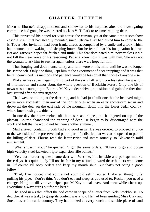# **C H A P T E R F I F T E E N**

MUCH to Eburne's disappointment and somewhat to his surprise, after the investigating committee had gone, he was ordered back to V. T. Park to resume trapping deer.

This prevented his hoped-for visit across the canyon, yet at the same time it somehow eased a strain that had steadily mounted since Patricia Clay had asked him to come to the El Tovar. Her invitation had been frank, direct, accompanied by a smile and a look which had haunted both waking and sleeping hours. But he feared that his imagination had run riot and garnered hopes far-fetched and futile. This fear dominated him; nevertheless it did not kill the clear voice of his reasoning. Patricia knew how it was with him. She was not the woman to ask him to see her again unless there were hope for him.

Thus longing and doubt, uncertainty and faith wore on his mind until he was no longer his serene self. Only one thing kept him at the experiment of deer-trapping; and it was that he felt convinced his methods and patience would be less cruel than those of anyone else.

Blakener was absent again during part of the early fall, and upon his return he was full of information and rumor about the whole question of Buckskin Forest. Only one bit of news was encouraging to Eburne. McKay's deer drive proposition had gained rather than lost ground after the investigation.

Thad went on toiling at the deer trap, and he had just built one that he believed might prove more successful than any of the former ones when an early snowstorm set in and drove all the deer on the east side of the mountain down into the lower cedar country, where buckbrush grew thickly.

In one day the snow melted off the desert and slopes, but it lingered on top of the plateau. Eburne abandoned the trapping of deer. He began to be discouraged with the work and felt that he would not be there another summer.

Mail arrived, containing both bad and good news. He was ordered to proceed at once to the west side of the preserve and patrol part of a district that was to be opened to permit the killing of deer. Eburne read the letter twice and swore roundly, to Blakener's mild amusement.

"What's fussin' you?" he queried. "I got the same orders. I'll have to go and dodge high-velocity steel-jacketed triple-expansion rifle bullets."

"Yes, but murdering these tame deer will *hurt* me. I'm irritable and perhaps morbid these days. It's quite likely I'll not be fair in my attitude toward these hunters who come in. Of course I'll obey orders and keep my mouth shut. But that's not being a good fellow"

"Thad, I've noticed that you're not your old self," replied Blakener, thoughtfully puffing his pipe. "You're thin. You don't eat and sleep as you used to. Reckon you need a change. Hang on till you've helped put McKay's deal over. And meanwhile cheer up. Everythin' always turns out for the best."

The good news that offset the bad came in shape of a letter from Nels Stackhouse. To decipher it was a task, to grasp its content was a joy. He had been guiding Miss Clay and Sue all over the cattle country. They had looked at every ranch and salable piece of land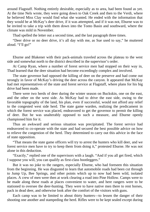around Flagstaff. Nothing entirely desirable, especially as to area, had been found as yet. At the time Nels wrote, they were going down to Oak Creek and then to the Verdi, where he believed Miss Clay would find what she wanted. He ended with the information that they would be at McKay's deer drive, if it was attempted, and if it was not, Eburne was to be invited to take a trip with them down into the Tonto Basin and southward, where the climate was mild in November.

Thad spelled the letter out a second time, and the last paragraph three times.

"Deer drive or no deer drive, it's all day with me, as Sue used to say," he muttered aloud. "I'll go!"

Eburne and Blakener with their pack-animals traveled across the plateau to the west side and somewhat north to the district described in the supervisor's order.

At Camp Ryan, where a number of forest service men had stopped on their way in, Thad learned that the deer situation had become exceedingly complex and involved.

The state governor had opposed the killing of deer on the preserve and had come out strongly in favor of McKay's driving the deer across the canyon. It appeared that McKay had met representatives of the state and forest service at Flagstaff, where plans for his big drive had been made.

There were two herds of deer during the winter season on Buckskin, one on the east, and the other on the west side. As McKay had to drive the east side, owing to the favorable topography of the land, his plan, even if successful, would not afford any relief to the congested west side herd. The state game warden, realizing the predicament in which the forest service was placed, endeavored to get the governor to permit the killing of deer. But he was unalterably opposed to such a measure, and Eburne openly championed him for it.

Thus an awkward and serious situation was precipitated. The forest service had endeavored to co-operate with the state and had secured the best possible advice on how to relieve the congestion of the herd. They determined to carry out this advice in the face of state opposition.

"That means the state game officers will try to arrest the hunters who kill deer, and we forest service men have to try to keep them from doing it," protested Eburne. He was not alone in this deduction.

"Exactly," replied one of the supervisors with a laugh. "And if you all get fired, which I suppose you will, you can qualify as first-class bootleggers."

But it was no joke to the rangers, especially Eburne, who had foreseen this situation from the beginning. He was disgusted to learn that automobile roads had been cut through to Jump Up, Bee Springs, and other points which up to now had been wild, isolated places. A crew of men were then at work clearing a road into Pine Hollow. Camps were to be made along these roads at places convenient to water, and here rangers were to be stationed to oversee the deer-hunting. They were to have native men there to rent horses, pack in dead deer, and otherwise look after the comfort of the visitors with guns.

Each camp was to be limited to about thirty hunters—to lessen the danger of their shooting one another and stampeding the herd. Rifles were to be kept sealed except during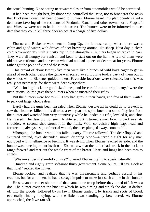the actual hunting. No shooting near waterholes or from automobiles would be permitted.

It had been thought best, by those who controlled the issue, not to broadcast the news that Buckskin Forest had been opened to hunters. Eburne heard this plan openly called a deliberate favoring of the residents of Fredonia, Kanab, and other towns north. Flagstaff and Winslow were not to be let into the secret. The hunters were to be informed at a set date that they could kill three deer apiece at a charge of five dollars.

Eburne and Blakener were sent to Jump Up, the farthest camp, where there was a cabin and good water, with droves of deer browsing around like sheep. Next day, a clear, cold November day with a frosty nip in the atmosphere, hunters began to arrive in cars. They were all hungry for venison and keen to start out on the hunt. A few of them were old native cattlemen and horsemen who had not had a piece of deer meat for years. Eburne rather got the point of view of these men.

This crowd of about twenty-five men were like a bunch of wild boys eager to get in ahead of each other before the game was scared away. Eburne took a party of them out in the woods while Blakener guided others. Favorable locations were selected, but this was really not necessary, for there were deer everywhere.

"Wait for big bucks or good-sized ones, and be careful not to cripple any," were the instructions Eburne gave these hunters when he unsealed their rifles.

But the hunters were hot to kill. They had guns in their hands, and few of them waited to pick out large, choice deer.

Hardly had the guns been unsealed when Eburne, despite all he could do to prevent it, saw the first deer killed in his district, a two-year-old spike buck that stood fifty feet from the hunter and watched him very attentively while he loaded his rifle, leveled it, and shot. He missed! The deer did not seem frightened, but it turned away, looking back over its shoulder. A second shot struck it in the flank. With convulsive high leap, head and forefeet up, always a sign of mortal wound, the deer plunged away, soon to fall.

Whooping, the hunter ran to his fallen quarry. Eburne followed. The deer flopped and skittered around, eyes distended, mouth dripping blood—a terrible sight for any man equipped with intelligence or feelings. It was dying when Eburne reached its side, and the hunter was kneeling to cut its throat. Eburne saw that the bullet had struck in the back, to range forward and tear out the whole front of the breast. Heart and lungs had been torn to shreds.

"What—caliber shell—did you use?" queried Eburne, trying to speak naturally.

"Hundred and eighty grain soft-nose thirty government. Some bullet, I'll say. Look at that hole!" replied the hunter.

Eburne looked, and realized that he was unreasonable and perhaps absurd in his reaction, but for a moment he had a savage impulse to make just such a hole in this hunter.

He saw another deer shot out of that same tame troop before they loped off. It was a doe. The hunter overshot the buck at which he was aiming and struck the doe. It dashed off into the woods, followed by its fawn. Eburne trailed it by tracks and spots of blood, eventually finding it dying, with the little fawn standing by bewildered. As Eburne approached, the fawn ran off.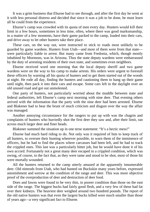It was a grim business that Eburne had to see through, and after the first day he went at it with less personal distress and decided that since it was a job to be done, he must learn all he could from the experience.

Eburne's camp was crowded with its quota of men every day. Hunters would kill their limit in a few hours, sometimes in less time, often, where there was good marksmanship, in a matter of a few moments, have their game packed to the camp, loaded into their cars, and drive away to let other hunters take their place.

These cars, on the way out, were instructed to stick to roads most unlikely to be guarded by game wardens. Hunters from Utah—and most of them were from that state were particularly liable to arrest. But many came from Fredonia, which, though mostly inhabited by Mormons, was in Arizona. Thus the state deputy wardens were embarrassed by the duty of arresting residents of their own state, and sometimes even neighbors.

Eburne received word one morning that the local deputy sheriff and two game wardens were on the way to his camp to make arrests. His orders were urgent to forestall these officers by warning all his quota of hunters and to get them started out of the woods at night. He rode all day, finding the hunters and cautioning them to hang up their game until night, then pack it into their cars and escape. Some cars left in the daylight over an old unused road and got out unmolested.

One party of hunters, not particularly worried about the muddle between state and federal authorities, left Eburne's camp next morning with nine deer. That evening others arrived with the information that the party with the nine deer had been arrested. Eburne and Blakener had to bear the brunt of much criticism and disgust over the way the affair was managed.

Another annoying circumstance for the rangers to put up with was the chagrin and complaints of hunters who hurriedly shot the first deer they saw and, after their limit, ran across much larger deer and finer heads.

Blakener summed the situation up in one terse statement: "It's a hectic mess!"

Eburne had much hard riding to do. Not only was it required of him to keep track of all hunters, to oversee their hunting wherever possible, to warn them of the imminence of officers, but he had to find the places where carcasses had been left, and he had to track the crippled ones. This last was a particularly bitter job, but he would have done it of his own accord. Fortunately not a great many deer escaped in a crippled condition, which was owing, of course, to the fact that, as they were tame and stood to be shot, most of those hit were mortally wounded.

All the hunters returned to the camp utterly amazed at the apparently innumerable deer. Old nimrods from Utah, who had hunted on Buckskin many years before, expressed astonishment and sorrow at the condition of the range and deer. This was more objective proof of the overproduction of deer and destruction of deer food.

Does and fawns were found to be very thin, in poorer condition than those on the east side of the range. The biggest bucks had fairly good flesh, and a very few of these had fat over their kidneys. The heaviest deer weighed around two hundred pounds. The report of the old native hunters was that even the largest bucks killed were much smaller than those of years ago—a very significant fact to Eburne.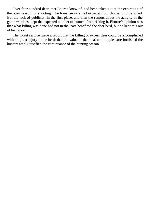Over four hundred deer, that Eburne knew of, had been taken out at the expiration of the open season for shooting. The forest service had expected four thousand to be killed. But the lack of publicity, in the first place, and then the rumors about the activity of the game wardens, kept the expected number of hunters from risking it. Eburne's opinion was that what killing was done had not in the least benefited the deer herd, but he kept this out of his report.

The forest service made a report that the killing of excess deer could be accomplished without great injury to the herd; that the value of the meat and the pleasure furnished the hunters amply justified the continuance of the hunting season.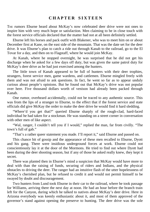# **C H A P T E R S I X T E E N**

THE rumors Eburne heard about McKay's now celebrated deer drive were not ones to inspire him with very much hope or satisfaction. Men claiming to be in close touch with the forest service officials declared that the matter had not at all been definitely settled.

Eburne left his horses and pack outfit with Blakener, who was to meet him on or about December first at Kane, on the east side of the mountain. That was the date set for the deer drive. It was Eburne's plan to catch a ride out through Kanab to the railroad, go to the El Tovar for a day, and then on to Flagstaff, where he would join McKay.

At Kanab, where he stopped overnight, he was surprised that he did not get his discharge when he asked for a few days off duty, but was given the same patrol duty for McKay's deer drive as he had just exercised among the hunters.

The little town of Kanab appeared to be full of hunters with their deer trophies, strangers, forest service men, game wardens, and cattlemen. Eburne mingled freely with them and was not afraid to ask questions. In fact, he went so far as to appear unduly curious about people's opinions. But he found out that McKay's drive was not popular over here. Five thousand dollars worth of venison had already been packed through Kanab.

One rumor, overheard accidentally, could not be traced to any authentic source. This was from the lips of a stranger to Eburne, to the effect that if the forest service and state officials did give McKay the order to make the deer drive he would find it hard sledding.

"Where'd you get that?" queried Eburne sharply of the rough-clad, hard-faced individual he had taken for a stockman. He was standing on a street corner in conversation with other men of like aspect.

"Wal, ranger, I couldn't tell you if I would," replied the man, far from civilly. "The town's full of gab."

"That's a rather queer statement you made. I'll report it," said Eburne and passed on.

This chance bit of gossip and the appearance of these men recalled to Eburne, Dyott and his gang. There were insidious underground forces at work. Eburne could not conscientiously lay it at the door of the Mormons. He tried to find out where Dyott had been during the deer shooting season, but if any of those he asked really knew, they kept it secret.

There was planted then in Eburne's mind a suspicion that McKay would have more to deal with than the raising of funds, securing of riders and Indians, and the physical obstacles to driving the deer. The ranger had an intuitive flash of the utter hopelessness of McKay's cherished plan, but he refused to credit it and would not permit himself to be swayed by doubt and discouragement.

Two hunters from Lund took Eburne in their car to the railroad, where he took passage for Williams, arriving there the next day at noon. He had an hour before the branch train left for the Canyon, during which he talked to natives about McKay's deer drive. Here in Arizona everybody was keenly enthusiastic about it, and most of them approved of the governor's stand against opening the preserve to hunting. The deer drive was the sole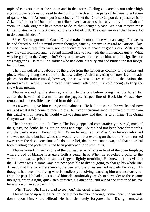topic of conversation at the station and in the stores. Feeling appeared to run rather high against those factions opposed to distributing live deer in the parts of Arizona long barren of game. One old Arizonan put it succinctly: "Thet thar Grand Canyon deer presarve is in Arizonie. It's not in Utah, an' them fellars over thar across the canyon, livin' in Utah an' votin' in Utah, oughtn't have power to do as they danged please. We hear they're most United States Government men, but thet's a lot of bull. The cowmen over thar have a lot to do about this deal."

When Eburne got on the Grand Canyon train his mood underwent a change. For weeks he had forced out of his mind certain thoughts, fancies, dreams in regard to Patricia Clay. He had learned that they were not conducive either to peace or good work. With a rush now they all returned; and he found himself face to face with the momentous query: What was he going to the Canyon for? Only one answer occurred to him, and its significance was staggering. He felt like a soldier who had done his duty and had burned the last bridge behind him.

The train puffed and labored up the grade from the flat desert country to the cedars and pines, winding along the side of a shallow valley. A thin covering of snow lay in shady places. As the train climbed, however, the snow areas increased until, at the station, the ground was all white. It was a clear, crisp winter afternoon, just cold enough to keep the snow from melting.

Eburne walked up the stairway and out to the rim before going into the hotel. Far across the haze-filled chasm he saw the jagged, fringed line of Buckskin Forest. How remote and inaccessible it seemed from this side!

As always, it gave him courage and calmness. He had not seen it for weeks and now realized what it had come to mean in his life. Even if circumstances removed him far from this cataclysm of nature, he would want to return now and then, as to a shrine. The Grand Canyon was his Mecca.

Then he went into the El Tovar. The lobby appeared comparatively deserted, most of the guests, no doubt, being out on rides and trips. Eburne had not been here for months, and the clerks were unknown to him. When he inquired for Miss Clay he was informed she was not there but had wired she would return that evening on the train. Eburne turned away from the desk, conscious of a double relief, that he was unknown, and that an ordeal both thrilling and portentous had been postponed for a few hours.

Eburne seated himself in one of the big leather armchairs in front of the open fireplace, where a bed of blazing logs gave forth a genial heat. When he stretched a palm to the warmth, he was surprised to see his fingers slightly trembling. He knew that this visit to the El Tovar was in some way, not now possible to divine, going to change his whole life. Already that life back there among the deer and the pines seemed vaguely far away. His thoughts had been like flying wheels, endlessly revolving, carrying him unconsciously far from the past. He had about settled himself comfortably, ready to surrender to these same thoughts, when a light, quick step attracted his attention, and out of the corner of his eye he saw a woman approach him.

"Why, Thad! Oh, I'm *so* glad to see you," she cried, effusively.

Eburne gazed up with a start, to see a rather handsome young woman beaming warmly down upon him. Clara Hilton! He had absolutely forgotten her. Rising, somewhat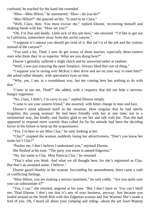confused, he reached for the hand she extended.

"Miss—Miss Hilton," he stammered. "How—do you do?"

"*Miss* Hilton?" she queried archly. "It used to be Clara."

"Well, Clara, then. You must excuse me," replied Eburne, recovering himself and shaking hands with her. "How are you?"

"Oh, I'm fine and dandy. Little sick of this job here," she returned. "I'd like to get out to California, somewhere away from this awful canyon."

"I suppose it's natural you should get tired of it. But isn't it of the job and the visitors instead of the canyon?"

"You said a lot, Thad. I sure do get weary of these tourists, especially these eastern ones who think they're so superior. What are you doing here?"

Eburne's geniality suffered a slight check and he answered rather at random:

"Well, I was just enjoying the open fireplace. Always liked that sort of thing."

"I suppose you're raving over McKay's deer drive and are on your way to meet him?" she asked rather sharply, with speculative eyes on him.

"Why, yes, I am, in a roundabout way, but my coming here has nothing to do with that."

"Come to see me, Thad?" she added, with a coquetry that did not hide a nervous, hungry eagerness.

"No, Clara, I didn't, I'm sorry to say," replied Eburne simply.

"Come to see your eastern friend," she asserted, with bitter change in tone and face.

Eburne's mind adjusted itself to the situation. How singular that he had utterly forgotten this young woman! He had been friendly with her at one time, not in a sentimental way, but kindly, and frankly glad to see her and talk with her. That she had appeared to respond more warmly than called for by his attitude had been the deciding factor in his failure to keep up the acquaintance.

"Yes, I'm here to see Miss Clay," he said, looking at her.

"*Clay?*" snapped the woman, suddenly losing her attractiveness. "Don't you know her name isn't Clay?"

"Pardon me, I don't believe I understand you," rejoined Eburne.

She flushed at his tone. "The party you mean is named Edgerton."

"No, her name is Clay. Miss Patricia Clay," he returned.

"That's what you think. And what we all thought here, for she's registered as Clay. But that's an assumed name, *I* believe."

Eburne gazed blankly at the woman. Succeeding his astonishment, there came a rush of conflicting feelings.

"Miss Hilton, you are making a serious statement," he said coldly. "Are you quite sure you can substantiate it?"

"Yes, I can," she retorted, angered at his tone. "But I don't have to. You can't bluff me, Thad Eburne. I don't see that it's any of your business, anyway. Just because you loafed around on the North Rim with this Edgerton woman and Sue Warren! She's made a fool of you. Oh, I heard all about your camping and riding—about the pet fawn Bopeep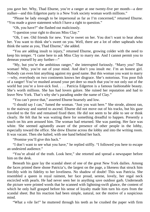you gave her. Why, Thad Eburne, you're a ranger at one twenty-five per month—a deer stalker—and this Edgerton party is a New York society woman worth millions."

"Please be lady enough to be impersonal as far as I'm concerned," returned Eburne. "You made a grave statement which I have a right to question."

"Oh, you have?" she flashed out maliciously.

"I question your right to discuss Miss Clay."

"Oh, I see. Old friends for new. You're sweet on her. You don't want to hear about her. You want to think she's sweet on you. Well, there are a lot of other sapheads who think the same as you, Thad Eburne," she added.

"You are adding insult to injury," returned Eburne, growing colder with the need to keep his temper. "I came here to ask Miss Clay to marry me. And I cannot permit you to demean yourself by any further—"

"My, but you're the ambitious ranger," she interrupted furiously. "Marry *you*? That woman! Why, you're out of your mind. And don't you insult *me*. I'm an honest girl. Nobody can even hint anything against my good name. But this woman you want to marry —why, everybody on two continents knows her disgrace. She's notorious. You poor fish of a ranger! You've mushed around your pet deer so much that you're not only out of the world but you're a love-sick fool. . . . Patricia Edgerton is a famous fashionable beauty. She's worth millions. She has had lovers galore. She ruined her reputation and had to leave New York. That's why she's parading under the name of Clay."

"You can't prove that," asserted Eburne hoarsely and low.

"I should say I can," fumed the woman. "Just you wait here." She strode, almost ran, to the stairway and started to ascend. Eburne did not move out of his tracks, but his gaze traveled to the fire and remained fixed there. He did not seem to be able to see or think clearly. He felt that he was waiting there for something dreadful to happen. Presently a touch on his arm aroused him. The woman had returned. She was panting. Her face was white. She seemed agitatedly aware of the presence of other people in the lobby, especially toward the office. She drew Eburne across the lobby and into the writing room. It was vacant. Then she halted, with one hand behind her back.

"Promise you'll give this back."

"I don't want to see what you have," he replied stiffly. "I followed you here to escape an undesired audience."

"You're afraid of the truth. Look here," she retorted and spread a newspaper before him on the desk.

Beneath his gaze lay the scandal sheet of one of the great New York dailies. Among the faces printed there shone Patricia's, the largest on the page, a likeness that struck him forcibly with its fidelity to her loveliness. No shadow of doubt! This was Patricia. She resembled a queen in royal raiment, her face proud, serene, lovely, her regal neck encircled with pearls. He had never seen her in anything save outdoor garb. Underneath the picture were printed words that he scanned with lightning-swift glance, the content of which he only half grasped before his sense of loyalty made him turn his eyes from the scandal sheet. But his reaction had been simple, natural, not the motive of a suspicious mind.

"What a vile lie!" he muttered through his teeth as he crushed the paper with firm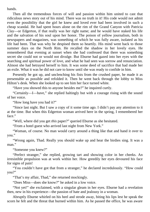hands.

Then all the tremendous forces of will and passion within him united to cast that ridiculous news story out of his mind. There was no truth in it! His code would not admit even the possibility that the girl he knew and loved ever had been involved in such a cheap scandal. He had spent hours alone on the rim of the Grand Canyon with Patricia Clay—or Edgerton, if that really was her right name; and he would have staked his life and the salvation of his soul upon her honor. The poison of yellow journalism, both in newspapers and magazines, was something of which he was fully aware, isolated as his life had been. That was why he despised them so heartily. His mind went back to those summer days on the North Rim. He recalled the shadow in her lovely eyes. He remembered that evening at sunset when she had confessed that there was something secret she could not or would not divulge. But Eburne had gazed into her eyes with the searching and spiritual power of love, and what he had seen was sorrow and renunciation. Almost she had betrayed herself to him. It was some deed of sacrifice that had made her an exile. What it was he did not care to know until she was ready to confide in him.

Presently he got up, and unclenching his fists from the crushed paper, he made it as presentable as possible and refolded it. Then he went back through the lobby to Miss Hilton's desk. When she looked up to see him her face turned white.

"Have you showed this to anyone besides me?" he inquired curtly.

"Certainly—I—have," she replied haltingly but with a courage rising with the sound of her voice.

"How long have you had it?"

"Since last night. But I saw a copy of it some time ago. I didn't pay any attention to it at the time. But when this Edgerton woman arrived here in the spring, I remembered her face."

"Well, where did you get *this* paper?" queried Eburne as she hesitated.

"From a hotel guest who arrived last night from New York."

"Woman, of course. No man would carry around a thing like that and hand it over to you."

"Wrong again, Thad. Really you should wake up and hear the birdies sing. It was a man."

"Someone you knew?"

"Perfect stranger," she replied, growing tart and showing color in her cheeks. An irresistible propulsion was at work within her. How greedily her eyes devoured his face for signs of pain!

"You couldn't have got that from a stranger," he declared incredulously. "How could you?"

"That's my affair, Thad," she returned mockingly.

"Does Miss—does she know?" he asked in a low voice.

"Not yet!" she exclaimed, with a singular gleam in her eyes. Eburne had a revelation then, new in his experience—the passion of hate and jealousy in a woman.

Abruptly Eburne whirled on his heel and strode away, biting his lips lest he speak the scorn he felt and the threat that burned within him. As he passed the office, he was aware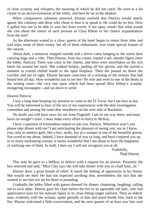of close scrutiny and whispers, the meaning of which he did not catch. He went to a far corner of an alcove-extension of the lobby, and here he sat in the shadow.

When comparative calmness returned, Eburne realized that Patricia would utterly ignore this calumny and those who chose to hear it or speak it. He could do no less. How it galled him not to be able to save her from covert, if not open, insult! But what would she care about the sneers of such persons as Clara Hilton or her chance acquaintances from the east?

As the afternoon waned to a close, guests of the hotel began to return from rides and trail trips, some of them weary, but all of them enthusiastic over some special feature of the canyon.

About dark, a motorcar stopped outside and a driver came banging in the storm door carrying bags and a robe. Then Eburne, from his corner, espied a tall, slender figure enter the lobby. Patricia! There was color in her cheeks, and there were snowflakes on the rich black fur around her neck. She walked briskly, pulling off her gloves, and she tarried a moment to extend chilled hands to the open fireplace. Then she passed on down the corridor and out of sight. Eburne became conscious of a relaxing of the tension that had bound him all day. How wonderful just to see her! He rose and went to one of the desks in the writing room—the very one upon which had been spread Miss Hilton's scandalmongering newspaper—and sat down to write:

#### Dearest Patricia:

I was a long time keeping my promise to come to the El Tovar, but I am here at last. You will be interested to hear of the rest of my experiences with the deer investigation committee and among the tame-deer murderers on the west side of Buckskin.

No doubt you will have news for me from Flagstaff. I am on my way there, and must leave on tonight's train. I must make every effort to hurry to McKay.

I have a question of tremendous import to ask you, Patricia. Wherefore won't you please take dinner with me? I am anticipating the pleasure of seeing you, not as I know you, only in outdoor garb, like a boy, really, but as a woman in one of the beautiful gowns Sue raved to me about. Indeed, I have dreamed of you so long, and have conjured you up in so many enchanting visions, it seems wonderful that I am about to have the happiness of realizing one of them. In truth, I dare say I will not recognize you at all.

> Faithfully, Thad Eburne

This note he gave to a bellboy to deliver with a request for an answer. Presently the boy returned and said, "Miss Clay says she will take dinner with you in a half hour, sir."

Eburne drew a great breath of relief. It eased the feeling of oppression in his breast. She would see him! He had not expected anything else, nevertheless the fact that she wanted to see him too set his heart to pounding.

Gradually the lobby filled with guests dressed for dinner, chattering, laughing, calling out to each other. Eburne gave his chair before the fire to an agreeable old lady, who had appreciative eyes for his stalwart figure in its close-fitting ranger uniform. Then an elderly man, evidently with the woman, spoke genially to him and stood beside him, back to the fire. Eburne welcomed a little conversation, and the next quarter of an hour saw him cool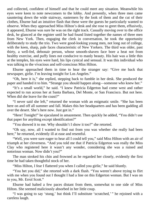and collected, confident of himself and that he could meet any situation. Meanwhile his eyes were keen to note newcomers to the lobby. And presently, when three men came sauntering down the wide stairway, easterners by the look of them and the cut of their clothes, Eburne had an intuitive flash that these were the guests he particularly wanted to observe. When they approached Miss Hilton's desk and she rose to greet them, effusively, it appeared, Eburne was sure he was on the right track. Casually moving over to the office desk, he glanced at the register until he had found listed together the names of three men from New York. Then, engaging the clerk in conversation, he took the opportunity deliberately to study the trio. Two were good-looking young men, not long out of college, with the keen, sharp, pale faces characteristic of New Yorkers. The third was older, past thirty, a well-fed, debonair person, whose smooth-shaven face bore a heat not from healthy exercise, and puffy lines not conducive to manly beauty. His hair was a little thin at the temples, his eyes were hard, his lips cynical and sensual. It was this individual who was talking to the vivacious and self-conscious Miss Hilton.

Eburne approached them in time to hear the stranger say: "Give me back that newspaper, girlie. I'm leaving tonight for Los Angeles."

"Oh, here it is," she replied, stepping back to fumble in her desk. She produced the paper and handed it to him. "Strange you should happen along—someone who knew her."

"It's a small world," he said. "I knew Patricia Edgerton had come west and rather expected to run across her at Santa Barbara, Del Monte, or San Francisco. But not here. When did she leave for the coast?"

"I never said she left," returned the woman with an enigmatic smile. "She has been here on and off all summer and fall. Makes this her headquarters and has been gadding all over the desert. She's here now. Just got in."

"Here! Tonight!" he ejaculated in amazement. Then quickly he added, "You didn't use that paper for anything except identification?"

"You showed it to me. Why shouldn't I show it too?" she retorted.

"Oh say, now, all I wanted to find out from you was whether she really had been here," he returned, evidently ill at ease and resentful.

"Well, you were sure eager to hear all I could tell you," said Miss Hilton with an air of triumph at her cleverness. "And you told me that if Patricia Edgerton was really the Miss Clay who registered here it wasn't any wonder, considering she was a ruined and notorious woman. Now didn't you?"

The man stroked his chin and frowned as he regarded her closely, evidently the first time he had taken thoughtful stock of her.

"Miss Hilton, I fear I flattered you when I called you girlie," he said bluntly.

"You bet you did," she retorted with a dark flush. "You weren't above trying to flirt with me when you found out I thought I had a line on this Edgerton woman. But I was on to you, Mr. Errol Scott."

Eburne had halted a few paces distant from them, somewhat to one side of Miss Hilton. She seemed maliciously absorbed in her little coup.

"I was going to say 'stung,' but think I'll substitute 'scratched,' " he rejoined with a careless laugh.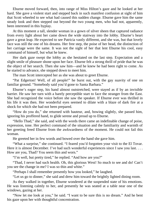Eburne moved forward, then, into range of Miss Hilton's gaze and he looked at her hard. She gave a violent start and stepped back in such manifest confusion at sight of him that Scott wheeled to see what had caused this sudden change. Eburne gave him the same steady look and then stepped out beyond the two young men, who had not, apparently, been interested in this byplay.

At this moment a tall, slender woman in a gown of silver sheen that captured radiance from every light about her came down the wide stairway into the lobby. Eburne's heart gave a great leap. He expected to see Patricia vastly different, and she was, but that lovely face was still the one of his dreams. Her free step, the poise of her head, the distinction of her carriage were the same. It was not the sight of her that lent Eburne his cool, easy command of himself, but what he knew.

Her dark gaze swept the lobby as she hesitated on the last step. Expectation and a slight smile of pleasure shone upon her face. Eburne felt a strong thrill of pride that he was the object of her search. Then she saw him—and he knew he had been right to come. As he started to advance, she stepped down to meet him.

The man Scott intercepted her as she was about to greet Eburne.

"Pat Edgerton! Well, of all people!" he burst out, with the gay suavity of one on familiar ground. "Somebody said you'd gone to Santa Barbara."

Eburne's eager step, his hand almost outstretched, were stayed as if by an invisible barrier. He saw her turn with a barely perceptible start to face the stranger from the East. She had recognized the voice before she saw the speaker. If Eburne ever was thrilled in his life it was then. Her wonderful eyes seemed to dilate with a blaze of dark fire at a shock for which she had not been prepared.

"How do you do," she returned with hauteur, and, bowing slightly, she passed him, ignoring his proffered hand, to glide serene and proud up to Eburne.

"Hello Thad," she said, and with the words there came an indefinable change of poise, expression, tone. Her perfect command of the situation and the familiarity and warmth of her greeting freed Eburne from the awkwardness of the moment. He could not fail this woman.

He greeted her in few words and bowed over the hand she gave him.

"What a surprise," she continued. "I feared you'd forgotten your visit to the El Tovar. Here it is almost December. I've had such wonderful experiences since I saw you last. . . . How are you, Thad? You seem thin and worn."

"I'm well, but pretty tired," he replied. "And how are you?"

"Thad, I never had such health. Oh, this glorious West! So much to see and do! Can't you see the change in me? I was so thin and white."

"Perhaps I shall remember presently how you looked," he laughed.

"Let us go to dinner," she said and drew him toward the brightly lighted dining room.

As they walked in together, Eburne wondered at the suspended state of his emotions. He was listening calmly to her, and presently he was seated at a table near one of the windows, gazing at her.

"Now let me look at you," he said. "I want to be sure this is no dream." And he bent his gaze upon her with thoughtful concentration.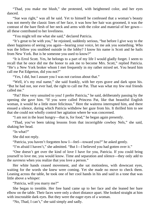"Thad, you make me blush," she protested, with heightened color, and her eyes danced.

"Sue was right," was all he said. Yet to himself he confessed that a woman's beauty was not merely the classic lines of her face, it was how her hair was groomed, it was the contrast of the bare flesh of her neck and arms with the color and material of her gown all these contributed to her loveliness.

"You might tell me what she said," declared Patricia.

"It's great to be with you," he rejoined, suddenly serious, "but before I give way to the sheer happiness of seeing you again—hearing your voice, let me ask you something. Who was the fellow you snubbed outside in the lobby? I know his name is Scott and he hails from New York. But is he someone you used to know?"

"It is Errol Scott. Yes, he belongs to a part of my life I would gladly forget. I seem to recall that he once did me the honor to ask me to become Mrs. Scott," replied Patricia. "He's a New York broker whom I met frequently in my rather mixed set. You heard him call me Pat Edgerton, did you not?"

"Yes, I did, but I assure you I was not curious about that."

"Well, it's my real name," she said frankly, with her eyes grave and dark upon his. "But he had not, nor ever had, the right to call me Pat. That was what my few real friends called me."

"Pat? How very unsuited to you! I prefer Patricia," he said, deliberately passing by the opening she gave him. "If you were called Princess Pat, like that beautiful English woman, it would be a little more felicitous." Here the waitress interrupted him, and there ensued a silence, during which Patricia withdrew her gaze from his. It thrilled him to see that she could not wholly control her agitation where he was concerned.

"I am not in the least hungry—that is, for food," he began again presently.

"Thad, you've been taking lessons from that incorrigible cowboy Nels," she said, shaking her head.

"In what?"

She did not reply.

"Patricia, you haven't forgotten how I—feel—toward you?" he asked gently.

"I'm afraid I haven't," she admitted. "But I—I believed you had gotten over it."

"One doesn't get over the kind of love I have for you, Patricia. If you could bring yourself to love me, you would know. Time and separation and silence—they only add to the *sureness* when you realize that you love a person."

Her white hands ceased movement, and she sat motionless, with downcast eyes, waiting for the words she knew were coming. Yet she made no move to check them. Leaning across the table, he took one of her cool hands in his and said in a tone that was little above a whisper:

"Patricia, will you marry me?"

She began to tremble. Her free hand came up to her face and she leaned her bare elbow on the table. Their faces were only a short distance apart. She looked straight at him with inscrutable dark eyes. But they were the eager eyes of a woman.

"No, Thad, I can't," she said simply and sadly.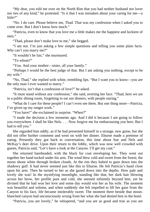"My dear, you told me over on the North Rim that you had neither husband nor lover nor ties of any kind," he protested. "Is it that I was mistaken about your caring for me—a little?"

"No. I do care. Please believe me, Thad. That was my confession when I asked you to come over. But I don't know how much."

"Patricia, even to know that you love me a little makes me the happiest and luckiest of men"

"Thad, please don't make love to me," she begged.

"I am not. I'm just asking a few simple questions and telling you some plain facts. *Why* can't you marry me?"

"It wouldn't be fair," she murmured.

"To whom?"

"You. And your mother—sister, all your family."

"Perhaps I would be the best judge of that. But I am asking you nothing, except to be my wife."

"No, Thad," she replied with white, trembling lips. "But I want you to know—you are the only man I ever wanted to marry."

"Patricia, isn't that a confession of love?" he asked.

"It must stand without any confession," she said, averting her face. "Thad, here we are in a public dining room, forgetting to eat our dinners, with people staring."

"What do I care for these people? I can't even see them. But one thing more—Patricia, I've given up my ranger work."

"You have!" she exclaimed in surprise. "When?"

"I made the decision a few moments ago. And I did it because I am going to follow you everywhere. I shall be like Nels. . . . Now forgive me for embarrassing you here. But I had to tell you."

She regarded him oddly, as if he had presented himself in a strange, new guise, but she did not offer further comment and went on with her dinner. Eburne made a pretense of eating. Presently they got back to conversation, this time about Sue and Nels and McKay's deer drive. Upon their return to the lobby, which was now well crowded with guests, Patricia said, "Let's have a look at the Canyon. I'll get my coat."

She returned bareheaded, with the black fur coat enveloping her. They went out together her hand tucked under his arm. The wind blew cold and sweet from the forest; the moon shone white through broken clouds. At the rim they halted to gaze down into the shadowy gulf. It had never seemed just like this to Eburne. He felt Patricia's hand close upon his arm. Then he turned to her as she gazed down into the depths. How pale and lovely she was! In the mystifying moonlight, standing like that, her dark hair blowing across her brow, her profile pure and cold, she seemed infinitely beyond him, yet he divined that he had won her love and some day would win her as his wife. The moment was beautiful and solemn, and when suddenly she felt impelled to lift her gaze from the Canyon to his face, life became intolerably sweet. The moment there beside that moonblanched canyon had unconsciously wrung from her what she had denied him in the hotel.

"Patricia, you are lovely," he whispered, "and you are as good and true as you are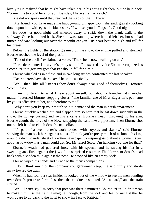lovely." He realized that he might have taken her in his arms right then, but he held back. "Come, it is too cold here for you. Besides, I have a train to catch."

She did not speak until they reached the steps of the El Tovar.

"My friend, you have made me happy—and unhappy too," she said, gravely looking down upon him with eyes like black stars. "I will see you in Flagstaff. Good night."

He bade her good night and wheeled away to stride down the plank walk to the stairway. Once he looked back. She still was standing where he had left her, but she had turned and was looking out over the moonlit canyon. His heart beat too high and full for his breast.

Below, the lights of the station gleamed on the snow; the engine puffed and steamed. Eburne reached the level of the platform.

"Talk of the devil!" exclaimed a voice. "There he is now, walking on air."

"For a deer hunter I'll say he's pretty smooth," answered a voice Eburne recognized as Scott's. "But it gets my goat that Pat should fall for him."

Eburne wheeled as in a flash and in two long strides confronted the last speaker.

"Deer hunters have sharp ears," he said caustically.

"Well, then, like all listeners they don't always hear good of themselves," retorted Scott thickly.

"I am indifferent to what I hear about myself, but about a friend—that's another matter," returned Eburne, stepping closer. "The familiar use of Miss Edgerton's pet name by you is offensive to her, and therefore to me."

"Why don't you keep your mouth shut?" demanded the man in harsh amazement.

Eburne quickly reached out and slapped him so hard that he sat down suddenly in the snow. He got up cursing and swung a cane at Eburne's head. Throwing up his arm, Eburne caught the force of the blow, snapping the cane like a pipestem. Then Eburne shot out his left hand to clutch Scott's coat collar.

"It's part of a deer hunter's work to deal with coyotes and skunks," said Eburne, shoving the man back hard against a post. "I think you're pretty much of a skunk. Packing around a dirty scandal sheet of a rotten newspaper to inspire gossip about a woman is just about as low-down as a man could get. So, Mr. Errol Scott, I'm handing you one for that!"

Eburne's wrath had gathered force with his speech, and he swung his fist in a sweeping arc, flush against the jaw of the surprised easterner. The blow sent Scott's head back with a sodden thud against the post. He dropped like an empty sack.

Eburne wiped his hands and turned to the man's companions.

"I don't think much of the company you gentlemen keep," he said curtly and strode away toward the train.

When he had found a seat inside, he looked out of the window to see the men bending over Scott's prostrate form. Just then the conductor shouted "All aboard," and the train started.

"Well, I can't say I'm sorry that post was there," muttered Eburne. "But I didn't mean to make him miss the train. I imagine, though, from the look and feel of my fist that he won't care to go back to the hotel to show his face to Patricia."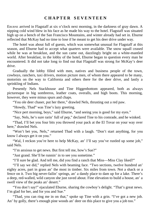# **C H A P T E R S E V E N T E E N**

EBURNE arrived in Flagstaff at six o'clock next morning, in the darkness of gray dawn. A nipping cold wind blew in his face as he made his way to the hotel. Flagstaff was situated high up on a bench of the San Francisco Mountains, and winter already had set in. Eburne reflected that McKay had no time to lose if he meant to get his deer drive under way.

The hotel was about full of guests, which was somewhat unusual for Flagstaff at this season, and Eburne had to accept what quarters were available. The snow squall ceased while he was at breakfast, and the sun came out, dazzlingly bright on a white-mantled world. After breakfast, in the lobby of the hotel, Eburne began to question every man he encountered. It did not take long to find out that Flagstaff was strong for McKay's deer drive.

Gradually the lobby filled with men, natives and business people of the town, cowboys, ranchers, taxi drivers, motion picture men, of whom there appeared to be many, motorists on the way to California and others there for the deer drive, and lastly a sprinkling of Indians.

Presently Nels Stackhouse and Tine Higgenbottom appeared, both as always picturesque in big sombreros, leather coats, overalls, and high boots. This morning, however, they were minus spurs and chaps.

"You ole deer chaser, put her there," drawled Nels, thrusting out a red paw.

"Howdy, Thad" was Tine's lazy greeting.

"Nice pert morning, boys," said Eburne, "and seeing you is good for my eyes."

"Say, Nels, he's sure rarin' full of pep," declared Tine to his comrade, and he winked.

"Thad, I'll bet you four bits you throwed your pack at the El Tovar on your way over here," drawled Nels.

"Won't bet you, Nels," returned Thad with a laugh. "Don't start anything, for you know I always get it on you."

"Wal, I reckon you're here to help McKay, an' I'll say you've rustled up some job," said Nels.

"I'm anxious to get news. But first tell me, how's Sue?"

"Just grand. She'll be runnin' in to see you sometime."

"I'll sure be glad. And tell me, did you find a ranch that Miss—Miss Clay liked?"

"I'll say we did," replied Nels with beaming face. "Two sections, twelve hundred an' eighty acres, part in grass an' the most in timber. Six miles from town. Not a shack or a fence on it. Two big never-failin' springs, an' a dandy place to dam up for a lake. There's a deep, red-walled, wild canyon she just raved about. Fine elevation to build a house, an' a swell view of the peaks an' desert."

"You don't say!" ejaculated Eburne, sharing the cowboy's delight. "That's great news. I'm glad for her, and for you and Sue."

"Thad, you can ring me in on that," spoke up Tine with a grin. "I've got a new job. An' by golly, there's enough pine woods an' deer on this place to give you a job too."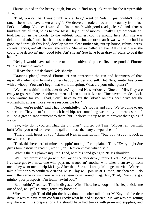Eburne joined in the hearty laugh, but could find no quick retort for the irrepressible Tine.

"Thad, you can bet I was plumb sick at first," went on Nels. "I just couldn't find a ranch she would have taken as a gift. We drove an' rode all over this country from Ash Fork to Gallup. You see I wanted to find a ranch with good roads, cleared land, fences, buildin's an' all that, so as to save Miss Clay a lot of money. Finally I got desperate an' took her out in the woods, to the wildest, roughest country around here. An' she was tickled to death. I told her it'd cost a thousand times more than it was worth to build a good road through this land, develop water, clear timber off, put up house, cabins, barns, corrals, fences, an' all the rest she wants. She never batted an eye. All she said was she could give deservin' men good jobs. An' she an' Sue have been drawin' plans to beat the hand"

"Nels, I would have taken her to the uncultivated places first," responded Eburne. "Did she buy the land?"

"I'll say she did," declared Nels shortly.

"Drawing plans," mused Eburne. "I can appreciate the fun and happiness of that, especially when it is to make others happy besides yourself. But Nels, winter has come with a whoop. You can't begin that work till spring. What are your other plans?"

"We been waitin' on this deer drive," rejoined Nels seriously. "Sue an' Miss Clay are crazy to go. An' there are other women as keen about it. Me an' Tine haven't made a kick. Been waitin' for you. Thad, you'll have to put the kibosh on this deer drive for the womenfolk, at least those we are responsible for."

"Nels, you're right," said Thad thoughtfully. "It's too far and cold. We're going to get snowed in. They'd suffer too much hardship, for something we are by no means sure of. It'll be a great disappointment to them, but I believe it's up to us to prevent their going if we can."

"Say, why don't you tell Thad the *big* plan?" blurted out Tine. "Modest an' bashful, huh? Why, you used to have more gall an' brass than any cowpuncher—"

"Tine, I think heaps of you," drawled Nels in interruption, "but, you just got to look at me with respect."

"Thad, this here pard of mine is steppin' too high," complained Tine. "Every night Sue gives him lessons in readin', writin', an' Heaven knows what else."

"What's the big plan?" inquired Thad, with his hand going to Nels's shoulder.

"Wal, I've promised to go with McKay on the deer drive," replied Nels. "My bosses— I've sure got two now, one who pays me wages an' another who takes them away from me—they want me to help McKay. After that, Sue an' I are goin' to get married. We're to take a little trip to southern Arizona. Miss Clay will join us at Tucson, an' then we'll do much the same down there as we've been doin' round Flag. Aw, Thad, I've sure got mighty poor prospects. I'm feelin' awful bad."

"Bad nuthin'," retorted Tine in disgust. "Why, Thad, he whoops in his sleep, kicks me out of bed, an' yells 'James, fetch my boots.' "

When at length Thad did pin the boys down to sober talk about McKay and the deer drive, it was to have them confirm exactly what he had suspected. McKay was not getting anywhere with his preparations. He should have had trucks with grain and supplies, and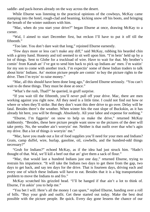saddle- and pack-horses already on the way across the desert.

While Eburne was listening to the practical opinions of the cowboys, McKay came stamping into the hotel, rough-clad and beaming, kicking snow off his boots, and bringing the breath of the winter outdoors with him.

"Mac, when do you start your drive?" began Eburne at once, drawing McKay to a corner.

"Wal, I aimed to start December first, but reckon I'll have to put it off till the fifteenth<sup>"</sup>

"Too late. You don't dare wait that long," rejoined Eburne earnestly.

"Few days more or less can't make any diff," said McKay, rubbing his bearded chin with a grimy hand. Honesty and toil seemed to sit well upon him. "I'm bein' held up by a lot of things. Sent to Globe for a truckload of wire. Have to wait for that. My brother's comin' from Kanab an' I've got to send him back to pick up Indians an' men. I'm waitin' for my son to come with another truck. I'm expectin' some of these Indian traders to talk about hirin' Indians. An' motion picture people are comin' to buy the picture rights to the drive. Then I'm tryin' to raise money."

"Mac, all this should have been done long ago," declared Eburne seriously. "You can't wait to do these things. They must be done at once."

"What's the rush, Thad?" he queried, in gruff surprise.

"If you wait till the fifteenth, you'll *never* pull off your drive. Mac, there are men working against you right now. All they need is a little time. I could not find out how or where or when they'll strike. But they don't want this deer drive to go over. Delay will be fatal. Besides there's the weather. When winter hits the east slope of Buckskin, as it has already hit here, you will be through. Absolutely. All your labor and expense for nothing."

"Eburne, I'm figgerin' on snow to help us make the drive," returned McKay stubbornly. "Besides, these here picture people want snow so the pictures of the deer will take pretty. No, the weather ain't worryin' me. Neither is that outfit over thar who's agin my drive. But a lot of things *is* worryin' me."

"Mac, have you made out a list of food supplies you'll need for your men and Indians? Grain, camp duffel, wire, burlap, gasoline, oil, cowbells, and the hundred-odd things necessary?"

"Grub for Indians?" echoed McKay, as if the idea had just struck him. "Hadn't thought of that. Wal, we'll kill a beef out thar an' give them a sack of flour."

"Mac, that would last a hundred Indians just one day," returned Eburne, trying to restrain his impatience. "It will take the Indians two days to get there from the gap, two days to get back, and say ten days for the drive. That is fourteen days, driving each and every one of which these Indians will have to eat. Besides that it is a big transportation problem to move the Indians to and fro."

McKay scratched his grizzled head. "I'll be hanged if thar ain't a lot to think of. Eburne, I'm askin' you to help me."

"You bet I will. Here's all the money I can spare," replied Eburne, handing over a roll of bills. "Buy your grub and outfit. Get these started out today. Make the best deal possible with the picture people. Be quick. Every day gone lessens the chance of our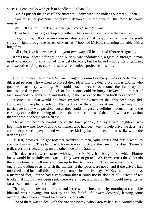success. Send trucks with grub to handle the Indians."

"But if I put off the drive till the fifteenth, I don't want the Indians out thar till then."

"You must *not* postpone the drive," declared Eburne with all the force he could muster.

"Wal, I'll see, but I reckon we can't get ready," said McKay.

"Then by all means give it up altogether. That's my advice. I know the country."

"Say, Eburne, I'll drive ten thousand deer across that canyon, an' all over the south side, an' right through the streets of Flagstaff," boomed McKay, slamming the table with a huge first.

"All right, I've had my say. Do it your own way. I'll help," said Eburne resignedly.

It was now indeed a forlorn hope. McKay was indomitable, a giant in strength, a man used to overcoming all kinds of physical obstacles, but he lacked wholly the organizing and executive ability to carry out such a tremendous project as this one.

During the next three days McKay changed his mind as many times as he listened to different persons who wanted to project their ideas into the deer drive. It was Eburne who got the machinery working. He could not, however, overcome the handicaps of unconsidered preparation and lack of funds, nor could he hurry McKay. As a matter of fact, somebody or something was holding up the trucks and the men McKay expected.

A circus in town would not have created the excitement that this deer drive did. Hundreds of people outside of Flagstaff came there to see it get under way or to participate in any way possible, but as they could not get any definite information as to the certainty of the drive coming off, or the date or place, most of them left with a conviction that the whole scheme was a fizzle.

Eburne saw how the confidence of the town people, McKay's own neighbors, was beginning to wane. Cowboys and cattlemen who had been keen to help drive the deer, just for the experience, gave up and went home. McKay had not been able to strike while the iron was hot.

At last, however, he got together twenty-five men, with horses and outfit, ready to start next morning. The plan was to travel across country to the canyon, go down Tanner's trail, cross the river, and up on the other side to the Saddle.

That day, trucks were started with supplies McKay had bought, but which Eburne knew would be pitifully inadequate. They were to go to Lee's Ferry, cross the Colorado there, continue on to Kane, and then up to the Saddle camp. They were then to return to one of the trading posts to fetch the Indians. If the roads were good, and if the drivers had unprecedented luck, all this might be accomplished in five days. McKay said in three! As a matter of fact, Eburne had a conviction that it could not be done at all. Instead of ten trucks that should have been sent, there were three, and two of them would never get as far as Kane on those desert roads.

That night a snowstorm arrived and increased in force until by morning a creditable blizzard was blowing. But McKay and his faithful followers departed, leaving some insurmountable tasks behind for Eburne to look after.

One of them was to deal with the trader Mobray, who, McKay had said, would handle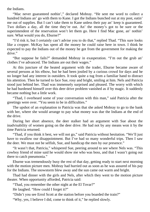the Indians.

"Mac never guaranteed nothin'," declared Mobray. "He sent me word to collect a hundred Indians an' go with them to Kane. I got the Indians bunched out at my post, eatin' me out of supplies. But I can't take them to Kane unless their pay an' keep is guaranteed. Two dollars a day, all the time they're out. An' the money's got to be sure or the superintendent of the reservation won't let them go. Here I find Mac gone, an' nothin' sure. What would you do, Eburne?"

"I'd risk it, but I certainly can't advise you to do that," replied Thad. "This sure looks like a cropper. McKay has spent all the money he could raise here in town. I think he expected to pay the Indians out of the money he got from the government for making the drive."

"But suppose he fails?" demanded Mobray in exasperation. "I'm out the grub an' clothes I've advanced. The Indians are out their wages."

At this juncture of the heated argument with the trader, Eburne became aware of several persons at his elbow, but he had been jostled by a curious crowd for days and he no longer had any interest in outsiders. It took quite a tug from a familiar hand to distract his attention. Then he turned to face Sue, rosy and bright, smiling at him. Nels and Patricia stood just behind her. Thad was immensely surprised and pleased. The worry with which he had burdened himself over this deer drive problem vanished as if by magic. It suddenly became nothing but a little work.

"Thad, I overheard some of your conversation with this man," said Patricia after the greetings were over. "You seem to be in difficulties."

The upshot of an explanation to Patricia was that she asked Mobray to go to the bank with her, where she would arrange to pay what money was due the Indians at the end of the drive.

During her short absence, the deer stalker had an argument with Sue about the inadvisability of women going on the deer drive. He had not by any means won it by the time Patricia returned.

"Thad, if you think it best, we will not go," said Patricia without hesitation. "We'll just have to swallow our disappointment. But I've had so many wonderful trips. Then I saw the deer. We must not be selfish, Sue, and handicap the men by our presence."

"It wasn't that, Patricia," whispered Sue, peering around to see where Nels was. "This cowboy friend of mine said he would show me who was boss, and that I wasn't going out there to catch pneumonia."

Eburne was tremendously busy the rest of that day, getting ready to start next morning with the motion picture men. Mobray had hurried out as soon as he was assured of his pay for the Indians. The snowstorm blew away and the sun came out warm and bright.

Thad had dinner with the girls and Nels, after which they went to the motion picture theater. When opportunity afforded, Patricia said:

"Thad, you remember the other night at the El Tovar?"

He laughed. "How could I forget it?"

"Didn't you see Errol Scott at the station before you boarded the train?"

"Why, yes, I believe I did, come to think of it," he replied slowly.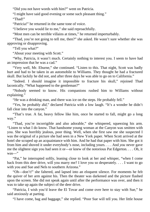"Did you not have words with him?" went on Patricia.

"I might have said good evening or some such pleasant thing."

"Thad!"

"Patricia!" he returned in the same tone of voice.

"I believe you would lie to me," she said reproachfully.

"Most men can be terrible villains at times," he returned imperturbably.

"Thad, you're not going to tell me, then?" she asked. He wasn't sure whether she was approving or disapproving.

"Tell you what?"

"About your meeting with Scott."

"Why, Patricia, it wasn't much. Certainly nothing to interest you. I seem to have had an impression that he was a cad."

"Very well, Mr. Eburne," she continued. "Listen to this. That night, Scott was badly hurt and had to be taken in an automobile to Williams. They thought he had a fractured skull. But luckily he did not, and after three days he was able to go on to California."

"Indeed. I should imagine it impossible to fracture his skull," rejoined Thad laconically. "What happened to the gentleman?"

"Nobody seemed to know. His companions rushed him to Williams without explaining."

"He was a drinking man, and there was ice on the steps. He probably fell."

"Yes, he probably *did*," declared Patricia with a low laugh. "It's a wonder he didn't fall clear into the canyon."

"That's true. A fat, heavy fellow like him, once he started to fall, might go a long way."

"Thad, you're incorrigible and also adorable," she whispered, squeezing his arm. "Listen to what I do know. That handsome young woman at the Canyon was smitten with you. She was horribly jealous, poor thing. Well, when she first saw me she suspected I was the original of a picture she had seen in a New York paper. When Scott arrived at the hotel she scraped up an acquaintance with him. And he had that paper with him. She got it from him and shoved it under everybody's nose, including yours. . . . And *you* never gave me the slightest sign you had seen it or—or knew of the notorious Pat Edgerton. . . . Oh, it was—"

"Pat," he interrupted softly, leaning close to look at her and whisper, "when I come back from this deer drive, will you marry me? I love you so desperately. . . . I want to go with you and Sue and Nels to southern Arizona."

"Oh—don't!" she faltered, and lapsed into an eloquent silence. For moments he felt the quiver of her arm against his. Then the theater was darkened and the picture flashed upon the screen. She did not speak again until after the performance was over, and then it was to take up again the subject of the deer drive.

"Patricia, I wish you'd leave the El Tovar and come over here to stay with Sue," he said anxiously at parting.

"I have come, bag and baggage," she replied. "Poor Sue will tell you. Her little house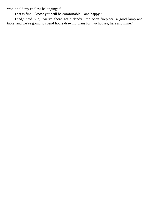won't hold my endless belongings."

"That is fine. I know you will be comfortable—and happy."

"Thad," said Sue, "we've shore got a dandy little open fireplace, a good lamp and table, and we're going to spend hours drawing plans for *two* houses, hers and mine."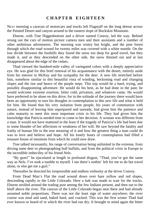## **C H A P T E R E I G H T E E N**

NEXT morning a caravan of motorcars and trucks left Flagstaff on the long detour across the Painted Desert and canyon around to the eastern slope of Buckskin Mountain.

Eburne, with Tine Higgenbottom and a driver named Conroy, led the way. Behind strung out the cars of motion picture camera men and their assistants and a number of other ambitious adventurers. The morning was wintry but bright, and the pine forest through which the road wound for twenty miles was covered with a white mantle. On the low divide between the foothills they found the snow too deep for good travel, but they made it, and as they descended on the other side, the snow thinned out and at last disappeared about the edge of the cedars.

Thad viewed the hundred-mile valley of variegated colors with a deeply appreciative eye. He was glad for this brief renewal of his acquaintance with the desert, entirely aside from his interest in McKay and his sympathy for the deer. A new life stretched before him, somehow similar to this beautiful vista of winding, beckoning road and changing slopes and the rise and heave of the purple steps. This trip would be a hard, trying, and possibly disappointing adventure. He would do his best, as he had done in the past; he would welcome extreme exertion, bitter cold, privation, and whatever came. He would have preferred to be alone on this drive, for in the solitude of the journey there would have been an opportunity to turn his thoughts in contemplation to this new life and what it held for him. He found that his very isolation from people, his years of communion with nature, instead of leaving him unprepared and unready, had given him the patience and calm maturity to meet this most important crisis in his life. They had given him the knowledge that Patricia needed time to come to her decision. A woman was different from a man. It would not have mattered in the least if the tragedy of Patricia's life had been due to some blunder of her affections or weakness of her will. He saw beyond the fatality and frailty of human life to the true meaning of it and how the greatest thing a man could do was to love and believe and hope. All his lonely hours of contemplation had filled a treasure house of emotions from which he could now draw.

Tine talked incessantly, his range of conversation being unlimited in the extreme, from driving tame deer to photographing bull buffalo, and from the political crisis in Europe to the incredible imbecility of his friend Nels.

"By gum!" he ejaculated at length in profound disgust, "Thad, you've got the same way as Nels. I've took a tumble to myself. I see there's nothin' left for me to do but travel alone, or else get me a gurl."

Thereafter he directed his irrepressible and endless verbosity at the driver Conroy.

From Dead Man's Flat the road wound down over bare yellow and red slopes, descending rapidly to the Little Colorado. Here a halt was made to wait for the trucks. Eburne strolled around the trading post among the few Indians present, and then out to the bluff above the river. The canyon of the Little Colorado began near there and had already assumed noble proportions. There was not the least sign of water anywhere; the river course was mud and sand, baked hard, and cracked. This was the first winter Thad had ever known or heard of in which the river had run dry. It brought to mind again the bitter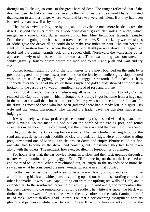drought on Buckskin, so cruel to the great herd of deer. The ranger reflected that if the deer had been left alone, free to answer to the call of nature, they would have migrated that season to another range, where water and browse were sufficient. But they had been isolated by man as well as by nature.

The trucks arrived safely, one by one, and the cavalcade once more headed across the desert. Beyond the river there lay a wide wind-swept gravel flat, miles in width, which merged in a zone of clay dunes, marvelous of hue: blue, heliotrope, lavender, purple. From there the going grew bad, so that travel became slow. Sand, rock, dry washes, slopes of adobe gave the driver all he could do to make five miles an hour. The sun began to slant to the western horizon, where the gray bulk of Kishlipie rose above the ragged red desert and the genial warmth took on a sudden chill. Northward the wandering buttes appeared slowly to sink beneath the horizon haze. There was a long two-hour stretch of sandy, gravelly, brushy desert, where the men had to walk and push and wait and try again.

Sunset brought them up out of the low wastes to a valley, bounded on the right by a great corrugated, many-hued escarpment, and on the left by an endless gray slope, dotted with the green of struggling foliage. Ahead, a ragged saw-tooth cliff poked its sharp silhouette over the bulge of the valley floor. Purple and gold clouds showed at the western horizon; to the east the sky was a magnificent spread of rose and bronze.

Soon, dusk mantled the desert, obscuring all save the high points. At dark, Conroy reached the Gap trading post, which belonged to Mobray. It got its name from a huge gap in the red barrier wall that shut out the north. Mobray was out collecting more Indians for the drive, as most of those who had been gathered there had already left in disgust. His wife and the young missionary who helped the trader gave the travelers supper and lodgings.

It was a lonely, wind-swept desert place, haunted by coyotes and visited by lean, darkfaced Navajos. Eburne made his bed out on the porch of the trading post; and found sweetness in the moan of the cold wind, and the white stars, and the bleating of the sheep.

They got started next morning before sunrise. The road climbed, at length, out of the sand and gravel, up through foothills of clay to a cedared ridge. Here, at another trading post, they found one of McKay's trucks broken down and empty. Eburne could not find out what had become of the driver and contents, but he assumed they had been taken along with the others. The incident, however, recalled his forebodings of disaster.

For hours after that, the car bowled along, now slow and then fast, upgrade through a narrow valley dominated by the jagged Echo Cliffs towering on the north. It seemed an endless road to Eburne. When they climbed out, at length, to the uplands once more, he saw again what he considered the most wonderful scene in all that country.

To the west, across the ridged ocean of bare, grassy desert, billowy and swelling, rose a horizon-long black and white plateau, standing up and out with most startling contrast to other landmarks. It was a vast cape, jutting out from the upflung red walls of Utah, and it extended far to the southward, breaking off abruptly in a wild and grand promontory that had been carved into the semblance of a riding saddle. The white was snow, the black was timber. In all the sweep of desert, these were the only colors not the stark, flaming ones of naked rock. How it thrilled Thad Eburne! For that black creeping escarpment, with its gleams and patches of white, was Buckskin Forest. If he could have turned abruptly to the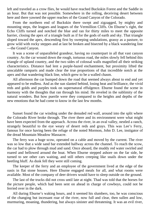left and traveled as a crow flies, he would have reached Buckskin Forest and the Saddle in an hour. But that was not possible. Somewhere in the rolling, deceiving desert between here and there yawned the upper reaches of the Grand Canyon of the Colorado.

From the northern end of Buckskin there swept and zigzagged, by mighty and mounting steps, the leagues and leagues of the Vermillion Cliffs. On Eburne's right, the Echo Cliffs turned and notched the blue and ran for thirty miles to meet the opposite barrier, closing the apex of a triangle built as if for the gods of earth and sky. That triangle sloped toward the apex, descending first by sweeping undulations, grassy as a pasture, to grow wild with rocky steppes and at last be broken and bisected by a black wandering line —the Grand Canyon.

It was a scene of unparalleled grandeur, having no counterpart in all that vast canyon country. As the car wound down the rough, tortuous road, the miles slowly fell behind this triangle of upland country, and the two sides of colossal walls magnified all their striking characteristics. Distance had lent a purple-hazed enchantment, but proximity lifted the unscalable ramparts and made clear the true proportions of that incredible notch at the apex and that wandering black line, which grew to be a walled chasm.

All afternoon the car bumped down the road that seemed always about to end and yet appeared to be endless. And as the sun slanted behind, losing heat and brilliance, the vivid reds and golds and purples took on supernatural effulgence. Eburne found the scene in harmony with the thoughts that ran through his mind. He reveled in the sublimity of the natural wonders. But how puerile were they compared to the heights and depths of the new emotions that he had come to know in the last few months.

Sunset found the car winding under the denuded red wall, around into the split where the Colorado River broke through. The river there and its environment were what might have been expected from the approach. Across the river, in an oval valley, nestled a ranch, strangely beautiful to the eye weary of desert reds and grays. This was Lee's Ferry, famous for once having been the refuge of the noted Mormon, John D. Lee, instigator of the dread Mountain Meadow Massacre.

The ferry was a huge scow, operated on a cable and moved by the current. The river was so low that a wide sand bar extended halfway across the channel. To reach the scow, the car had to plow through mud and sand. Once aboard, the muddy red water swirled and roared and bellowed around the boat. When Eburne stepped ashore on the far side, he turned to see other cars waiting, and still others creeping like snails down under the beetling bluff. As dusk fell they were still coming.

The keeper of the ferry and an employee of the government lived at the edge of the oasis in flat stone houses. Here Eburne engaged meals for all, and what rooms were available. Most of the company of deer drivers would have to sleep outside on the ground.

The last of the trucks did not cross until late at night. Thad was told that the horses for the picture people, which had been sent on ahead in charge of cowboys, could not be ferried over in the dark.

All during Eburne's waking hours, and it seemed his slumbers, too, he was conscious of the changing but incessant roar of the river, now full and clear, then sullen and low, murmuring, moaning, thundering, but always sinister and threatening. It was an evil river,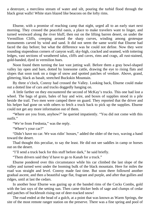a destroyer, a merciless stream of water and silt, pouring the turbid flood through the black great walls! White stars blazed like beacons on the lofty rims.

Eburne, with a promise of reaching camp that night, urged all to an early start next morning. They crossed the peaceful oasis, a place to make travelers want to linger, and turned westward along the river bluff, then out on the lifting barren desert, on under the Vermillion Cliffs, creeping around the sharp curves, winding among grotesque monuments carved by wind and sand. It did not seem the same world that Eburne had faced the day before; but what the difference was he could not define. Now they were rounding stupendous corners of canyon wall, sky-high, cracked and seamed, with tottering ledges, vast sections of weathered talus, cliffs and caves, rims and crags, all rust-stained, gold-banded, dyed in vermilion hues.

Noon found them turning the last vast jutting wall. Before them a gray bowl-shaped valley lay open and bare, dotted by lonesome cattle, drawing the eye to rising flats and slopes that soon took on a tinge of snow and spotted patches of verdure. Above, grand, glittering, black as basalt, stretched Buckskin Mountain.

By three o'clock, Conroy had crossed the Valley. Looking back, Eburne could make out a dotted line of cars and trucks doggedly hanging on.

A little farther on they encountered the second of McKay's trucks. This one had lost a wheel. The bags of grain, bales of hay and wire, and boxes of supplies stood in a pile beside the trail. Two men were camped there on guard. They reported that the driver and his helper had gone on with others to fetch a truck back to pick up the supplies. Eburne could not get any more information out of them.

"Where are you from, anyhow?" he queried impatiently. "You did not come with this outfit."

"We're from Fredonia," was the reply.

"Where's your car?"

"Didn't have no car. We was ridin' hosses," added the older of the two, waving a hand toward the desert.

Thad thought this peculiar, to say the least. He did not see saddles in camp or horses out on the desert.

"I'll send a truck back for this stuff before dark," he said briefly.

"Them drivers said they'd have to go to Kanab for a truck."

Eburne pondered over this circumstance while his car climbed the last slope of the valley and turned west under the looming bulk of the black mountain. Here for miles the road was straight and level. Conroy made fast time. But soon there followed another gradual ascent, and then a beautiful sage flat, fragrant and purple, and after that gullies and ridges, until at last the cedars.

In another hour Eburne was gazing up at the banded rims of the Cocks Combs, gold with the last rays of the setting sun. Then came thicker beds of sage and clumps of cedar and patches of buckbrush rising out of deer-tracked snow!

The road ended at the head of a gulch, at a point that was known as Warm Springs, the site of the most remote ranger station on the preserve. There was a fine spring and pool of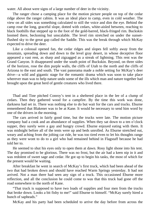water. All about were signs of a large number of deer in the vicinity.

The ranger chose a camping place for the motion picture people on top of the cedar ridge above the ranger cabins. It was an ideal place to camp, even in cold weather. The view on all sides was something calculated to still the voice and dim the eye. Behind the camp rose the long, graceful slope, dotted with cedars, white-aisled between, reaching to black foothills that stepped up to the foot of the gold-barred, black-fringed rim. Buckskin loomed there, beckoning but unscalable. The level rim stretched on under the sunsetflushed sky to the great gap called the Saddle. This was the break through which McKay expected to drive the deer.

Like a colossal opened fan, the cedar ridges and slopes fell softly away from the mountain, spreading down and down to the level gray desert, in whose deceptive floor appeared a vast rent, as sharp and zigzagged as a streak of lightning. This rent was the Grand Canyon. It disappeared under the south point of Buckskin. Beyond, on three sides of the horizon, rose the dim purple walls, the cliffs of Utah to the north and the cliffs of Arizona to the east and south. The vast panorama made a noble setting for McKay's deer drive—a wild and gigantic stage for the romantic drama which was soon to take place wherever man was to help nature undo some of the ills which man and nature together had brought upon the great herd of gentle creatures who lived there.

Thad and Tine pitched Conroy's tent in a sheltered place in the lee of a clump of cedars. Then they gathered wood for a campfire. By the time this work was done, darkness had set in. There was nothing else to do but wait for the cars and trucks. Eburne remembered that Blakener was to be at Kane. It would be necessary to send him word by one of the drivers in the morning.

The cars arrived in fairly good time, but the trucks were late. The motion picture company had a cook and an abundance of supplies. When they sat down to a ten o'clock supper, they surely were a gay and hungry crowd. Eburne enjoyed eating with them. It was midnight before all of the tents were up and beds unrolled. As Eburne stretched out, weary and aching from the jolting car ride, he was too tired even to let his thoughts range as they were wont to do to a girl who had remained behind in Flagstaff because he had told her to.

He seemed to shut his eyes only to open them at dawn. Rosy light shone into his tent. The day promised to be glorious. There was no frost, but the air had a keen nip in it and was redolent of sweet sage and cedar. He got up to begin his tasks, the most of which for the present would be waiting.

After breakfast he went in search of McKay's first truck, which had been ahead of the two that had broken down and should have reached Warm Springs yesterday. It had not arrived. Not a man there had seen any sign of a truck. This occasioned Eburne more reflection, and all the conclusion he could come to was that this truck had gone off the road somewhere to the north of Kane.

"That truck is supposed to have two loads of supplies and four men from the trucks that broke down. Looks a bit fishy to me!" said Eburne to himself. "McKay surely hired a bunch of sapheads."

McKay and his party had been scheduled to arrive the day before from across the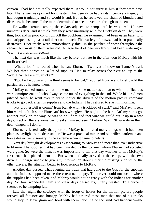canyon. Thad had not really expected them. It would not surprise him if they were days late. The ranger was primed for disaster. This deer drive had as its incentive a tragedy; it had begun tragically, and so would it end. But as he reviewed the chain of blunders and disasters, he became all the more determined to see the venture through to the end.

He walked around among the cedars adjacent to camp until he was tired. He saw numerous deer, and it struck him they were unusually wild for Buckskin deer. They were thin, too, and in poor condition. All the buckbrush he examined had been eaten bare, torn and stripped as high as a tall deer could reach. This variety of browse had been practically destroyed. Deer tracks were extraordinarily thick in the patches of snow throughout the cedars, but most of them were old. A large herd of deer evidently had been watering at Warm Springs until recently.

The next day was much like the day before, but late in the afternoon McKay with his outfit arrived.

"What a job!" he roared when he saw Eburne. "Two feet of snow on Tanner's trail. We lost three horses an' a lot of supplies. Had to relay across the river an' up to the Saddle. Where are my trucks?"

"Two broke down and the third seems to be lost," reported Eburne and briefly told the particulars as he knew them.

McKay cursed roundly, but in the main took the matter as a man to whom difficulties were omnipresent and who always came out of everything in the end. While his tired men pitched camp, he went over to try to induce the drivers of the motion picture company trucks to go back after his supplies and the Indians. They refused to start till morning.

"My brother Bill is comin' from Kanab with a truckload of stuff," said McKay. "I sent him word to fetch some Piutes an' hoss wranglers. He ought to be here. An' my son's got another truck on the way, or was to be. If we had thet wire we could put it up in a few days. Reckon there's some bad breaks I missed seein' before. Wal, I'll sure drive them deer, dinged if I don't."

Eburne reflected sadly that poor old McKay had missed many things which had been plain as daylight to the deer stalker. He was a practical miner and oil driller, cattleman and horse dealer, yet visionary in the extreme when it came to details.

Next day brought developments exasperating to McKay and more than ever indicative to Eburne. The supplies that had been guarded by the two men whom Eburne had accosted were gone. So were the men. It was impossible to tell that day whether or not McKay's first truck had picked them up. But when it finally arrived at the camp, with the two drivers in charge unable to give any information about either the missing supplies or the other drivers, the situation began to look serious to McKay.

Another day passed. That evening the truck that had gone to the Gap for the supplies and the Indians supposed to be there returned empty. The driver could not locate where the supplies had been taken, and Mobray would not be ready with the Indians for another day. So four wonderful calm and clear days passed by, utterly wasted. To Eburne it seemed to be tempting fate.

Late that night the cowboys with the troop of horses for the motion picture people arrived, all footsore and hungry. McKay had assured these men that one of his trucks would stop to leave grain and food with them. Nothing of the kind had happened—the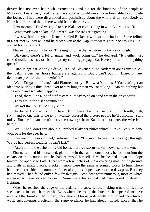drivers had not even had such instructions—and but for the kindness of the people at Mobray's, Lee's Ferry, and Kane, the cowboys would never have been able to complete the journey. They were disgruntled and pessimistic about the whole affair. Somebody at Kane had informed them there would be no deer drive.

Next morning, Thad was glad to see Blakener come riding in with Eburne's outfit.

"What made you so late, old-timer?" was the ranger's greeting.

"I was waitin' for you at Kane," replied Blakener with some irritation. "Some fellow in a car met Wilcox an' said he'd seen you at the Gap. You were goin' back to Flag. So I waited for some word."

Eburne threw up his hands. This might not be the last straw, but it was enough.

"Blakener, there's a lot of underhand work going on," he declared. "It's either just cussed maliciousness, or else it's pretty cunning propaganda. Have you run into anything queer?"

"Utah is against McKay's drive," replied Blakener. "The cattlemen are against it. All the loafin' riders an' horse hunters are against it. But I can't put my finger on any deliberate proof of their hinderin' it."

"Well, I'd gamble I can," said Eburne shortly. "But what's the use? You can't get an idea into McKay's thick head. Not to stay longer than you're talking! I can do nothing but stick along and see what happens."

"Thad, there'll be a lot of outfits comin' today to be on hand when the drive starts."

"They are in for disappointment."

"Wasn't this the day McKay set?"

"As far as I know it's no different from December first, second, third, fourth, fifth, sixth, and so on. This is the tenth. McKay assured the picture people he'd absolutely start today. But the Indians aren't here, the cowboys from Kanab are not here, the wire isn't here."

"Well, Thad, don't fret about it," replied Blakener philosophically. "You've sure done your best for the deer herd."

"I'm terribly disappointed," returned Thad. "I wanted to see this drive go through. We've had perfect weather. It can't last."

"Accordin' to the ache of my old bones there's a storm makin' now," said Blakener.

Eburne saddled his horse and, glad to be in the saddle once more, he rode out into the cedars on the scouting trip he had promised himself. First he headed down the slope toward the open sage flats. There were a few inches of snow covering most of the ground, and drifts in shady places. Tracks in snow were the same as printed words to him. There had been a considerable number of deer along this slope a week or ten days past. But they had moved. Thad found only a few fresh signs. Dead deer were numerous, most of which appeared to have starved to death. Some were bucks that had been gored to death in fighting.

When he reached the edge of the cedars, the snow failed, making tracks difficult to see, except in soft, bare earth. Everywhere he rode, the buckbrush appeared to have received the brunt of the hungry deer attack. Eburne rode south a mile and then turned west, encountering practically the same evidence he had already noted, except that he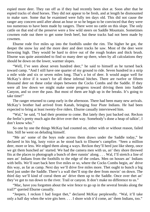espied more deer. They ran off as if they had recently been shot at. Soon after that he espied tracks of shod horses. They did not appear to be fresh, and at length he dismounted to make sure. Some that he examined were fully ten days old. This did not cause the ranger any concern until after about an hour or so he began to be convinced that they were too numerous to have been made by rangers. There were no cattle on this slope. The only cattle on that end of the preserve were a few wild steers on Saddle Mountain. Sometimes cowmen rode out there to get some fresh beef, but these tracks had not been made by cowmen.

Eburne rode five miles up into the foothills under the rim. The higher he got, the deeper the snow lay and the more deer and deer tracks he saw. Most of the deer were browsing high. They would be hard to drive out of the rough brakes and thick brush. Eburne was quite astonished to find so many deer up there, when by all calculations they should be down on the lower, warmer slopes.

"Well, I've seen about seven hundred deer," he said to himself as he turned back toward camp. "And I still have one quarter of my ground to ride. Seven hundred in a strip a mile wide and six or seven miles long. That's a lot of deer. It would augur well for McKay's drive if it wasn't for all these infernal hitches. There are twelve or fifteen thousand deer on these cedar slopes between the Cocks Combs and the Saddle. If they were all low down we might make some progress toward driving them into Saddle Canyon, and so over the pass. But most of them are high up in the breaks. It's going to take time!"

The ranger returned to camp early in the afternoon. There had been many new arrivals. McKay's brother had arrived from Kanab, bringing four Piute Indians. He had been expected to bring at least twenty-five riders. Eburne casually interviewed him.

"Wal," he said, "I had their promise to come. But lately they just backed out. Reckon the feelin's pretty much agin the drive over thet way. Somebody's done a heap of talkin', I don't know who."

So one by one the things McKay had counted on, either with or without reason, failed him. Still he went on deluding himself.

"Me an' some of the boys rode across them draws under the Saddle today," he declared in his big, lusty voice as he stood back to Eburne's campfire. "Seen a million deer, more or less. We edged them along a ways. Reckon they'll herd just like sheep, once we git them bunched an' started. We had the camera men with us, an' they shore throwed fits at the places to photograph a bunch of deer runnin' along. . . . Wal, I'll stretch a line of men an' Indians from the foothills to the edge of the cedars. Men on hosses an' Indians with bells. We'll start back here five miles or so, where the Cocks Combs begin, an' drive this way, as far as camp. Next day we'll drive five miles more. Thet ought to bunch a big herd just under the Saddle. There's a wall thet'll stop the deer from movin' on down. The third day we'll kind of corral them an' drive them up to the Saddle. Once over thet an' they've got to run down to the river. Trail or canyon. It don't make no difference to us."

"Mac, have you forgotten about the wire fence to go up in the several breaks along the trail?" queried Eburne casually.

"Jeepers, I reckon I had forgot thet," declared McKay perplexedly. "Wal, it'll take only a half day when the wire gits here. . . . I shore wish it'd come, an' them Indians, too."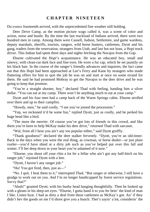## **C H A P T E R N I N E T E E N**

DECEMBER fourteenth arrived, with the unprecedented fine weather still holding.

Deer Drive Camp, as the motion picture wags called it, was a scene of color and action, noise and bustle. By the time the last truckload of Indians arrived, there were two hundred men in camp. Among them were Cassell, Judson, Settlemire, and game wardens, deputy marshals, sheriffs, tourists, rangers, wild horse hunters, cattlemen, Dyott and his gang, traders from the reservation, strangers from Utah, and last but not least, a Hopi truck driver. This Indian had spent three days and nights fetching the Navajos from the Gap.

Eburne cultivated the Hopi's acquaintance. He was an educated boy, small and sinewy, with clean-cut dark face and fine eyes. He wore a fur cap, which he set jauntily on his black hair. In the course of the ranger's friendly advances and inquiries, the fact came out that this Hopi had been approached at Lee's Ferry and Kane by strangers who made flattering offers for him to quit the job he was on and start at once on some errand for them. He said he had promised Mobray to get the Navajos to the deer drive and he was going to keep that promise.

"You're a straight shooter, boy," declared Thad with feeling, handing him a silver dollar. "You can eat at my camp. There won't be anything much to eat at your camp."

Dyott and his four men had a camp back of the Warm Springs cabin. Eburne strolled over there and up to their campfire.

"Howdy, men," he said coolly. "I see you've joined the procession."

"Yep, we reckoned it'd be some fun," replied Dyott, just as coolly, and he perked his huge head like a bird.

"The more the merrier. Of course you've got lots of friends in this crowd, and like them you're keen to help McKay make his deer drive," returned Thad with sarcasm.

"Wal, from all I hear you ain't any too popular either," said Dyott gruffly.

"Thank goodness!" declared the deer stalker fervently. "Dyott, you're an old-timer. Back in the days when you were the real thing, as cowman, or horse dealer—or just plain rustler—you'd have shied at a dirty job such as you've helped put over this fall and winter. I'll bet deep down in your heart you're ashamed of it now."

"Eburne, you shoot off your chin a lot fer a fellar who ain't got any half-hitch on his ranger job," rejoined Dyott with a leer.

"Dyott, I haven't any ranger job."

"Ha! You got fired, then, just as—"

"No. I quit. I beat them to it," interrupted Thad. "But ranger or otherwise, I still have a grudge to work out on you. *And* I'm no longer handicapped by forest service regulations. Savvy that?"

"Ahuh!" grunted Dyott, with his bushy head hanging thoughtfully. Then he looked up with a gleam in his deep-set eyes. "Eburne, I gotta hand it to you fer bein' the kind of man I like. Listen hyar. I had as dirty a deal from these cattlemen as McKay's got. An' if they didn't hev the goods on me I'd shore give you a hunch. Thet's sayin' a lot, considerin' the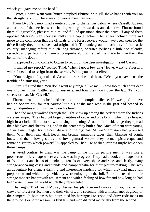whack you gave me on the head."

"Dyott, I don't want your hunch," replied Eburne, "but I'll shake hands with you on that straight talk. . . . There are a lot worse men than you."

From Dyott's camp Thad sauntered over to the ranger cabin, where Cassell, Judson, and others of the service were chatting with game wardens and deputies. Eburne found them all agreeable, pleasant to him, and full of questions about the drive. If any of them opposed McKay's plan, they assuredly were capital actors. The ranger inclined more and more to the conviction that the officials of the forest service would have been keen for the drive if only they themselves had originated it. The underground machinery of that cattle country, managing affairs at such long distance, operated perhaps a little too silently, secretly, and perfectly for them to comprehend. Eburne had the grace to give them the benefit of the doubt.

"I expected you to come to Ogden to report on the deer investigation," said Cassell.

"I mailed my report," replied Thad. "Then I got a few days' leave, went to Flagstaff, where I decided to resign from the service. Wrote you to that effect."

"You resigned!" ejaculated Cassell in surprise and heat. "Well, you saved us the trouble of dismissing you."

"Sure. I figured that. You don't want any rangers like me. I know too much about deer —and other things. Cattlemen, for instance, and how they *don't* obey the law. Tell your successor that, Mr. Cassell."

Eburne turned on his heel and went out amid complete silence. He was glad to have had an opportunity for that caustic little dig at the men who in the past had heaped so many indignities and injustices upon his head.

Then the ranger walked through the light snow up among the cedars where the Indians were encamped. They had cut large quantities of cedar and pine brush, which they heaped high in a circle, like a corral with a single opening. Around the inside edge they spread their blankets and sheepskins, and in the center they built a fire. Most of them were young stalwart men, eager for the deer drive and the big feast McKay's emissary had promised them. With their lean, dark heads and bronze, immobile faces, their blankets of bright hues, and their slow gestures and low, guttural voices, they formed picturesque and romantic groups which powerfully appealed to Thad. He wished Patricia might have seen these camps.

A vivid contrast to them was the camp of the motion picture men. It was like a prosperous little village where a circus was in progress. They had a cook and huge stores of food, tents and bales of blankets, utensils of every shape and size, and, lastly, many strange-appearing cases and stands and paraphernalia for their picture-making. This was an adventure for them, a thrilling and interesting hardship for which they had made full preparation and which they evidently were enjoying to the full. Eburne listened to their strange modern banter with amusement and with a feeling of how far and how long he had been absent from the world which they represented.

That night Thad heard McKay discuss his plans around two campfires, first with a crowd of forest service men and their visitors, and secondly with a miscellaneous group of the campers. In both cases he interrupted his harangues to stoop and draw rude maps on the ground. For some reason his first talk and map differed materially from the second.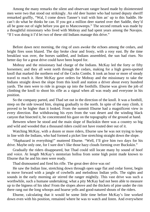Among the many remarks the silent and observant ranger heard made by disinterested men were two that stood out strikingly. An old deer hunter who had turned deputy sheriff remarked gruffly, "Wal, I come down Tanner's trail with him an' up to this Saddle. He can't do what he thinks he can. If you got a million deer started over thet Saddle, they'd all be gone out of sight before you got to Mancoweeps." The second remark was made by a thoughtful missionary who lived with Mobray and had spent years among the Navajos. "If I was doing it I'd let two of these old Indians manage this drive."

Before dawn next morning, the ring of axes awoke the echoes among the cedars, and bright fires soon blazed. The day broke clear and frosty, with a rosy east. By the time breakfast was over, the horses saddled, and Indians assembled, the sun had risen. No better day for a great drive could have been hoped for.

Mobray and the missionary had charge of the Indians. McKay led the forty or fifty horsemen; and they all went north through the cedars, making for a high green-spotted knoll that marked the northern end of the Cocks Combs. It took an hour or more of steady travel to reach it. Here McKay gave orders for Mobray and the missionary to take the Indians straight down the slope from this knoll and station a driver about every hundred yards. The men were to ride in groups up into the foothills. Eburne was given the job of climbing the knoll to shoot his rifle as a signal when all was ready and everyone in his position.

So the company parted, and Thad set out in the direction of the knoll. It was a foothill, steep on the side toward him, sloping gradually to the north. In spite of the easy climb, it proved to be higher than it looked. From the summit Eburne had a magnificent view in every direction. But withdrawing his eyes from the vast desert and the winding black canyon that bisected it, he concentrated his gaze on the topography of the ground at hand.

Between where he stood and the main slope of Buckskin there was a country so big and wild and wooded that a thousand riders could not have routed deer out of it.

Watching McKay, with a dozen or more riders, Eburne saw he was not trying to keep in line with the Indians, who had formed a picket line stretching straight down the slope.

"Haphazard in everything!" muttered Eburne. "Well, I'll give him two days for his drive. Maybe only one, for I sure don't like those hazy clouds forming over Buckskin."

Gradually the riders disappeared, but Thad could still locate many by sound of hoof and voice. At length McKay's stentorian holloa from some high point made known to Eburne that he and his men were ready.

Thad dismounted and fired his rifle. The great deer drive was on!

He saw the Indian line, stretching down through open sage flat and cedar forest, begin to move forward with a jangle of cowbells and melodious Indian yells. The sights and sounds in the early morning air stirred the ranger mightily. This vast drive was such a worthwhile, such a humane undertaking; what a pity McKay had not been able to measure up to the bigness of his idea! From the slopes above and the thickets of pine under the rim there rang out the long whoops and hoarse yells and good-natured shouts of the riders.

Eburne, calculating that it would be some little time before McKay's line worked down even with his position, remained where he was to watch and listen. And everywhere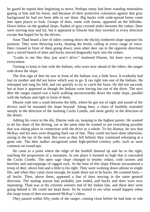he gazed he espied deer beginning to move. Perhaps many had been standing motionless gazing at him and his horse, and because of their protective coloration against that gray background he had not been able to see them. Big bucks with wide-spread horns came into open places to look. Groups of does, some with fawns, appeared on the hillsides. Down below on the gradual slope, flashes of gray crossed aisles between the cedars. Deer were moving near and far, but it appeared to Eburne that they traveled in every direction except that hoped for by the drivers.

Soon Thad heard a line of riders coming down the thickly-timbered slope opposite his position. They were throwing rocks, beating the brush, calling in every range of voice. Deer crossed in front of them going down; soon other deer ran in the opposite direction; next a mixed bunch of does and bucks moved diagonally back into the cedars.

"Looks to me like they just won't drive," muttered Eburne, his keen eyes roving everywhere.

Turning to keep in line with the Indians, who were now ahead of the riders, the ranger rode down the slope.

The first sign of deer he saw in front of the Indians was a little fawn. It evidently had lost its mother and did not know which way to go. It ran right into one of the Indians. He whooped and rang his bell, and ran quickly to try to catch the fawn. He did not succeed, but at least it appeared as though the Indians were having fun out of the drive. The next deer the ranger espied was a buck walking unconcernedly down the cedar slope, parallel with the Indians and right in front of them.

Eburne rode into a wash between the hills, where he got out of sight and sound of the drivers until he mounted the slope beyond. Along here, a chain of foothills extended steeply in the direction of the looming Cocks Combs, and more gently in the direction of the desert.

Adding his voice to the din, Eburne rode on, keeping to the highest points. He wanted to do his share of the driving, yet at the same time he wanted to see everything possible that was taking place in connection with the drive as a whole. To his dismay, he saw that McKay and his men were dropping back out of line. They could not have done otherwise, owing to the lay of the land. But even as they fell behind, they continued whooping at a great rate. The deer stalker recognized some high-pitched cowboy yells, such as were common on round-ups.

He came to a point where the ridge of the foothill sheered up and far to the right, reaching the proportions of a mountain. In one place it loomed so high that it concealed the Cocks Combs. The open sage slope changed to brushy cedars, with ravines and benches and outcroppings of ragged rock. At the base of this slope Eburne encountered a troop of deer, above him and a little to his right. They were working down almost in single file, and when they came close enough, he made them out to be bucks. He counted forty all bucks. Then, above them, appeared a line of does moving in the same general direction. The mating season had probably just ended, and bucks and does were now separating. Thad was at the extreme western end of the Indian line, and these deer were going behind it. He could not head them. So he waited to see what would happen when this large troop of deer encountered McKay's riders.

They passed within fifty yards of the ranger, coming close before he had time to ride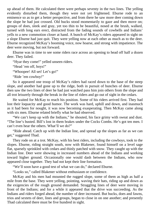up ahead of them. He calculated there were perhaps seventy in the two lines. The yelling evidently disturbed them, though they were not yet frightened. Eburne rode to an eminence so as to get a better perspective, and from there he saw more deer coming down the slope he had just crossed. Old bucks stood momentarily to gaze and then move on; groups of does, sleek and gray, yet too thin to be beautiful, nosed at the brush, walked, turned with long ears erect, distracted from the fading sounds of cowbells and Indians' yells to a new commotion closer at hand. A bunch of McKay's riders appeared in sight on a slope Eburne had just quit. They were yelling now at each other as much as to the deer. Eburne recognized McKay's booming voice, now hoarse, and strong with impatience. The deer were moving, but not forward.

Eburne was in time to see some riders race across an opening to head off half a dozen deer. They failed.

"Hyar they come!" yelled unseen riders.

"Head 'em off, boys!"

"Whoopee! All set! Let's go!"

"Ride 'em cowboy!"

So it appeared one troop of McKay's riders had raced down to the base of the steep slope, and another had gone up to the ridge, both in pursuit of bunches of deer. Eburne then saw the two lines of deer he had just watched pass him join others from the slope and all trot leisurely through the break in the line of riders and go out of sight in the cedars.

He waited for McKay to reach his position. Some of his riders arrived first. They had lost their loquacity and good humor. The work was hard, uphill and down, and inasmuch as it had been for nought, it was now becoming exasperating. Then McKay came along with six men. Eburne related briefly what he had observed.

"We can't keep up with the Indians," he shouted, his face grimy with sweat and dust. "The line's busted. Bill's lost in them brakes under the Cocks Combs. He's got ten men. I can't even hear the others. What'll we do?"

"Ride ahead. Catch up with the Indian line, and spread up the slopes as far as we can get," suggested Thad.

They rode on at a trot. McKay, with his best riders, including the cowboys, took to the slopes. Eburne, riding straight south, now with Blakener, found himself on a level sage flat, sparsely sprinkled with cedars and thinly patched with snow. They caught up with the Indian line. Deer were showing in increased numbers ahead of the Indians and working toward higher ground. Occasionally one would dash between the Indians, who now appeared close together. They had not kept their line formation.

"We'll soon have a good test of what we can do," declared Eburne.

"Looks so," called Blakener without enthusiasm or confidence.

McKay and his men had mounted the rugged slope, some of them as high as half a mile from the base. They were yelling, pointing, waving their hats, riding up and down as the exigencies of the rough ground demanded. Straggling lines of deer were moving in front of the Indians; and for a while it appeared that the drive was succeeding. As the Indians and riders forged ahead, the number of deer increased. But bucks, does and fawns, trios and sextets of deer, lines and groups, began to close in on one another; and presently Thad calculated there must be five hundred in sight.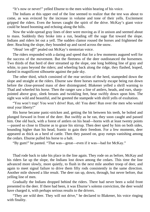"It's now or never!" yelled Eburne to the men within hearing of his voice.

The Indians at this upper end of the line seemed to realize that the test was about to come, as was evinced by the increase in volume and tone of their yells. Excitement gripped the riders. Even the horses caught the spirit of the drive. McKay's giant voice could be heard booming and echoing along the hills.

Now the wide-spread gray lines of deer were moving as if in unison and seemed about to mass. Suddenly they broke into a run, heading off the sage flat toward the slope. Indians and riders let out a yell. The sudden clamor roused the horses and frightened the deer. Reaching the slope, they bounded up and raced across the snow.

"*Head 'em off!*" pealed out McKay's stentorian voice.

The riders responded with a daring and speed that for a few moments augured well for the success of the movement. But the fleetness of the deer outdistanced the horsemen. Two thirds of that herd of deer streamed up the slope, one long bobbing line of gray and white, to pass beyond the riders; and wheeling back along the ridge, they flashed, leaped, darted in magnificent silhouette against the pale sky.

The other third, which consisted of the rear section of the herd, stampeded down the slope and straight at the riders. Eburne saw three horses narrowly escape being run down before the close-pressed mass of deer disintegrated. Blakener yelled a shrill warning to Thad and wheeled his horse. Then the ranger saw a line of antlers, heads, and ears, sharppointed above gray, sleek breasts and twinkling feet, bear swiftly down upon him. The sight was wild and beautiful, and he greeted the stampede with shrill yells of exultation.

"You won't trap! You won't drive! Run, oh! You deer! Run over the men who would steal your liberty!"

His horse became panic-stricken and, getting the bit between his teeth, he bolted and plunged forward in front of the deer. But swiftly as he ran, they soon caught and passed him. One old buck, with a forest of antlers on his head—horns with at least twenty points —passed so close to Eburne as to graze his stirrup. Then deer sped by him on both sides, bounding higher than his head, frantic to gain their freedom. For a few moments, deer appeared as thick as a herd of cattle. Then they passed on, gray rumps vanishing among the cedars. Eburne pulled his horse to a halt.

"By gum!" he panted. "That was—great—even if it was—bad for McKay."

Thad rode back to take his place in the line again. They rode on as before, McKay and his riders far up the slope, the Indians lost down among the cedars. This time the line advanced more slowly, more quietly, to flush in the next mile another troop of deer, and again to meet signal failure to drive them fifty rods consistently in the same direction. Another mile showed a like result. The deer ran up, down, through, but never before, that yelling line of men.

Gradually the Indians dropped behind the riders. There had never been a solid front presented to the deer. If there had been, it was Eburne's solemn conviction, the deer would have charged it, with perhaps serious results to the drivers.

"They are wild deer. They will not drive," he declared to Blakener, his voice ringing with finality.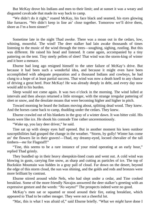But McKay drove his Indians and men to their limit; and at sunset it was a weary and disgusted cavalcade that made its way back to camp.

"We didn't do it right," roared McKay, his face black and seamed, his eyes glowing like furnaces. "We didn't keep in line an' close together. Tomorrow we'll drive them, shore as I'm a born sinner!"

Sometime late in the night Thad awoke. There was a moan out in the cedars, low, whining, mournful. The wind! The deer stalker had lain awake thousands of times listening to the music of the wind through the trees—soughing, sighing, rustling. But this was different. He raised his head and listened. It came again, accompanied by a tiny pattering on the tent. Tiny steely pellets of sleet! That wind was the storm-king of winter and it bore a menace.

Eburne had long ago resigned himself to the utter failure of McKay's drive. But because it had been such a wonderful idea, and because it might even have been accomplished with adequate preparation and a thousand Indians and cowboys, he had clung to a hope of at least partial success. That wind was now a death knell to any chance of driving a great herd. Poor McKay! He was already deeply in debt, and every day now would add to his burden.

Sleep would not come again. It was two o'clock in the morning. The wind lulled at intervals and then always returned a little stronger, with the strange irregular pattering of sleet or snow, and the desolate moans that were becoming higher and higher in pitch.

Toward morning he heard the Indians moving about, splitting dead wood. They knew. And the horses came back to camp, thudding under the cedars. They knew.

Eburne crawled out of his blankets in the gray of a winter dawn. It was bitter cold. His boots were like ice. He shook his comrade Tine rather unceremoniously.

"Wake up, you lazy deer driver," he said.

Tine sat up with sleepy eyes half opened. But in another moment his keen outdoor susceptibilities had grasped the change in the weather. "Storm, by golly! Winter has come an' the flowers lie in their graves!—Thad, my dreamy-eyed, locoed chevalier of the tall timbers—*me* for Flagstaff!"

"Tine, this seems to be a rare instance of your mind operating at an early hour," replied Thad grimly.

They bundled up in their heavy sheepskin-lined coats and went out. A cold wind was blowing in gusts, carrying fine snow, as sharp and cutting as particles of ice. The top of Buckskin Mountain was hidden in a gray pall of cloud. Far down on the desert, beyond the edge of this storm cloud, the sun was shining, and the golds and reds and bronzes were more brilliant by contrast.

Eburne stirred around while Nels, who had slept under a cedar, and Tine cooked breakfast. Some of the more friendly Navajos answered the deer stalker's greeting with an expressive gesture and the words: "*No weyno!*" The prospects indeed were no good.

McKay's men sat or squatted or stood around their fire, eating breakfast, which appeared to Thad to be rather meager. They were not a cheerful lot.

"Mac, this is what I was afraid of," said Eburne briefly. "What we *might* have done I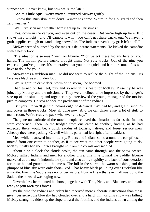suppose we'll never know, but now we're too late."

"Aw, this little squall won't matter," returned McKay gruffly.

"I know this Buckskin. You don't. Winter has come. We're in for a blizzard and then zero weather."

"Wal, I've seen nice weather here right up to Christmas."

"Yes, down in the canyon, and even out on the desert. But we're high up here. If it snows hard tonight—and I'll gamble it will—you can't get these trucks out. We haven't grub supplies enough to stand being snowed in. The Indians haven't any grub left at all."

McKay seemed silenced by the ranger's deliberate statements. He kicked the campfire with a heavy boot.

"The situation is serious," went on Eburne. "You've got these Indians here on your hands. The motion picture trucks brought them. Not *your* trucks. Out of the nine you expected, you've got one. It's imperative that you think quick and hard, or some of us will have to do it for you."

McKay was a stubborn man. He did not seem to realize the plight of the Indians. His face was black as a thundercloud.

"We're goin' to drive deer, storm or no storm," he boomed.

Thad turned on his heel, pity and sorrow in his heart for McKay. Presently he was joined by Mobray and the missionary. They were inclined to be impressed by the ranger's size-up of the situation; and together they interviewed the young manager of the motion picture company. He saw at once the predicament of the Indians.

"Bet your life we'll get the Indians out," he declared. "We had hay and grain, supplies and boxes in those trucks. Most all gone now. And we can throw away a lot of stuff to make room. We're ready to pack whenever you say."

The generous attitude of the movie people relieved the situation as far as the Indians were concerned. Then Eburne trudged from one camp to another, finding, as he had expected there would be, a quick exodus of tourists, natives, and forest service men. Already they were packing. Cassell with his party had left right after breakfast.

Meanwhile it snowed intermittently. Riders and Indians stood around the campfires, or moved from one camp to another, as if to see what the other people were going to do. McKay finally had the horses brought up from the corrals and saddled.

About nine o'clock the clouds broke, the sun came through, and the snow ceased. McKay rallied Indians and men for another drive, this time toward the Saddle. Eburne marveled at the man's indomitable spirit and also at his stupidity and lack of consideration for those he had gotten into this mess. The lull in the storm, the warm sunshine, and the glimpse of blue sky were only short-lived. That heavy black pall hung over Buckskin like a mantle. Even the Saddle was no longer visible. Eburne knew that even halfway up to the Saddle the blizzard was raging now.

Nevertheless he mounted his horse, together with Tine, Nels, and Blakener, and made ready to join McKay's forces.

By the time the Indians and riders had received more elaborate instructions than those given yesterday, the blue sky had clouded over and a hard, thin, driving snow was falling. McKay strung his riders up the slope toward the foothills and the Indians down among the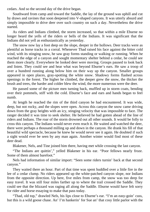cedars. And so the second day of the drive began.

Southward from camp and toward the Saddle, the lay of the ground was uphill and cut by draws and ravines that soon deepened into V-shaped canyons. It was utterly absurd and simply impossible to drive deer over such country on such a day. Nevertheless the drive started.

As riders and Indians climbed, the storm increased, so that within a mile Eburne no longer heard the yells of the riders or bells of the Indians. It was significant that the Indians did not yell as enthusiastically as yesterday.

The snow now lay a foot deep on the slope, deeper in the hollows. Deer tracks were as plentiful as horse tracks in a corral. Whenever Thad raised his face against the bitter cold wind, with its stinging snow, he saw gray forms standing or walking or running. When he reached the edge of a canyon and sought momentary shelter behind a cedar, he could see them more clearly. Everywhere he looked deer were moving. Groups paused to look back and listen. They could see and hear what was beyond Eburne's ears. He saw a troop of over a hundred running along below him on their way up the canyon. Smaller groups appeared in open places, gray-spotting the white snow. Shadowy forms flashed across openings in the forest. The higher he climbed, the deeper grew the snow, the thicker the brush and trees, the harder and colder blew the wind, the more numerous were the deer.

He passed some of the picture men turning back, muffled up in storm coats, bending over their pommels, stiff with the cold. Eburne's face and ears and hands began to feel numb.

At length he reached the rim of the third canyon he had encountered. It was wide, deep, but not rocky, and the slopes were open. Across this canyon the snow came driving down from the gray heights with an icy, stinging velocity that was impossible to face. The ranger decided it was time to seek shelter. He believed he had gotten ahead of the line of riders and Indians. The roar of the storm drowned out all other sounds. It would be folly to cross this canyon. The Indians would never even reach it. He waited and watched the deer, there were perhaps a thousand milling up and down in the canyon. He drank his fill of that beautiful wild spectacle, because he knew he would never see it again. He doubted if such a sight would ever be seen by any man again. Another winter would find most of these deer dead.

Blakener, Nels, and Tine joined him there, having met while crossing the last canyon.

"The Indians are quittin'," yelled Blakener in his ear. "Poor fellows nearly froze. Some of them almost barefoot."

Nels had information of similar import: "Seen some riders turnin' back at that second canyon."

They waited there an hour. Part of that time was spent huddled over a little fire in the lee of a cedar clump. No riders appeared up the white-patched canyon slope, nor Indians from the opposite direction. Up here, five miles from camp, the snow was too deep for easy travel. It was still four miles farther up to where the trail crossed the Saddle. They could see that the blizzard was raging all along the Saddle. Eburne would have felt sorry for rider and horse essaying to make that pass today.

"Thad, old top," drawled Nels, his lips close to Eburne's ear. "I'm an easy-goin' cuss, but this is a wild goose chase. An' I'm hankerin' for Sue an' that cosy little parlor with the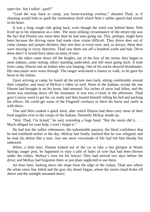open fire. Am I talkin', pard?"

"Lead the way back to camp, you horse-tracking cowboy," shouted Thad, as if shouting would hide or quell the tremendous thrill which Nels's subtle speech had stirred in his heart.

It was a long, tough ride going back, even though the wind was behind them. Nels lived up to his reputation as a rider. The most striking circumstance of the return trip was the fact that Eburne saw more deer than he had seen going out. This, perhaps, might have been because the driving snow had made clear vision difficult. They drove deer out of cedar clumps and juniper thickets; they met deer at every turn; and, as always, these deer were moving in every direction. Thad saw them run off a hundred yards and halt. Drive these deer? It would have taken an army of men.

As the riders came down off the heights, out of the fury of the storm, they began to meet Indians, some resting, others standing undecided, and still more going back. A mile from camp, Eburne met an Indian who was limping. One of his tracks showed bloodstains. His moccasins were worn through. The ranger welcomed a chance to walk, so he gave his horse to the Indian.

Upon arriving at camp, he found all the picture men back, sitting comfortably around their campfire, and most of McKay's riders as well. None of the Indians, except the one Eburne had brought in on his horse, had returned. Six inches of snow had fallen, and the storm was reaching down off the mountain. It was two o'clock in the afternoon. Thad gave Conroy word to get his car ready and then busied himself rolling his bed and packing his effects. He could get some of the Flagstaff cowboys to fetch his horse and outfit in with theirs.

Tine and Nels cooked a quick meal, after which Eburne had them carry most of their food supplies over to the camps of the Indians. Presently McKay strode up.

"Wal, Thad, I'm licked," he said, extending a huge hand. "But the storm did it.  $\dots$ Much obliged for your help. I won't forget it."

He had lost the sullen vehemence, the indomitable passion, the blind confidence that he had exhibited earlier in the day. McKay had finally realized that he was whipped, and he took his defeat like a man. Just one more vicissitude of life had left him bloody but unbowed.

When, a little later, Eburne looked out of the car to take a last glimpse at Warm Springs ranger post, he happened to espy a pile of bales of wire that had been thrown under the cedars. McKay's wire for his fences! They had arrived two days before the drive; and McKay had forgotten them or just plain neglected to use them.

An hour later, looking down the slope from the edge of the cedars, Thad saw where the white snow line failed and the gray dry desert began, where the storm cloud broke off above and the sunlight streamed down.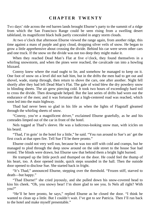## **C H A P T E R T W E N T Y**

Two days' ride across the red barren lands brought Eburne's party to the summit of a ridge from which the San Francisco Range could be seen rising from a swelling desert tableland, its magnificent black bulk partly concealed in angry storm clouds.

At two o'clock that afternoon Eburne viewed the range again, from another ridge, this time against a mass of purple and gray cloud, dropping silver veils of snow. He began to grow a little apprehensive about crossing the divide. Behind his car were seven other cars and one truck. If the snow on the divide was not too deep they might make it.

When they reached Dead Man's Flat at five o'clock, they found themselves in a whirling snowstorm, and when the pines were reached, the cavalcade ran into a howling blizzard.

Conroy knew where the road ought to lie, and somehow he managed to keep on it. One foot of snow on a level did not halt him, but in the drifts the men had to get out and shovel, wade, stamp through, then return to shove the cars, one after another. Night fell shortly after they had left Dead Man's Flat. The gale of wind blew the dry powdery snow in blinding sheets. The air grew piercing cold. It took two hours of exceedingly hard toil to cross the divide. Then downgrade helped. But the last series of drifts had worn out the endurance of the men; and it was fortunate that a high-centered road was reached, which soon led into the main highway.

Thad had never been so glad in his life as when the lights of Flagstaff gleamed through the whirling sheets of snow.

"Conroy, you're a magnificent driver," exclaimed Eburne gratefully, as he and his comrades limped out of the car in front of the hotel.

Nels tugged at Thad's sleeve. He was a ludicrous-looking snow man, with icicles on his beard.

"Thad, I'm goin' in the hotel for a little," he said. "You run around to Sue's an' get the first crack at that open fire. Tell Sue I'll be there pronto."

Eburne could not very well run, because he was too stiff with cold and cramps, but he managed to plod through the deep snow around on the side street to the house Sue had rented. The blinds were drawn, but Eburne saw that behind them a bright light burned.

He tramped up the little porch and thumped on the door. He could feel the thump of his heart, too. A door opened inside, quick steps sounded in the hall. Then the outside door opened to disclose Sue. She started back in fright.

"It's Thad," announced Eburne, stepping over the threshold. "Frozen stiff, starved to death—but happy."

"Thad Eburne!" she cried joyously, and she pulled down his snow-covered head to kiss his cheek. "Oh, you snowy bear! I'm shore glad to see you. Is Nels all right? With you?"

"He'll be here pronto, he says," replied Eburne as he closed the door. "I think he wanted to clean up a little. But I couldn't wait. I've got to *see* Patricia. Then I'll run back to the hotel and make myself presentable."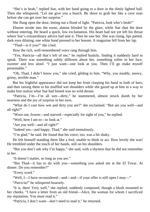"She's in heah," replied Sue, with her hand going to a door in the dimly lighted hall. Then she whispered, "Let me give you a hunch. Be shore to grab her like a cave man before she can get over her surprise."

She flung open the door, letting out a flood of light. "Patricia, look who's heah!"

Eburne strode into the room, almost blinded by the glare, while Sue shut the door without entering. He heard a quick, low exclamation. His heart had not yet left his throat where Sue's extraordinary advice had sent it. Then he saw her. She was rising, lips parted, dark eyes dilating, one white hand pressed to her bosom. A magazine fell from her lap.

"Thad—is it you?" she cried.

How the rich, well-remembered voice rang through him.

"Yes, Patricia—all that's left of me," he replied huskily, finding it suddenly hard to speak. There was something subtly different about her, something softer in her face, sweeter and less aloof. "I just want—one look at you. Then I'll go make myself presentable."

"Oh, Thad, I didn't know you," she cried, gliding to him. "Why, you muddy, snowy, grimy, terrible man."

But his frightful appearance did not keep her from clasping his hand in both of hers, and then raising them to his muffled wet shoulders while she gazed up at him in a way to make him realize what Sue had hinted was no wild dream.

"Patricia, I'm—I'm all wet—dirty," he stammered, almost struck dumb by her nearness and the joy of surprise in her eyes.

"What do I care how wet and dirty you are?" she exclaimed. "But are you well—and all right?"

"Worn out, frozen—and starved—especially for sight of you," he replied.

"Well, here I am to—to look at."

"Are *you* well—and all right?"

"Indeed yes—and happy, Thad," she said tremulously.

"I'm glad," he said. He found that his voice, too, was a bit shaky.

He felt himself standing there like a fool, unable to think or act. How lovely she was! He trembled under the touch of her hands, still on his shoulders.

"But you don't ask why I'm happy," she said, with a shyness that he did not remember in her.

"It doesn't matter, so long as you are."

"But Thad—it has to do with you—something you asked me at the El Tovar. At dinner. Do you remember?"

"Every word."

"Well, I—I have reconsidered—and—and—if your offer is still open I may—"

"*Patricia!*" he whispered hoarsely.

"It is, then! Very well," she replied, suddenly composed, though a blush mounted to her cheeks. "I have a letter from an old friend—Alice, the woman for whom I sacrificed my reputation. You must read it."

"Patricia, I don't want—don't need to read it," he returned.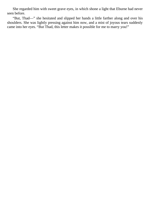She regarded him with sweet grave eyes, in which shone a light that Eburne had never seen before.

"But, Thad—" she hesitated and slipped her hands a little farther along and over his shoulders. She was lightly pressing against him now, and a mist of joyous tears suddenly came into her eyes. "But Thad, this letter makes it possible for me to marry you!"